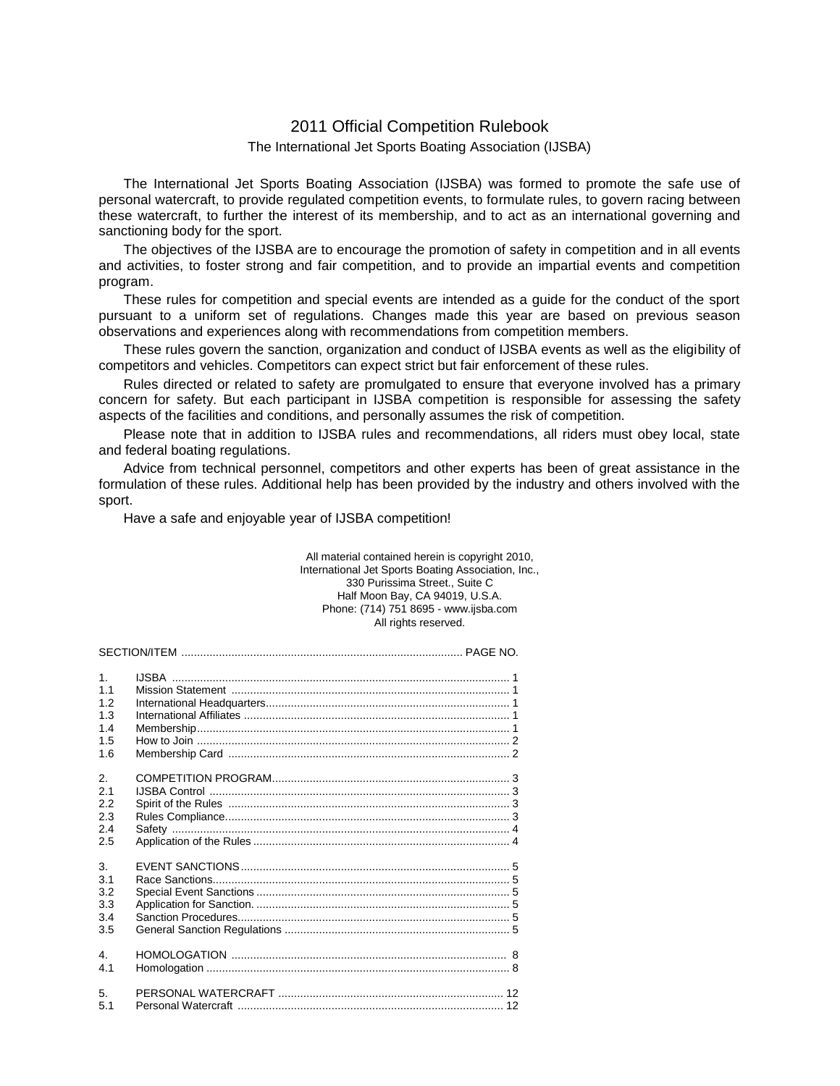# 2011 Official Competition Rulebook

## The International Jet Sports Boating Association (IJSBA)

The International Jet Sports Boating Association (IJSBA) was formed to promote the safe use of personal watercraft, to provide regulated competition events, to formulate rules, to govern racing between these watercraft, to further the interest of its membership, and to act as an international governing and sanctioning body for the sport.

The objectives of the IJSBA are to encourage the promotion of safety in competition and in all events and activities, to foster strong and fair competition, and to provide an impartial events and competition program.

These rules for competition and special events are intended as a guide for the conduct of the sport pursuant to a uniform set of regulations. Changes made this year are based on previous season observations and experiences along with recommendations from competition members.

These rules govern the sanction, organization and conduct of IJSBA events as well as the eligibility of competitors and vehicles. Competitors can expect strict but fair enforcement of these rules.

Rules directed or related to safety are promulgated to ensure that everyone involved has a primary concern for safety. But each participant in IJSBA competition is responsible for assessing the safety aspects of the facilities and conditions, and personally assumes the risk of competition.

Please note that in addition to IJSBA rules and recommendations, all riders must obey local, state and federal boating regulations.

Advice from technical personnel, competitors and other experts has been of great assistance in the formulation of these rules. Additional help has been provided by the industry and others involved with the sport.

Have a safe and enjoyable year of IJSBA competition!

### All material contained herein is copyright 2010, International Jet Sports Boating Association, Inc., 330 Purissima Street., Suite C Half Moon Bay, CA 94019, U.S.A. Phone: (714) 751 8695 - www.ijsba.com All rights reserved.

| $\mathbf{1}$ .<br>1.1<br>12<br>1.3<br>1.4<br>1.5<br>1.6  |  |  |  |
|----------------------------------------------------------|--|--|--|
| $\mathcal{P}_{\cdot}$<br>2.1<br>2.2<br>2.3<br>2.4<br>2.5 |  |  |  |
| 3.<br>3.1<br>3.2<br>3.3<br>3.4<br>3.5                    |  |  |  |
| 4<br>4.1                                                 |  |  |  |
| 5.<br>5.1                                                |  |  |  |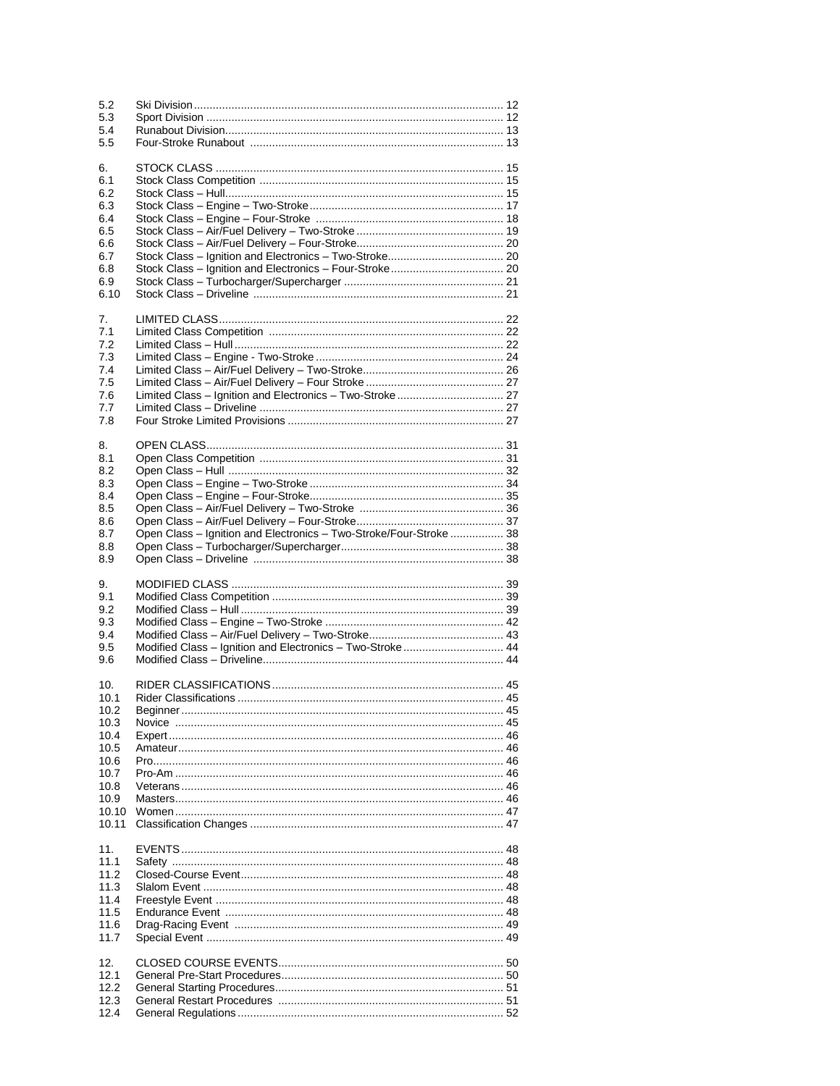| 5.2<br>5.3<br>5.4<br>5.5                                                                      |                                                                    |  |
|-----------------------------------------------------------------------------------------------|--------------------------------------------------------------------|--|
| 6.<br>6.1<br>6.2<br>6.3<br>6.4<br>6.5<br>6.6<br>6.7<br>6.8<br>6.9<br>6.10                     |                                                                    |  |
| 7.<br>7.1<br>7.2<br>7.3<br>7.4<br>7.5<br>7.6<br>7.7<br>7.8                                    | Limited Class - Ignition and Electronics - Two-Stroke 27           |  |
| 8.<br>8.1<br>8.2<br>8.3<br>8.4<br>8.5<br>8.6<br>8.7<br>8.8                                    | Open Class - Ignition and Electronics - Two-Stroke/Four-Stroke  38 |  |
| 8.9                                                                                           |                                                                    |  |
| 9.<br>9.1<br>9.2<br>9.3<br>9.4<br>9.5<br>9.6                                                  | Modified Class - Ignition and Electronics - Two-Stroke 44          |  |
| 10.<br>10.1<br>10.2<br>10.3<br>10.4<br>10.5<br>10.6<br>10.7<br>10.8<br>10.9<br>10.10<br>10.11 | Beainner                                                           |  |
| 11.<br>11.1<br>11.2<br>11.3<br>11.4<br>11.5<br>11.6<br>11.7                                   |                                                                    |  |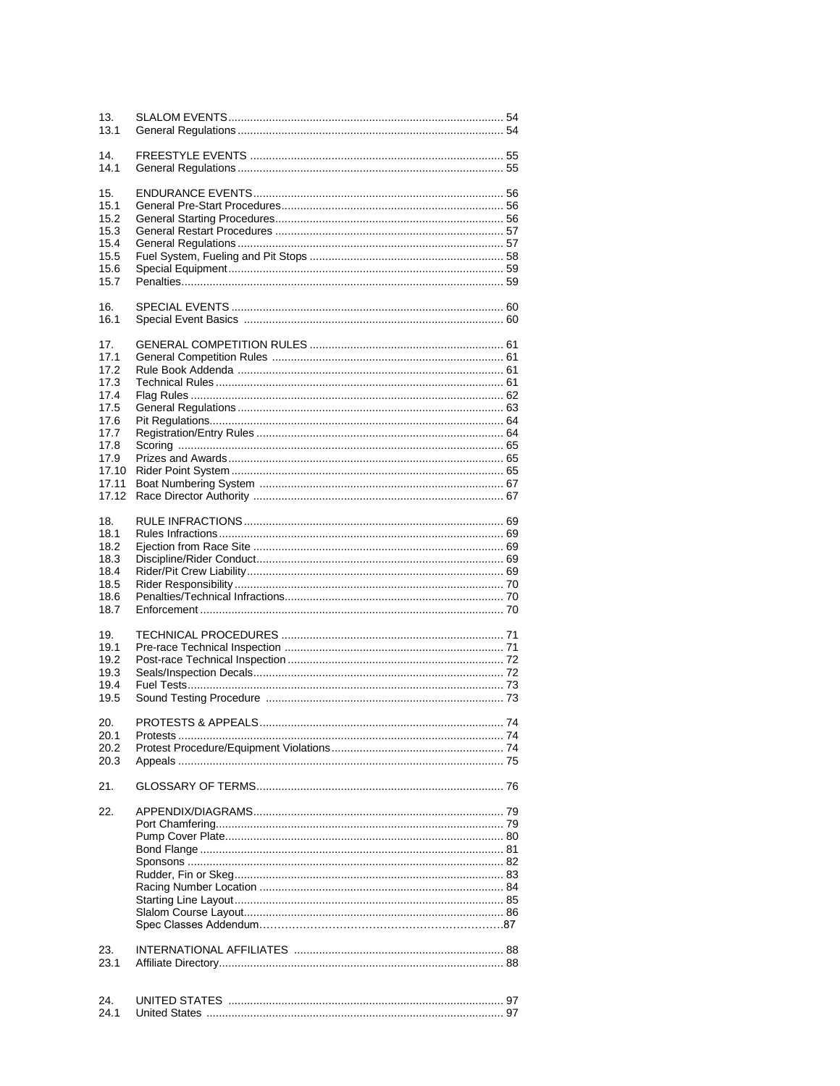| 13.<br>13.1                                                                                            |                               |    |
|--------------------------------------------------------------------------------------------------------|-------------------------------|----|
| 14.<br>14.1                                                                                            |                               |    |
| 15.<br>15.1<br>15.2<br>15.3<br>15.4<br>15.5<br>15.6<br>15.7                                            |                               |    |
| 16.<br>16.1                                                                                            |                               |    |
| 17.<br>17.1<br>17.2<br>17.3<br>17.4<br>17.5<br>17.6<br>17.7<br>17.8<br>17.9<br>17.10<br>17.11<br>17.12 |                               |    |
| 18.<br>18.1<br>18.2<br>18.3<br>18.4<br>18.5<br>18.6<br>18.7                                            |                               |    |
| 19.<br>19.1<br>19.2<br>19.3<br>19.4<br>19.5                                                            |                               |    |
| 20.<br>20.1<br>20.2<br>20.3                                                                            | <b>PROTESTS &amp; APPEALS</b> | 74 |
| 21.                                                                                                    |                               |    |
| 22.                                                                                                    |                               |    |
| 23.<br>23.1                                                                                            |                               |    |
| 24.<br>24.1                                                                                            |                               |    |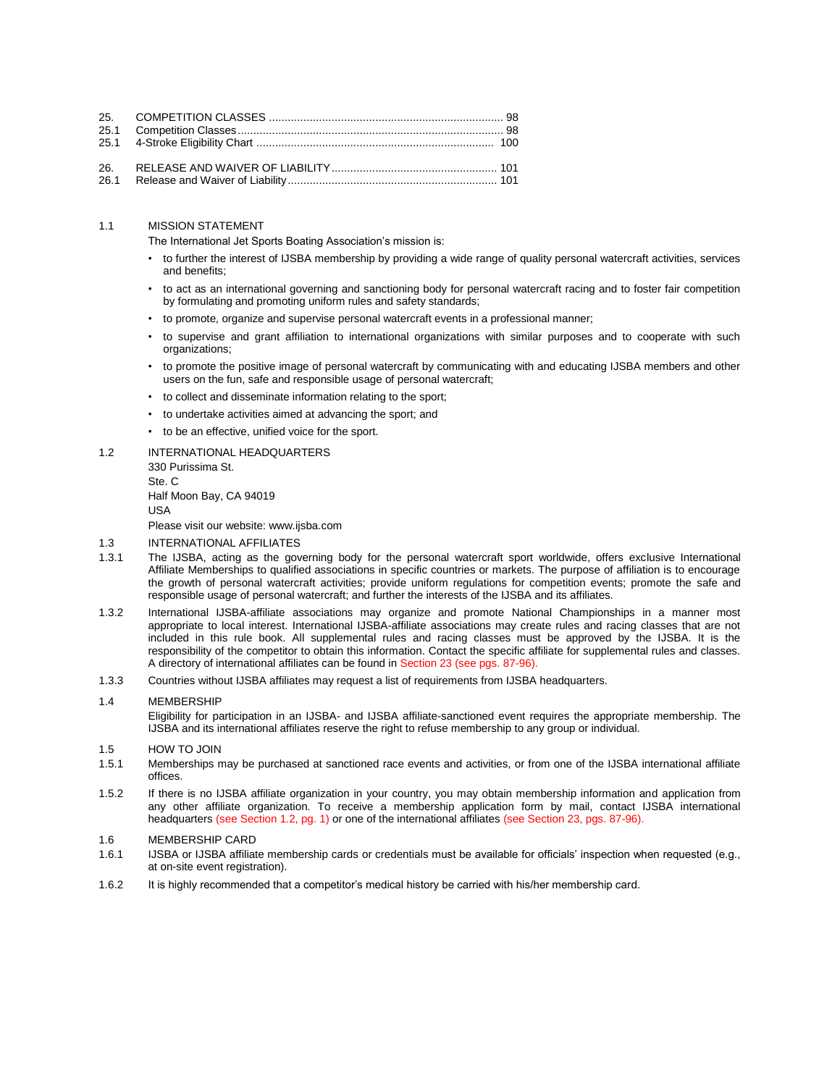### 1.1 MISSION STATEMENT

The International Jet Sports Boating Association's mission is:

- to further the interest of IJSBA membership by providing a wide range of quality personal watercraft activities, services and benefits;
- to act as an international governing and sanctioning body for personal watercraft racing and to foster fair competition by formulating and promoting uniform rules and safety standards;
- to promote, organize and supervise personal watercraft events in a professional manner;
- to supervise and grant affiliation to international organizations with similar purposes and to cooperate with such organizations;
- to promote the positive image of personal watercraft by communicating with and educating IJSBA members and other users on the fun, safe and responsible usage of personal watercraft;
- to collect and disseminate information relating to the sport;
- to undertake activities aimed at advancing the sport; and
- to be an effective, unified voice for the sport.
- 1.2 INTERNATIONAL HEADQUARTERS 330 Purissima St. Ste. C Half Moon Bay, CA 94019 USA Please visit our website: www.ijsba.com 1.3 INTERNATIONAL AFFILIATES
- 1.3.1 The IJSBA, acting as the governing body for the personal watercraft sport worldwide, offers exclusive International Affiliate Memberships to qualified associations in specific countries or markets. The purpose of affiliation is to encourage the growth of personal watercraft activities; provide uniform regulations for competition events; promote the safe and responsible usage of personal watercraft; and further the interests of the IJSBA and its affiliates.
- 1.3.2 International IJSBA-affiliate associations may organize and promote National Championships in a manner most appropriate to local interest. International IJSBA-affiliate associations may create rules and racing classes that are not included in this rule book. All supplemental rules and racing classes must be approved by the IJSBA. It is the responsibility of the competitor to obtain this information. Contact the specific affiliate for supplemental rules and classes. A directory of international affiliates can be found in Section 23 (see pgs. 87-96).
- 1.3.3 Countries without IJSBA affiliates may request a list of requirements from IJSBA headquarters.

### 1.4 MEMBERSHIP

Eligibility for participation in an IJSBA- and IJSBA affiliate-sanctioned event requires the appropriate membership. The IJSBA and its international affiliates reserve the right to refuse membership to any group or individual.

#### 1.5 HOW TO JOIN

- 1.5.1 Memberships may be purchased at sanctioned race events and activities, or from one of the IJSBA international affiliate offices.
- 1.5.2 If there is no IJSBA affiliate organization in your country, you may obtain membership information and application from any other affiliate organization. To receive a membership application form by mail, contact IJSBA international headquarters (see Section 1.2, pg. 1) or one of the international affiliates (see Section 23, pgs. 87-96).

### 1.6 MEMBERSHIP CARD

- 1.6.1 IJSBA or IJSBA affiliate membership cards or credentials must be available for officials' inspection when requested (e.g., at on-site event registration).
- 1.6.2 It is highly recommended that a competitor's medical history be carried with his/her membership card.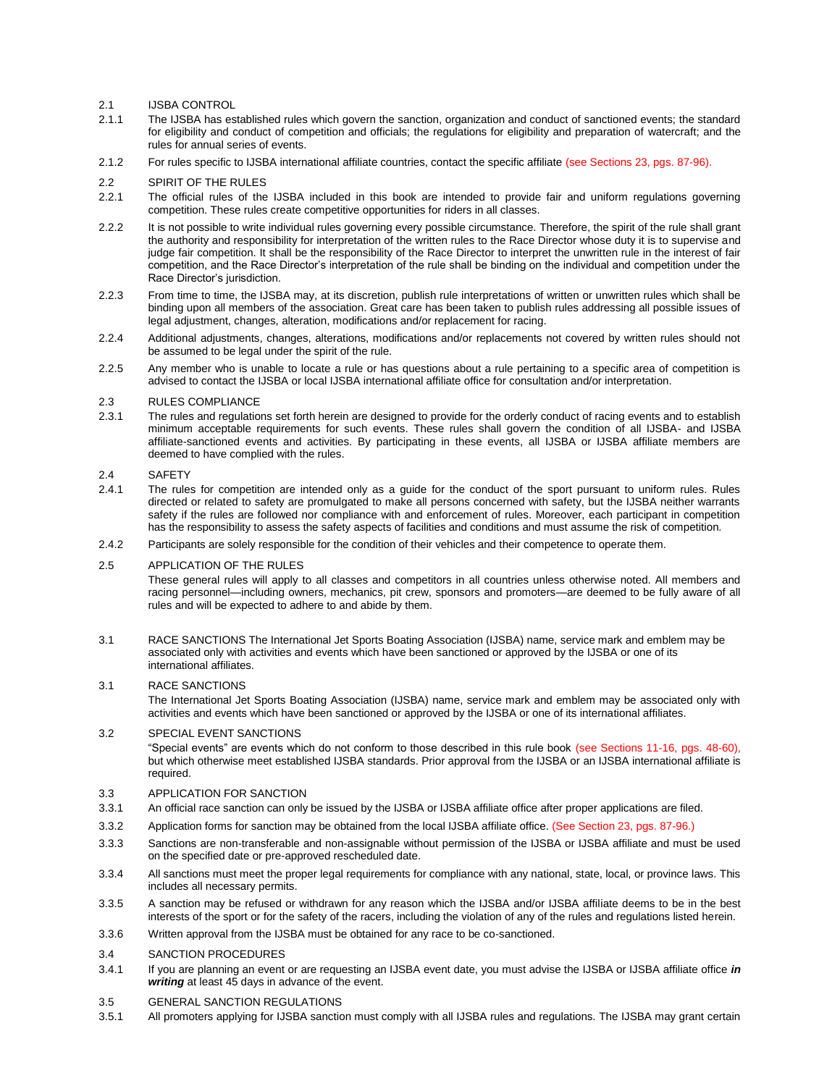### 2.1 IJSBA CONTROL

- 2.1.1 The IJSBA has established rules which govern the sanction, organization and conduct of sanctioned events; the standard for eligibility and conduct of competition and officials; the regulations for eligibility and preparation of watercraft; and the rules for annual series of events.
- 2.1.2 For rules specific to IJSBA international affiliate countries, contact the specific affiliate (see Sections 23, pgs. 87-96).
- 2.2 SPIRIT OF THE RULES
- 2.2.1 The official rules of the IJSBA included in this book are intended to provide fair and uniform regulations governing competition. These rules create competitive opportunities for riders in all classes.
- 2.2.2 It is not possible to write individual rules governing every possible circumstance. Therefore, the spirit of the rule shall grant the authority and responsibility for interpretation of the written rules to the Race Director whose duty it is to supervise and judge fair competition. It shall be the responsibility of the Race Director to interpret the unwritten rule in the interest of fair competition, and the Race Director's interpretation of the rule shall be binding on the individual and competition under the Race Director's jurisdiction.
- 2.2.3 From time to time, the IJSBA may, at its discretion, publish rule interpretations of written or unwritten rules which shall be binding upon all members of the association. Great care has been taken to publish rules addressing all possible issues of legal adjustment, changes, alteration, modifications and/or replacement for racing.
- 2.2.4 Additional adjustments, changes, alterations, modifications and/or replacements not covered by written rules should not be assumed to be legal under the spirit of the rule.
- 2.2.5 Any member who is unable to locate a rule or has questions about a rule pertaining to a specific area of competition is advised to contact the IJSBA or local IJSBA international affiliate office for consultation and/or interpretation.

#### 2.3 RULES COMPLIANCE

2.3.1 The rules and regulations set forth herein are designed to provide for the orderly conduct of racing events and to establish minimum acceptable requirements for such events. These rules shall govern the condition of all IJSBA- and IJSBA affiliate-sanctioned events and activities. By participating in these events, all IJSBA or IJSBA affiliate members are deemed to have complied with the rules.

### 2.4 SAFETY

- 2.4.1 The rules for competition are intended only as a guide for the conduct of the sport pursuant to uniform rules. Rules directed or related to safety are promulgated to make all persons concerned with safety, but the IJSBA neither warrants safety if the rules are followed nor compliance with and enforcement of rules. Moreover, each participant in competition has the responsibility to assess the safety aspects of facilities and conditions and must assume the risk of competition.
- 2.4.2 Participants are solely responsible for the condition of their vehicles and their competence to operate them.

#### 2.5 APPLICATION OF THE RULES

These general rules will apply to all classes and competitors in all countries unless otherwise noted. All members and racing personnel—including owners, mechanics, pit crew, sponsors and promoters—are deemed to be fully aware of all rules and will be expected to adhere to and abide by them.

3.1 RACE SANCTIONS The International Jet Sports Boating Association (IJSBA) name, service mark and emblem may be associated only with activities and events which have been sanctioned or approved by the IJSBA or one of its international affiliates.

### 3.1 RACE SANCTIONS

The International Jet Sports Boating Association (IJSBA) name, service mark and emblem may be associated only with activities and events which have been sanctioned or approved by the IJSBA or one of its international affiliates.

#### 3.2 SPECIAL EVENT SANCTIONS

―Special events‖ are events which do not conform to those described in this rule book (see Sections 11-16, pgs. 48-60), but which otherwise meet established IJSBA standards. Prior approval from the IJSBA or an IJSBA international affiliate is required.

### 3.3 APPLICATION FOR SANCTION

- 3.3.1 An official race sanction can only be issued by the IJSBA or IJSBA affiliate office after proper applications are filed.
- 3.3.2 Application forms for sanction may be obtained from the local IJSBA affiliate office. (See Section 23, pgs. 87-96.)
- 3.3.3 Sanctions are non-transferable and non-assignable without permission of the IJSBA or IJSBA affiliate and must be used on the specified date or pre-approved rescheduled date.
- 3.3.4 All sanctions must meet the proper legal requirements for compliance with any national, state, local, or province laws. This includes all necessary permits.
- 3.3.5 A sanction may be refused or withdrawn for any reason which the IJSBA and/or IJSBA affiliate deems to be in the best interests of the sport or for the safety of the racers, including the violation of any of the rules and regulations listed herein.
- 3.3.6 Written approval from the IJSBA must be obtained for any race to be co-sanctioned.

### 3.4 SANCTION PROCEDURES

- 3.4.1 If you are planning an event or are requesting an IJSBA event date, you must advise the IJSBA or IJSBA affiliate office *in writing* at least 45 days in advance of the event.
- 3.5 GENERAL SANCTION REGULATIONS
- 3.5.1 All promoters applying for IJSBA sanction must comply with all IJSBA rules and regulations. The IJSBA may grant certain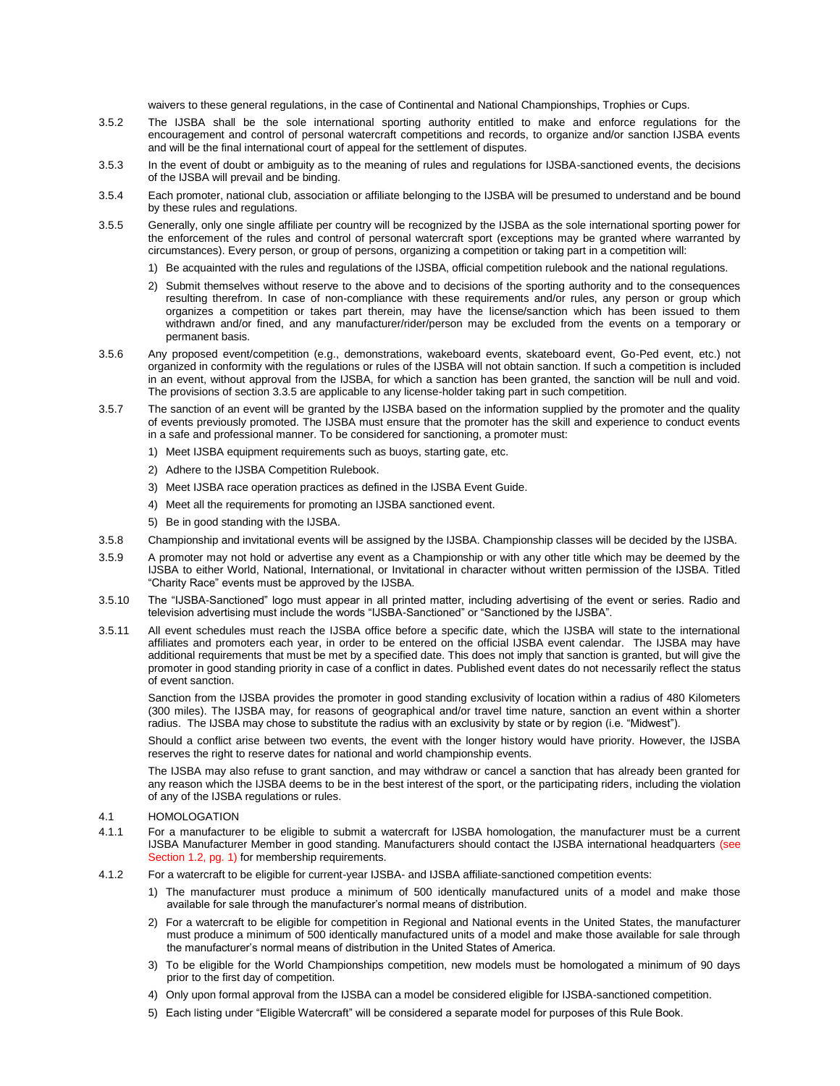waivers to these general regulations, in the case of Continental and National Championships, Trophies or Cups.

- 3.5.2 The IJSBA shall be the sole international sporting authority entitled to make and enforce regulations for the encouragement and control of personal watercraft competitions and records, to organize and/or sanction IJSBA events and will be the final international court of appeal for the settlement of disputes.
- 3.5.3 In the event of doubt or ambiguity as to the meaning of rules and regulations for IJSBA-sanctioned events, the decisions of the IJSBA will prevail and be binding.
- 3.5.4 Each promoter, national club, association or affiliate belonging to the IJSBA will be presumed to understand and be bound by these rules and regulations.
- 3.5.5 Generally, only one single affiliate per country will be recognized by the IJSBA as the sole international sporting power for the enforcement of the rules and control of personal watercraft sport (exceptions may be granted where warranted by circumstances). Every person, or group of persons, organizing a competition or taking part in a competition will:
	- 1) Be acquainted with the rules and regulations of the IJSBA, official competition rulebook and the national regulations.
	- 2) Submit themselves without reserve to the above and to decisions of the sporting authority and to the consequences resulting therefrom. In case of non-compliance with these requirements and/or rules, any person or group which organizes a competition or takes part therein, may have the license/sanction which has been issued to them withdrawn and/or fined, and any manufacturer/rider/person may be excluded from the events on a temporary or permanent basis.
- 3.5.6 Any proposed event/competition (e.g., demonstrations, wakeboard events, skateboard event, Go-Ped event, etc.) not organized in conformity with the regulations or rules of the IJSBA will not obtain sanction. If such a competition is included in an event, without approval from the IJSBA, for which a sanction has been granted, the sanction will be null and void. The provisions of section 3.3.5 are applicable to any license-holder taking part in such competition.
- 3.5.7 The sanction of an event will be granted by the IJSBA based on the information supplied by the promoter and the quality of events previously promoted. The IJSBA must ensure that the promoter has the skill and experience to conduct events in a safe and professional manner. To be considered for sanctioning, a promoter must:
	- 1) Meet IJSBA equipment requirements such as buoys, starting gate, etc.
	- 2) Adhere to the IJSBA Competition Rulebook.
	- 3) Meet IJSBA race operation practices as defined in the IJSBA Event Guide.
	- 4) Meet all the requirements for promoting an IJSBA sanctioned event.
	- 5) Be in good standing with the IJSBA.
- 3.5.8 Championship and invitational events will be assigned by the IJSBA. Championship classes will be decided by the IJSBA.
- 3.5.9 A promoter may not hold or advertise any event as a Championship or with any other title which may be deemed by the IJSBA to either World, National, International, or Invitational in character without written permission of the IJSBA. Titled ―Charity Race‖ events must be approved by the IJSBA.
- 3.5.10 The "IJSBA-Sanctioned" logo must appear in all printed matter, including advertising of the event or series. Radio and television advertising must include the words "IJSBA-Sanctioned" or "Sanctioned by the IJSBA".
- 3.5.11 All event schedules must reach the IJSBA office before a specific date, which the IJSBA will state to the international affiliates and promoters each year, in order to be entered on the official IJSBA event calendar. The IJSBA may have additional requirements that must be met by a specified date. This does not imply that sanction is granted, but will give the promoter in good standing priority in case of a conflict in dates. Published event dates do not necessarily reflect the status of event sanction.

Sanction from the IJSBA provides the promoter in good standing exclusivity of location within a radius of 480 Kilometers (300 miles). The IJSBA may, for reasons of geographical and/or travel time nature, sanction an event within a shorter radius. The IJSBA may chose to substitute the radius with an exclusivity by state or by region (i.e. "Midwest").

Should a conflict arise between two events, the event with the longer history would have priority. However, the IJSBA reserves the right to reserve dates for national and world championship events.

The IJSBA may also refuse to grant sanction, and may withdraw or cancel a sanction that has already been granted for any reason which the IJSBA deems to be in the best interest of the sport, or the participating riders, including the violation of any of the IJSBA regulations or rules.

#### 4.1 HOMOLOGATION

- 4.1.1 For a manufacturer to be eligible to submit a watercraft for IJSBA homologation, the manufacturer must be a current IJSBA Manufacturer Member in good standing. Manufacturers should contact the IJSBA international headquarters (see Section 1.2, pg. 1) for membership requirements.
- 4.1.2 For a watercraft to be eligible for current-year IJSBA- and IJSBA affiliate-sanctioned competition events:
	- 1) The manufacturer must produce a minimum of 500 identically manufactured units of a model and make those available for sale through the manufacturer's normal means of distribution.
	- 2) For a watercraft to be eligible for competition in Regional and National events in the United States, the manufacturer must produce a minimum of 500 identically manufactured units of a model and make those available for sale through the manufacturer's normal means of distribution in the United States of America.
	- 3) To be eligible for the World Championships competition, new models must be homologated a minimum of 90 days prior to the first day of competition.
	- 4) Only upon formal approval from the IJSBA can a model be considered eligible for IJSBA-sanctioned competition.
	- 5) Each listing under "Eligible Watercraft" will be considered a separate model for purposes of this Rule Book.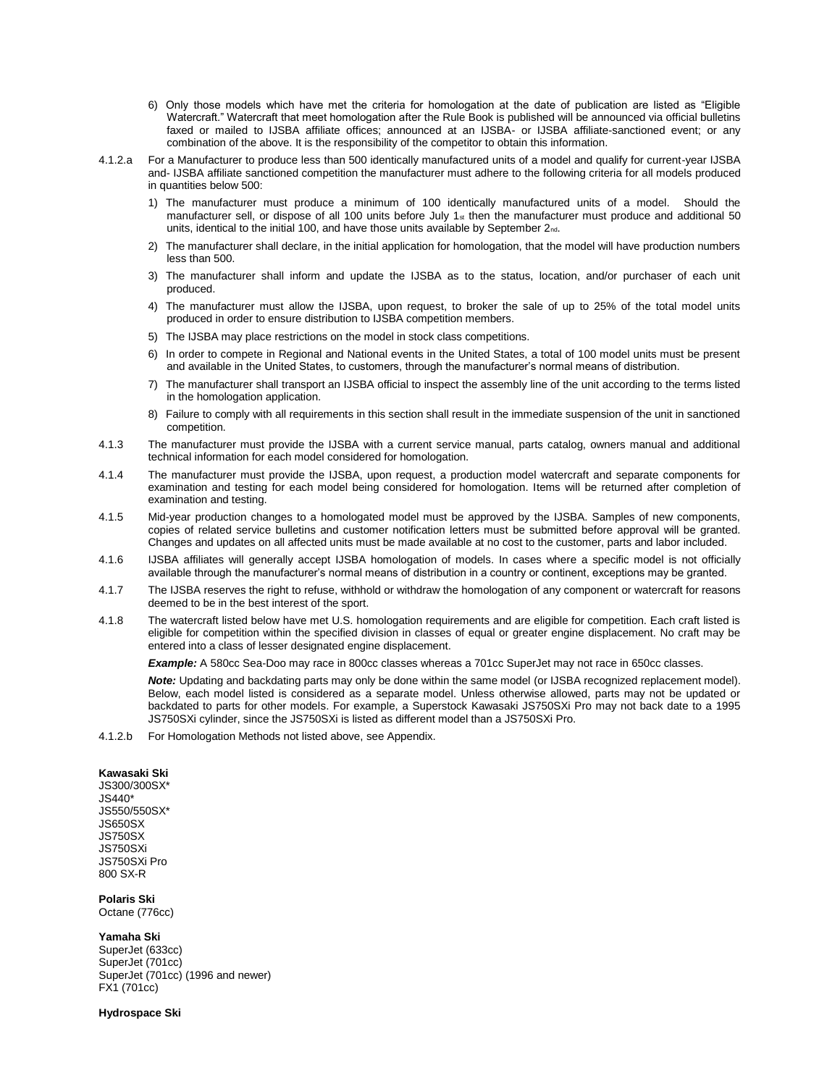- 6) Only those models which have met the criteria for homologation at the date of publication are listed as "Eligible Watercraft." Watercraft that meet homologation after the Rule Book is published will be announced via official bulletins faxed or mailed to IJSBA affiliate offices; announced at an IJSBA- or IJSBA affiliate-sanctioned event; or any combination of the above. It is the responsibility of the competitor to obtain this information.
- 4.1.2.a For a Manufacturer to produce less than 500 identically manufactured units of a model and qualify for current-year IJSBA and- IJSBA affiliate sanctioned competition the manufacturer must adhere to the following criteria for all models produced in quantities below 500:
	- 1) The manufacturer must produce a minimum of 100 identically manufactured units of a model. Should the manufacturer sell, or dispose of all 100 units before July  $1<sub>st</sub>$  then the manufacturer must produce and additional 50 units, identical to the initial 100, and have those units available by September 2nd.
	- 2) The manufacturer shall declare, in the initial application for homologation, that the model will have production numbers less than 500.
	- 3) The manufacturer shall inform and update the IJSBA as to the status, location, and/or purchaser of each unit produced.
	- 4) The manufacturer must allow the IJSBA, upon request, to broker the sale of up to 25% of the total model units produced in order to ensure distribution to IJSBA competition members.
	- 5) The IJSBA may place restrictions on the model in stock class competitions.
	- 6) In order to compete in Regional and National events in the United States, a total of 100 model units must be present and available in the United States, to customers, through the manufacturer's normal means of distribution.
	- 7) The manufacturer shall transport an IJSBA official to inspect the assembly line of the unit according to the terms listed in the homologation application.
	- 8) Failure to comply with all requirements in this section shall result in the immediate suspension of the unit in sanctioned competition.
- 4.1.3 The manufacturer must provide the IJSBA with a current service manual, parts catalog, owners manual and additional technical information for each model considered for homologation.
- 4.1.4 The manufacturer must provide the IJSBA, upon request, a production model watercraft and separate components for examination and testing for each model being considered for homologation. Items will be returned after completion of examination and testing.
- 4.1.5 Mid-year production changes to a homologated model must be approved by the IJSBA. Samples of new components, copies of related service bulletins and customer notification letters must be submitted before approval will be granted. Changes and updates on all affected units must be made available at no cost to the customer, parts and labor included.
- 4.1.6 IJSBA affiliates will generally accept IJSBA homologation of models. In cases where a specific model is not officially available through the manufacturer's normal means of distribution in a country or continent, exceptions may be granted.
- 4.1.7 The IJSBA reserves the right to refuse, withhold or withdraw the homologation of any component or watercraft for reasons deemed to be in the best interest of the sport.
- 4.1.8 The watercraft listed below have met U.S. homologation requirements and are eligible for competition. Each craft listed is eligible for competition within the specified division in classes of equal or greater engine displacement. No craft may be entered into a class of lesser designated engine displacement.

*Example:* A 580cc Sea-Doo may race in 800cc classes whereas a 701cc SuperJet may not race in 650cc classes.

*Note:* Updating and backdating parts may only be done within the same model (or IJSBA recognized replacement model). Below, each model listed is considered as a separate model. Unless otherwise allowed, parts may not be updated or backdated to parts for other models. For example, a Superstock Kawasaki JS750SXi Pro may not back date to a 1995 JS750SXi cylinder, since the JS750SXi is listed as different model than a JS750SXi Pro.

4.1.2.b For Homologation Methods not listed above, see Appendix.

#### **Kawasaki Ski**

JS300/300SX\* JS440\* JS550/550SX\* JS650SX JS750SX JS750SXi JS750SXi Pro 800 SX-R

### **Polaris Ski**

Octane (776cc)

#### **Yamaha Ski**

SuperJet (633cc) SuperJet (701cc) SuperJet (701cc) (1996 and newer) FX1 (701cc)

**Hydrospace Ski**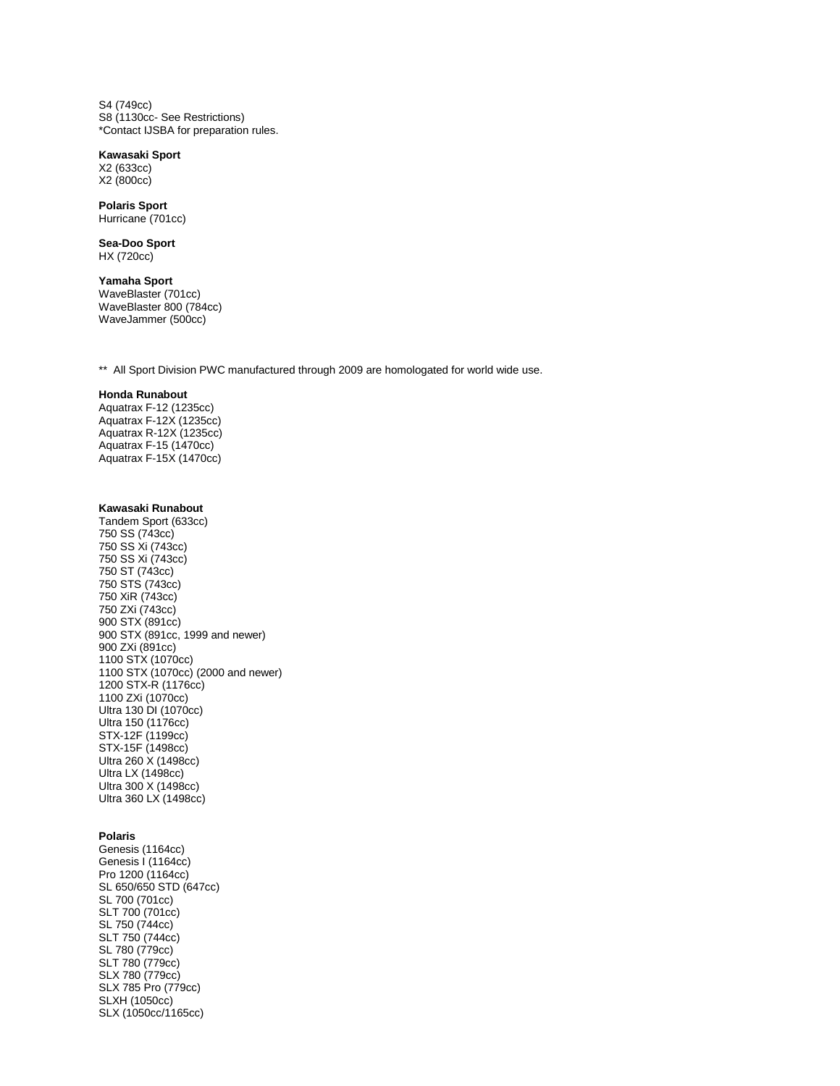S4 (749cc) S8 (1130cc- See Restrictions) \*Contact IJSBA for preparation rules.

### **Kawasaki Sport**

X2 (633cc) X2 (800cc)

# **Polaris Sport**

Hurricane (701cc)

**Sea-Doo Sport** HX (720cc)

#### **Yamaha Sport** WaveBlaster (701cc) WaveBlaster 800 (784cc) WaveJammer (500cc)

\*\* All Sport Division PWC manufactured through 2009 are homologated for world wide use.

### **Honda Runabout**

Aquatrax F-12 (1235cc) Aquatrax F-12X (1235cc) Aquatrax R-12X (1235cc) Aquatrax F-15 (1470cc) Aquatrax F-15X (1470cc)

### **Kawasaki Runabout**

Tandem Sport (633cc) 750 SS (743cc) 750 SS Xi (743cc) 750 SS Xi (743cc) 750 ST (743cc) 750 STS (743cc) 750 XiR (743cc) 750 ZXi (743cc) 900 STX (891cc) 900 STX (891cc, 1999 and newer) 900 ZXi (891cc) 1100 STX (1070cc) 1100 STX (1070cc) (2000 and newer) 1200 STX-R (1176cc) 1100 ZXi (1070cc) Ultra 130 DI (1070cc) Ultra 150 (1176cc) STX-12F (1199cc) STX-15F (1498cc) Ultra 260 X (1498cc) Ultra LX (1498cc) Ultra 300 X (1498cc) Ultra 360 LX (1498cc)

### **Polaris**

Genesis (1164cc) Genesis I (1164cc) Pro 1200 (1164cc) SL 650/650 STD (647cc) SL 700 (701cc) SLT 700 (701cc) SL 750 (744cc) SLT 750 (744cc) SL 780 (779cc) SLT 780 (779cc) SLX 780 (779cc) SLX 785 Pro (779cc) SLXH (1050cc) SLX (1050cc/1165cc)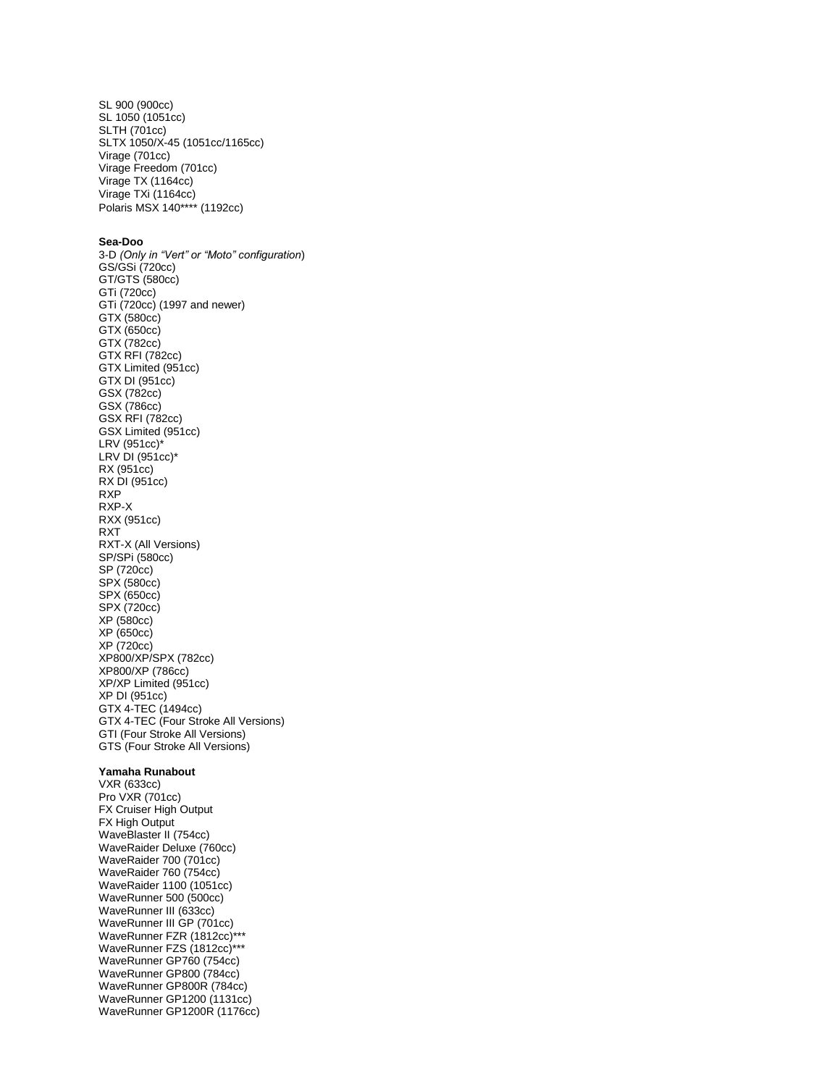SL 900 (900cc) SL 1050 (1051cc) SLTH (701cc) SLTX 1050/X-45 (1051cc/1165cc) Virage (701cc) Virage Freedom (701cc) Virage TX (1164cc) Virage TXi (1164cc) Polaris MSX 140\*\*\*\* (1192cc)

#### **Sea-Doo**

3-D *(Only in "Vert" or "Moto" configuration*) GS/GSi (720cc) GT/GTS (580cc) GTi (720cc) GTi (720cc) (1997 and newer) GTX (580cc) GTX (650cc) GTX (782cc) GTX RFI (782cc) GTX Limited (951cc) GTX DI (951cc) GSX (782cc) GSX (786cc) GSX RFI (782cc) GSX Limited (951cc) LRV (951cc)\* LRV DI (951cc)\* RX (951cc) RX DI (951cc) RXP RXP-X RXX (951cc) RXT RXT-X (All Versions) SP/SPi (580cc) SP (720cc) SPX (580cc) SPX (650cc) SPX (720cc) XP (580cc) XP (650cc) XP (720cc) XP800/XP/SPX (782cc) XP800/XP (786cc) XP/XP Limited (951cc) XP DI (951cc) GTX 4-TEC (1494cc) GTX 4-TEC (Four Stroke All Versions) GTI (Four Stroke All Versions) GTS (Four Stroke All Versions)

#### **Yamaha Runabout**

VXR (633cc) Pro VXR (701cc) FX Cruiser High Output FX High Output WaveBlaster II (754cc) WaveRaider Deluxe (760cc) WaveRaider 700 (701cc) WaveRaider 760 (754cc) WaveRaider 1100 (1051cc) WaveRunner 500 (500cc) WaveRunner III (633cc) WaveRunner III GP (701cc) WaveRunner FZR (1812cc)\*\*\* WaveRunner FZS (1812cc)\*\*\* WaveRunner GP760 (754cc) WaveRunner GP800 (784cc) WaveRunner GP800R (784cc) WaveRunner GP1200 (1131cc) WaveRunner GP1200R (1176cc)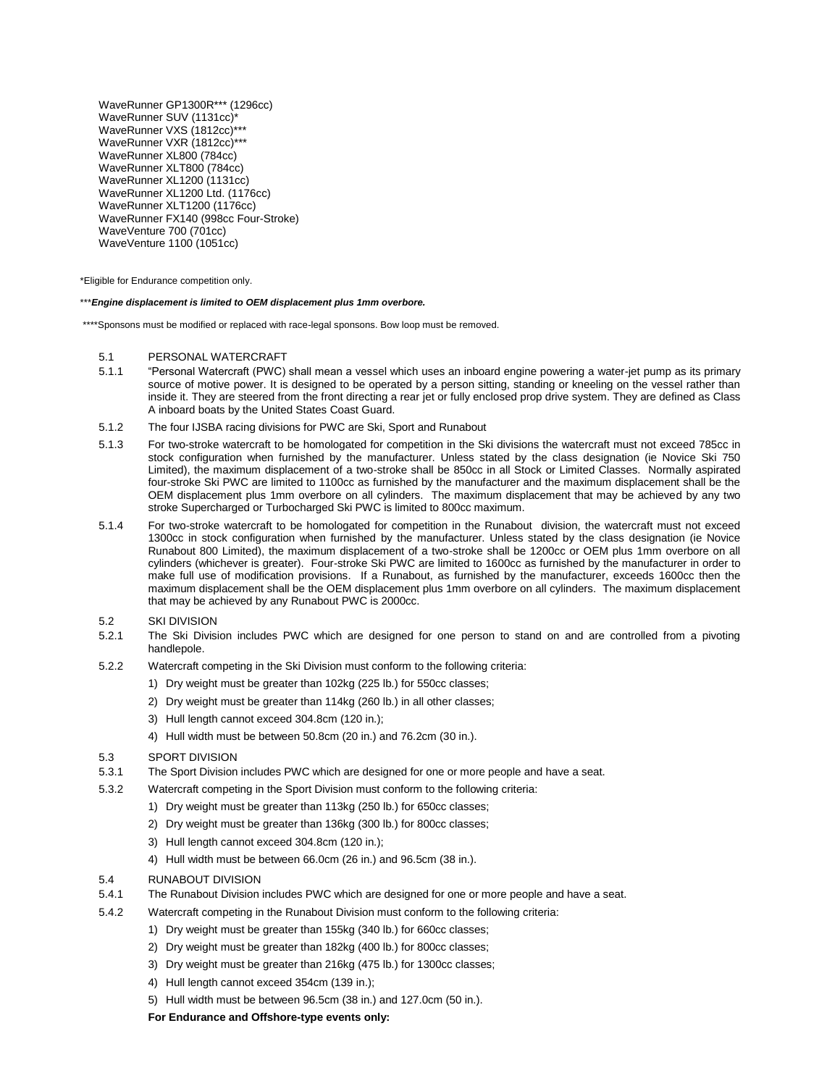WaveRunner GP1300R\*\*\* (1296cc) WaveRunner SUV (1131cc)\* WaveRunner VXS (1812cc)\*\*\* WaveRunner VXR (1812cc)\*\*\* WaveRunner XL800 (784cc) WaveRunner XLT800 (784cc) WaveRunner XL1200 (1131cc) WaveRunner XL1200 Ltd. (1176cc) WaveRunner XLT1200 (1176cc) WaveRunner FX140 (998cc Four-Stroke) WaveVenture 700 (701cc) WaveVenture 1100 (1051cc)

\*Eligible for Endurance competition only.

#### \*\*\**Engine displacement is limited to OEM displacement plus 1mm overbore.*

\*\*\*\*Sponsons must be modified or replaced with race-legal sponsons. Bow loop must be removed.

#### 5.1 PERSONAL WATERCRAFT

- 5.1.1 ―Personal Watercraft (PWC) shall mean a vessel which uses an inboard engine powering a water-jet pump as its primary source of motive power. It is designed to be operated by a person sitting, standing or kneeling on the vessel rather than inside it. They are steered from the front directing a rear jet or fully enclosed prop drive system. They are defined as Class A inboard boats by the United States Coast Guard.
- 5.1.2 The four IJSBA racing divisions for PWC are Ski, Sport and Runabout
- 5.1.3 For two-stroke watercraft to be homologated for competition in the Ski divisions the watercraft must not exceed 785cc in stock configuration when furnished by the manufacturer. Unless stated by the class designation (ie Novice Ski 750 Limited), the maximum displacement of a two-stroke shall be 850cc in all Stock or Limited Classes. Normally aspirated four-stroke Ski PWC are limited to 1100cc as furnished by the manufacturer and the maximum displacement shall be the OEM displacement plus 1mm overbore on all cylinders. The maximum displacement that may be achieved by any two stroke Supercharged or Turbocharged Ski PWC is limited to 800cc maximum.
- 5.1.4 For two-stroke watercraft to be homologated for competition in the Runabout division, the watercraft must not exceed 1300cc in stock configuration when furnished by the manufacturer. Unless stated by the class designation (ie Novice Runabout 800 Limited), the maximum displacement of a two-stroke shall be 1200cc or OEM plus 1mm overbore on all cylinders (whichever is greater). Four-stroke Ski PWC are limited to 1600cc as furnished by the manufacturer in order to make full use of modification provisions. If a Runabout, as furnished by the manufacturer, exceeds 1600cc then the maximum displacement shall be the OEM displacement plus 1mm overbore on all cylinders. The maximum displacement that may be achieved by any Runabout PWC is 2000cc.
- 5.2 SKI DIVISION
- 5.2.1 The Ski Division includes PWC which are designed for one person to stand on and are controlled from a pivoting handlepole.
- 5.2.2 Watercraft competing in the Ski Division must conform to the following criteria:
	- 1) Dry weight must be greater than 102kg (225 lb.) for 550cc classes;
	- 2) Dry weight must be greater than 114kg (260 lb.) in all other classes;
	- 3) Hull length cannot exceed 304.8cm (120 in.);
	- 4) Hull width must be between 50.8cm (20 in.) and 76.2cm (30 in.).
- 5.3 SPORT DIVISION
- 5.3.1 The Sport Division includes PWC which are designed for one or more people and have a seat.
- 5.3.2 Watercraft competing in the Sport Division must conform to the following criteria:
	- 1) Dry weight must be greater than 113kg (250 lb.) for 650cc classes;
	- 2) Dry weight must be greater than 136kg (300 lb.) for 800cc classes;
	- 3) Hull length cannot exceed 304.8cm (120 in.);
	- 4) Hull width must be between 66.0cm (26 in.) and 96.5cm (38 in.).
- 5.4 RUNABOUT DIVISION
- 5.4.1 The Runabout Division includes PWC which are designed for one or more people and have a seat.
- 5.4.2 Watercraft competing in the Runabout Division must conform to the following criteria:
	- 1) Dry weight must be greater than 155kg (340 lb.) for 660cc classes;
	- 2) Dry weight must be greater than 182kg (400 lb.) for 800cc classes;
	- 3) Dry weight must be greater than 216kg (475 lb.) for 1300cc classes;
	- 4) Hull length cannot exceed 354cm (139 in.);
	- 5) Hull width must be between 96.5cm (38 in.) and 127.0cm (50 in.).

**For Endurance and Offshore-type events only:**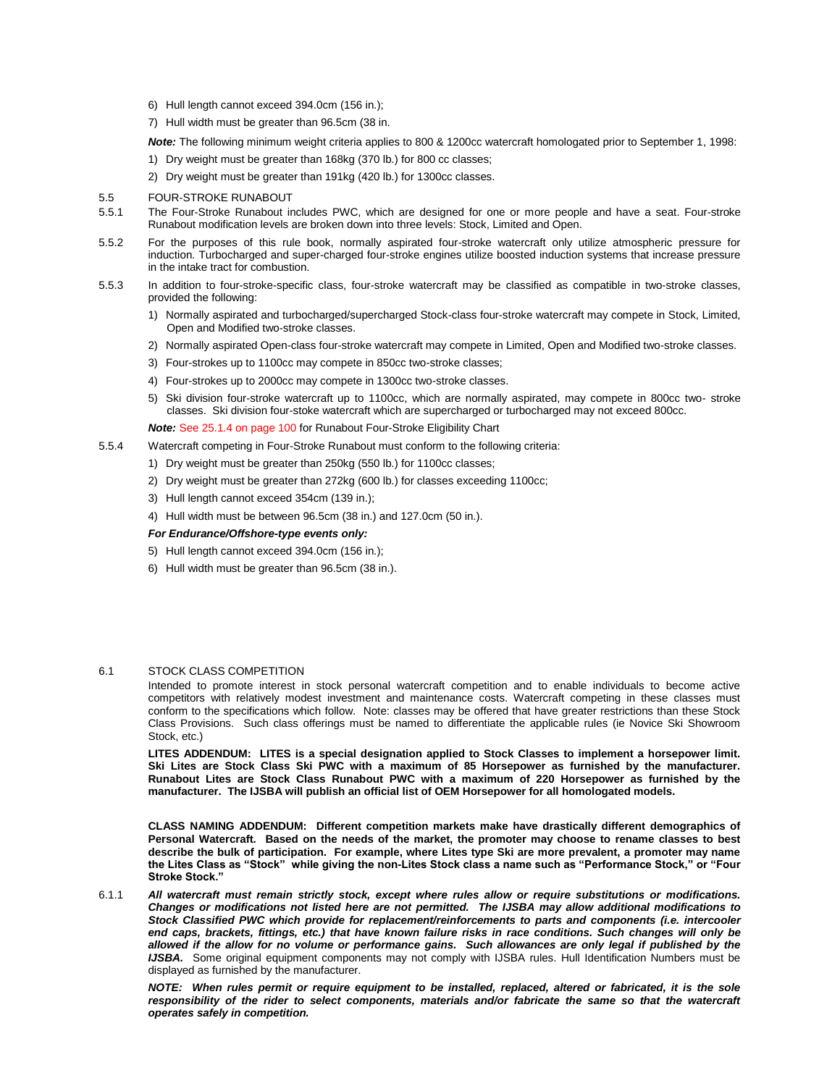- 6) Hull length cannot exceed 394.0cm (156 in.);
- 7) Hull width must be greater than 96.5cm (38 in.

*Note:* The following minimum weight criteria applies to 800 & 1200cc watercraft homologated prior to September 1, 1998:

- 1) Dry weight must be greater than 168kg (370 lb.) for 800 cc classes;
- 2) Dry weight must be greater than 191kg (420 lb.) for 1300cc classes.
- 5.5 FOUR-STROKE RUNABOUT
- 5.5.1 The Four-Stroke Runabout includes PWC, which are designed for one or more people and have a seat. Four-stroke Runabout modification levels are broken down into three levels: Stock, Limited and Open.
- 5.5.2 For the purposes of this rule book, normally aspirated four-stroke watercraft only utilize atmospheric pressure for induction. Turbocharged and super-charged four-stroke engines utilize boosted induction systems that increase pressure in the intake tract for combustion.
- 5.5.3 In addition to four-stroke-specific class, four-stroke watercraft may be classified as compatible in two-stroke classes, provided the following:
	- 1) Normally aspirated and turbocharged/supercharged Stock-class four-stroke watercraft may compete in Stock, Limited, Open and Modified two-stroke classes.
	- 2) Normally aspirated Open-class four-stroke watercraft may compete in Limited, Open and Modified two-stroke classes.
	- 3) Four-strokes up to 1100cc may compete in 850cc two-stroke classes;
	- 4) Four-strokes up to 2000cc may compete in 1300cc two-stroke classes.
	- 5) Ski division four-stroke watercraft up to 1100cc, which are normally aspirated, may compete in 800cc two- stroke classes. Ski division four-stoke watercraft which are supercharged or turbocharged may not exceed 800cc.

*Note:* See 25.1.4 on page 100 for Runabout Four-Stroke Eligibility Chart

- 5.5.4 Watercraft competing in Four-Stroke Runabout must conform to the following criteria:
	- 1) Dry weight must be greater than 250kg (550 lb.) for 1100cc classes;
	- 2) Dry weight must be greater than 272kg (600 lb.) for classes exceeding 1100cc;
	- 3) Hull length cannot exceed 354cm (139 in.);
	- 4) Hull width must be between 96.5cm (38 in.) and 127.0cm (50 in.).

### *For Endurance/Offshore-type events only:*

- 5) Hull length cannot exceed 394.0cm (156 in.);
- 6) Hull width must be greater than 96.5cm (38 in.).

#### 6.1 STOCK CLASS COMPETITION

Intended to promote interest in stock personal watercraft competition and to enable individuals to become active competitors with relatively modest investment and maintenance costs. Watercraft competing in these classes must conform to the specifications which follow. Note: classes may be offered that have greater restrictions than these Stock Class Provisions. Such class offerings must be named to differentiate the applicable rules (ie Novice Ski Showroom Stock, etc.)

**LITES ADDENDUM: LITES is a special designation applied to Stock Classes to implement a horsepower limit. Ski Lites are Stock Class Ski PWC with a maximum of 85 Horsepower as furnished by the manufacturer. Runabout Lites are Stock Class Runabout PWC with a maximum of 220 Horsepower as furnished by the manufacturer. The IJSBA will publish an official list of OEM Horsepower for all homologated models.**

**CLASS NAMING ADDENDUM: Different competition markets make have drastically different demographics of Personal Watercraft. Based on the needs of the market, the promoter may choose to rename classes to best describe the bulk of participation. For example, where Lites type Ski are more prevalent, a promoter may name the Lites Class as "Stock" while giving the non-Lites Stock class a name such as "Performance Stock," or "Four Stroke Stock."**

6.1.1 *All watercraft must remain strictly stock, except where rules allow or require substitutions or modifications. Changes or modifications not listed here are not permitted. The IJSBA may allow additional modifications to Stock Classified PWC which provide for replacement/reinforcements to parts and components (i.e. intercooler end caps, brackets, fittings, etc.) that have known failure risks in race conditions. Such changes will only be allowed if the allow for no volume or performance gains. Such allowances are only legal if published by the IJSBA.* Some original equipment components may not comply with IJSBA rules. Hull Identification Numbers must be displayed as furnished by the manufacturer.

*NOTE: When rules permit or require equipment to be installed, replaced, altered or fabricated, it is the sole*  responsibility of the rider to select components, materials and/or fabricate the same so that the watercraft *operates safely in competition.*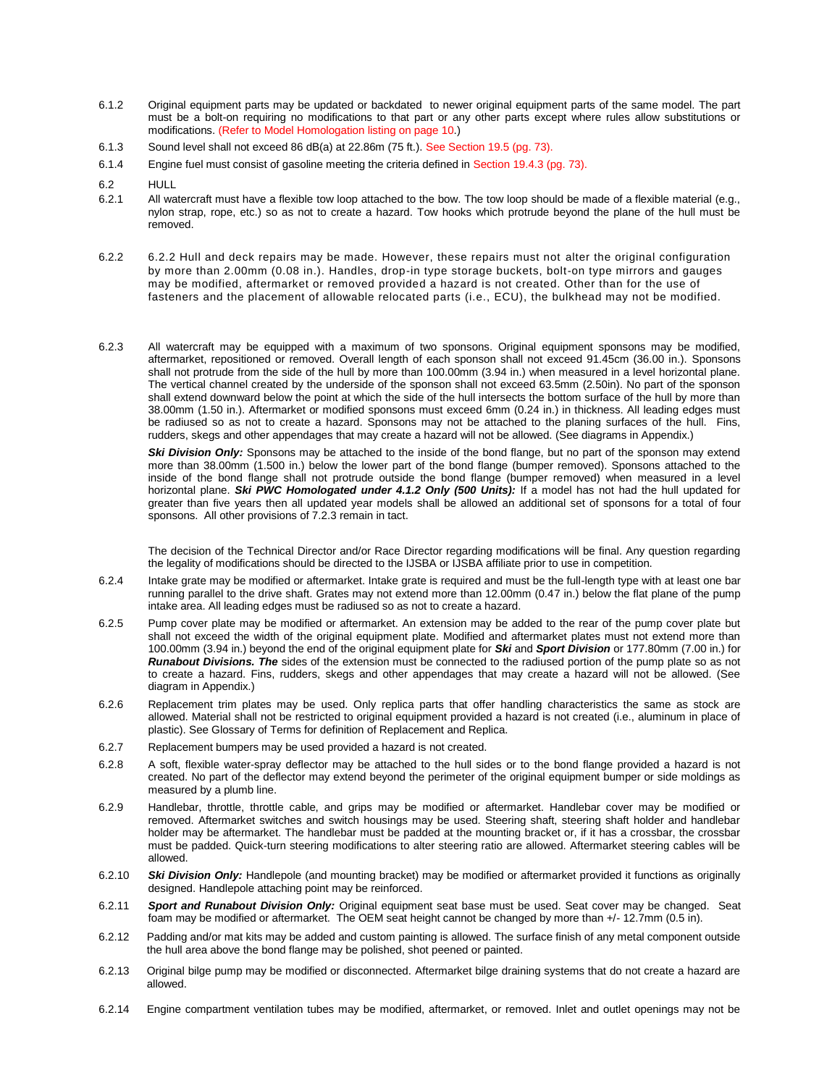- 6.1.2 Original equipment parts may be updated or backdated to newer original equipment parts of the same model. The part must be a bolt-on requiring no modifications to that part or any other parts except where rules allow substitutions or modifications. (Refer to Model Homologation listing on page 10.)
- 6.1.3 Sound level shall not exceed 86 dB(a) at 22.86m (75 ft.). See Section 19.5 (pg. 73).
- 6.1.4 Engine fuel must consist of gasoline meeting the criteria defined in Section 19.4.3 (pg. 73).
- 6.2 HULL
- 6.2.1 All watercraft must have a flexible tow loop attached to the bow. The tow loop should be made of a flexible material (e.g., nylon strap, rope, etc.) so as not to create a hazard. Tow hooks which protrude beyond the plane of the hull must be removed.
- 6.2.2 6.2.2 Hull and deck repairs may be made. However, these repairs must not alter the original configuration by more than 2.00mm (0.08 in.). Handles, drop-in type storage buckets, bolt-on type mirrors and gauges may be modified, aftermarket or removed provided a hazard is not created. Other than for the use of fasteners and the placement of allowable relocated parts (i.e., ECU), the bulkhead may not be modified.
- 6.2.3 All watercraft may be equipped with a maximum of two sponsons. Original equipment sponsons may be modified, aftermarket, repositioned or removed. Overall length of each sponson shall not exceed 91.45cm (36.00 in.). Sponsons shall not protrude from the side of the hull by more than 100.00mm (3.94 in.) when measured in a level horizontal plane. The vertical channel created by the underside of the sponson shall not exceed 63.5mm (2.50in). No part of the sponson shall extend downward below the point at which the side of the hull intersects the bottom surface of the hull by more than 38.00mm (1.50 in.). Aftermarket or modified sponsons must exceed 6mm (0.24 in.) in thickness. All leading edges must be radiused so as not to create a hazard. Sponsons may not be attached to the planing surfaces of the hull. Fins, rudders, skegs and other appendages that may create a hazard will not be allowed. (See diagrams in Appendix.)

**Ski Division Only:** Sponsons may be attached to the inside of the bond flange, but no part of the sponson may extend more than 38.00mm (1.500 in.) below the lower part of the bond flange (bumper removed). Sponsons attached to the inside of the bond flange shall not protrude outside the bond flange (bumper removed) when measured in a level horizontal plane. *Ski PWC Homologated under 4.1.2 Only (500 Units):* If a model has not had the hull updated for greater than five years then all updated year models shall be allowed an additional set of sponsons for a total of four sponsons. All other provisions of 7.2.3 remain in tact.

The decision of the Technical Director and/or Race Director regarding modifications will be final. Any question regarding the legality of modifications should be directed to the IJSBA or IJSBA affiliate prior to use in competition.

- 6.2.4 Intake grate may be modified or aftermarket. Intake grate is required and must be the full-length type with at least one bar running parallel to the drive shaft. Grates may not extend more than 12.00mm (0.47 in.) below the flat plane of the pump intake area. All leading edges must be radiused so as not to create a hazard.
- 6.2.5 Pump cover plate may be modified or aftermarket. An extension may be added to the rear of the pump cover plate but shall not exceed the width of the original equipment plate. Modified and aftermarket plates must not extend more than 100.00mm (3.94 in.) beyond the end of the original equipment plate for *Ski* and *Sport Division* or 177.80mm (7.00 in.) for *Runabout Divisions. The* sides of the extension must be connected to the radiused portion of the pump plate so as not to create a hazard. Fins, rudders, skegs and other appendages that may create a hazard will not be allowed. (See diagram in Appendix.)
- 6.2.6 Replacement trim plates may be used. Only replica parts that offer handling characteristics the same as stock are allowed. Material shall not be restricted to original equipment provided a hazard is not created (i.e., aluminum in place of plastic). See Glossary of Terms for definition of Replacement and Replica.
- 6.2.7 Replacement bumpers may be used provided a hazard is not created.
- 6.2.8 A soft, flexible water-spray deflector may be attached to the hull sides or to the bond flange provided a hazard is not created. No part of the deflector may extend beyond the perimeter of the original equipment bumper or side moldings as measured by a plumb line.
- 6.2.9 Handlebar, throttle, throttle cable, and grips may be modified or aftermarket. Handlebar cover may be modified or removed. Aftermarket switches and switch housings may be used. Steering shaft, steering shaft holder and handlebar holder may be aftermarket. The handlebar must be padded at the mounting bracket or, if it has a crossbar, the crossbar must be padded. Quick-turn steering modifications to alter steering ratio are allowed. Aftermarket steering cables will be allowed.
- 6.2.10 *Ski Division Only:* Handlepole (and mounting bracket) may be modified or aftermarket provided it functions as originally designed. Handlepole attaching point may be reinforced.
- 6.2.11 *Sport and Runabout Division Only:* Original equipment seat base must be used. Seat cover may be changed. Seat foam may be modified or aftermarket. The OEM seat height cannot be changed by more than +/- 12.7mm (0.5 in).
- 6.2.12 Padding and/or mat kits may be added and custom painting is allowed. The surface finish of any metal component outside the hull area above the bond flange may be polished, shot peened or painted.
- 6.2.13 Original bilge pump may be modified or disconnected. Aftermarket bilge draining systems that do not create a hazard are allowed.
- 6.2.14 Engine compartment ventilation tubes may be modified, aftermarket, or removed. Inlet and outlet openings may not be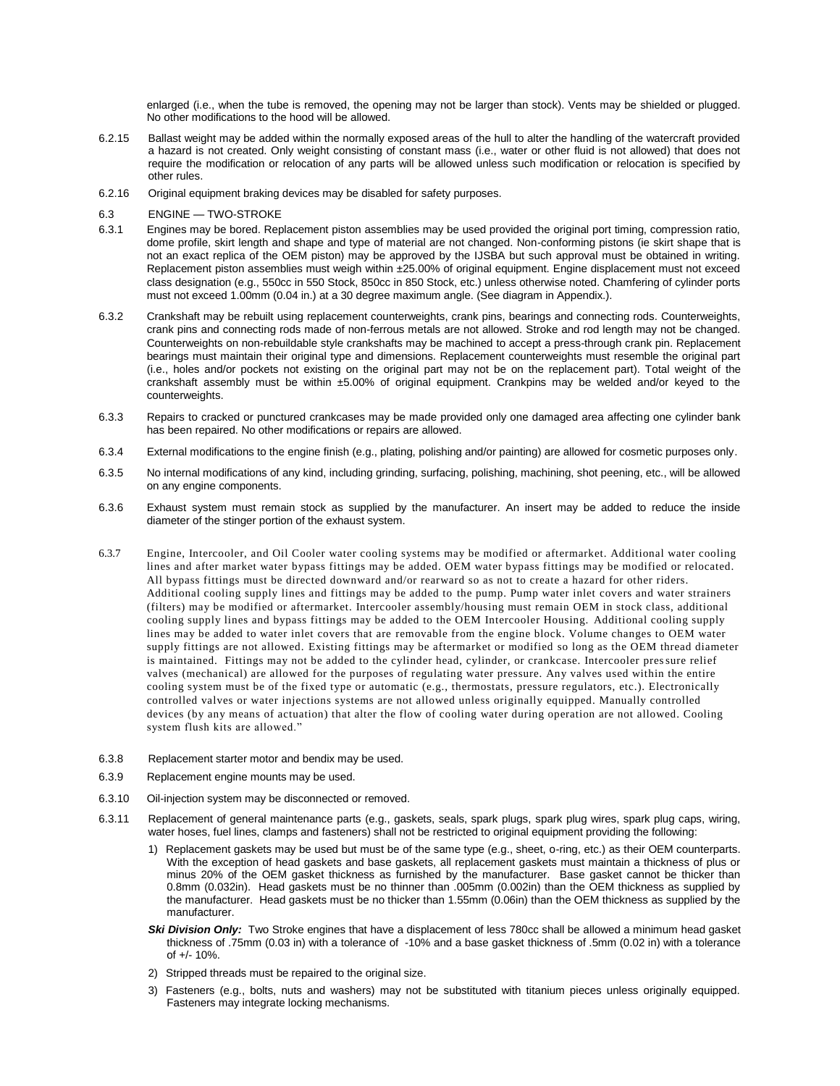enlarged (i.e., when the tube is removed, the opening may not be larger than stock). Vents may be shielded or plugged. No other modifications to the hood will be allowed.

- 6.2.15 Ballast weight may be added within the normally exposed areas of the hull to alter the handling of the watercraft provided a hazard is not created. Only weight consisting of constant mass (i.e., water or other fluid is not allowed) that does not require the modification or relocation of any parts will be allowed unless such modification or relocation is specified by other rules.
- 6.2.16 Original equipment braking devices may be disabled for safety purposes.
- 6.3 ENGINE TWO-STROKE
- 6.3.1 Engines may be bored. Replacement piston assemblies may be used provided the original port timing, compression ratio, dome profile, skirt length and shape and type of material are not changed. Non-conforming pistons (ie skirt shape that is not an exact replica of the OEM piston) may be approved by the IJSBA but such approval must be obtained in writing. Replacement piston assemblies must weigh within ±25.00% of original equipment. Engine displacement must not exceed class designation (e.g., 550cc in 550 Stock, 850cc in 850 Stock, etc.) unless otherwise noted. Chamfering of cylinder ports must not exceed 1.00mm (0.04 in.) at a 30 degree maximum angle. (See diagram in Appendix.).
- 6.3.2 Crankshaft may be rebuilt using replacement counterweights, crank pins, bearings and connecting rods. Counterweights, crank pins and connecting rods made of non-ferrous metals are not allowed. Stroke and rod length may not be changed. Counterweights on non-rebuildable style crankshafts may be machined to accept a press-through crank pin. Replacement bearings must maintain their original type and dimensions. Replacement counterweights must resemble the original part (i.e., holes and/or pockets not existing on the original part may not be on the replacement part). Total weight of the crankshaft assembly must be within ±5.00% of original equipment. Crankpins may be welded and/or keyed to the counterweights.
- 6.3.3 Repairs to cracked or punctured crankcases may be made provided only one damaged area affecting one cylinder bank has been repaired. No other modifications or repairs are allowed.
- 6.3.4 External modifications to the engine finish (e.g., plating, polishing and/or painting) are allowed for cosmetic purposes only.
- 6.3.5 No internal modifications of any kind, including grinding, surfacing, polishing, machining, shot peening, etc., will be allowed on any engine components.
- 6.3.6 Exhaust system must remain stock as supplied by the manufacturer. An insert may be added to reduce the inside diameter of the stinger portion of the exhaust system.
- 6.3.7 Engine, Intercooler, and Oil Cooler water cooling systems may be modified or aftermarket. Additional water cooling lines and after market water bypass fittings may be added. OEM water bypass fittings may be modified or relocated. All bypass fittings must be directed downward and/or rearward so as not to create a hazard for other riders. Additional cooling supply lines and fittings may be added to the pump. Pump water inlet covers and water strainers (filters) may be modified or aftermarket. Intercooler assembly/housing must remain OEM in stock class, additional cooling supply lines and bypass fittings may be added to the OEM Intercooler Housing. Additional cooling supply lines may be added to water inlet covers that are removable from the engine block. Volume changes to OEM water supply fittings are not allowed. Existing fittings may be aftermarket or modified so long as the OEM thread diameter is maintained. Fittings may not be added to the cylinder head, cylinder, or crankcase. Intercooler pressure relief valves (mechanical) are allowed for the purposes of regulating water pressure. Any valves used within the entire cooling system must be of the fixed type or automatic (e.g., thermostats, pressure regulators, etc.). Electronically controlled valves or water injections systems are not allowed unless originally equipped. Manually controlled devices (by any means of actuation) that alter the flow of cooling water during operation are not allowed. Cooling system flush kits are allowed."
- 6.3.8 Replacement starter motor and bendix may be used.
- 6.3.9 Replacement engine mounts may be used.
- 6.3.10 Oil-injection system may be disconnected or removed.
- 6.3.11 Replacement of general maintenance parts (e.g., gaskets, seals, spark plugs, spark plug wires, spark plug caps, wiring, water hoses, fuel lines, clamps and fasteners) shall not be restricted to original equipment providing the following:
	- 1) Replacement gaskets may be used but must be of the same type (e.g., sheet, o-ring, etc.) as their OEM counterparts. With the exception of head gaskets and base gaskets, all replacement gaskets must maintain a thickness of plus or minus 20% of the OEM gasket thickness as furnished by the manufacturer. Base gasket cannot be thicker than 0.8mm (0.032in). Head gaskets must be no thinner than .005mm (0.002in) than the OEM thickness as supplied by the manufacturer. Head gaskets must be no thicker than 1.55mm (0.06in) than the OEM thickness as supplied by the manufacturer.
	- Ski Division Only: Two Stroke engines that have a displacement of less 780cc shall be allowed a minimum head gasket thickness of .75mm (0.03 in) with a tolerance of -10% and a base gasket thickness of .5mm (0.02 in) with a tolerance of +/- 10%.
	- 2) Stripped threads must be repaired to the original size.
	- 3) Fasteners (e.g., bolts, nuts and washers) may not be substituted with titanium pieces unless originally equipped. Fasteners may integrate locking mechanisms.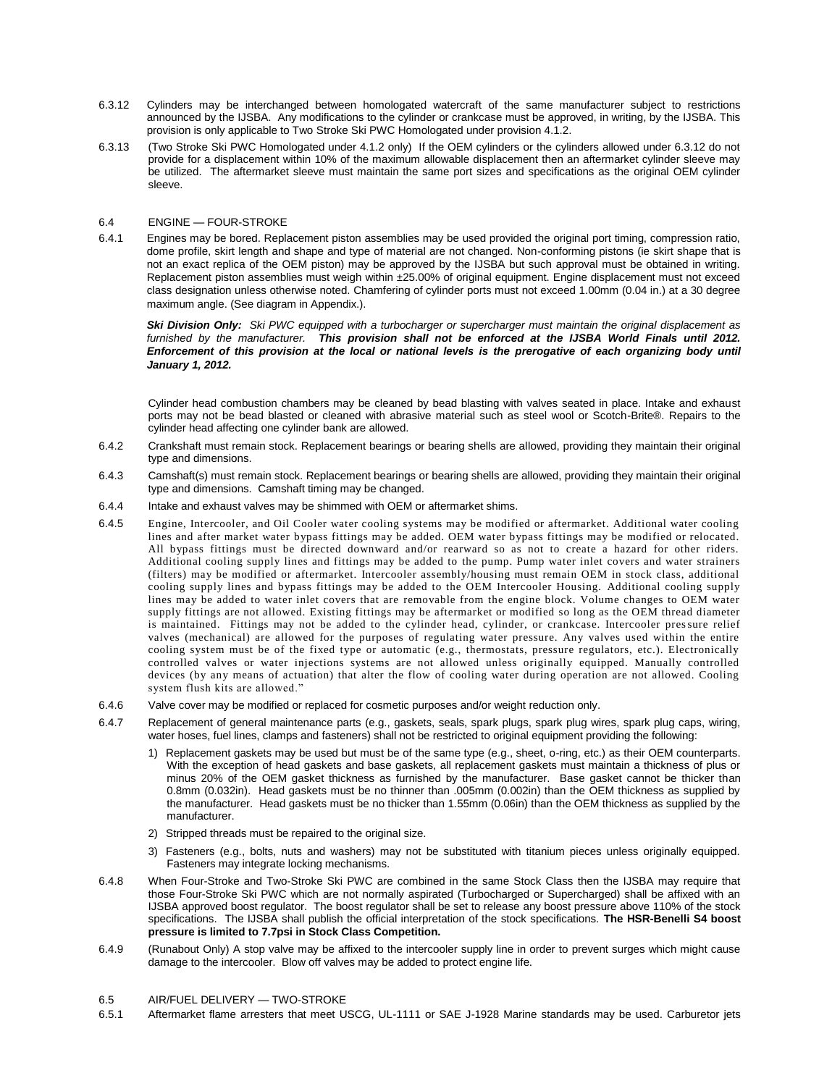- 6.3.12 Cylinders may be interchanged between homologated watercraft of the same manufacturer subject to restrictions announced by the IJSBA. Any modifications to the cylinder or crankcase must be approved, in writing, by the IJSBA. This provision is only applicable to Two Stroke Ski PWC Homologated under provision 4.1.2.
- 6.3.13 (Two Stroke Ski PWC Homologated under 4.1.2 only) If the OEM cylinders or the cylinders allowed under 6.3.12 do not provide for a displacement within 10% of the maximum allowable displacement then an aftermarket cylinder sleeve may be utilized. The aftermarket sleeve must maintain the same port sizes and specifications as the original OEM cylinder sleeve.

### 6.4 ENGINE — FOUR-STROKE

6.4.1 Engines may be bored. Replacement piston assemblies may be used provided the original port timing, compression ratio, dome profile, skirt length and shape and type of material are not changed. Non-conforming pistons (ie skirt shape that is not an exact replica of the OEM piston) may be approved by the IJSBA but such approval must be obtained in writing. Replacement piston assemblies must weigh within ±25.00% of original equipment. Engine displacement must not exceed class designation unless otherwise noted. Chamfering of cylinder ports must not exceed 1.00mm (0.04 in.) at a 30 degree maximum angle. (See diagram in Appendix.).

*Ski Division Only: Ski PWC equipped with a turbocharger or supercharger must maintain the original displacement as furnished by the manufacturer. This provision shall not be enforced at the IJSBA World Finals until 2012. Enforcement of this provision at the local or national levels is the prerogative of each organizing body until January 1, 2012.*

Cylinder head combustion chambers may be cleaned by bead blasting with valves seated in place. Intake and exhaust ports may not be bead blasted or cleaned with abrasive material such as steel wool or Scotch-Brite®. Repairs to the cylinder head affecting one cylinder bank are allowed.

- 6.4.2 Crankshaft must remain stock. Replacement bearings or bearing shells are allowed, providing they maintain their original type and dimensions.
- 6.4.3 Camshaft(s) must remain stock. Replacement bearings or bearing shells are allowed, providing they maintain their original type and dimensions. Camshaft timing may be changed.
- 6.4.4 Intake and exhaust valves may be shimmed with OEM or aftermarket shims.
- 6.4.5 Engine, Intercooler, and Oil Cooler water cooling systems may be modified or aftermarket. Additional water cooling lines and after market water bypass fittings may be added. OEM water bypass fittings may be modified or relocated. All bypass fittings must be directed downward and/or rearward so as not to create a hazard for other riders. Additional cooling supply lines and fittings may be added to the pump. Pump water inlet covers and water strainers (filters) may be modified or aftermarket. Intercooler assembly/housing must remain OEM in stock class, additional cooling supply lines and bypass fittings may be added to the OEM Intercooler Housing. Additional cooling supply lines may be added to water inlet covers that are removable from the engine block. Volume changes to OEM water supply fittings are not allowed. Existing fittings may be aftermarket or modified so long as the OEM thread diameter is maintained. Fittings may not be added to the cylinder head, cylinder, or crankcase. Intercooler pressure relief valves (mechanical) are allowed for the purposes of regulating water pressure. Any valves used within the entire cooling system must be of the fixed type or automatic (e.g., thermostats, pressure regulators, etc.). Electronically controlled valves or water injections systems are not allowed unless originally equipped. Manually controlled devices (by any means of actuation) that alter the flow of cooling water during operation are not allowed. Cooling system flush kits are allowed."
- 6.4.6 Valve cover may be modified or replaced for cosmetic purposes and/or weight reduction only.
- 6.4.7 Replacement of general maintenance parts (e.g., gaskets, seals, spark plugs, spark plug wires, spark plug caps, wiring, water hoses, fuel lines, clamps and fasteners) shall not be restricted to original equipment providing the following:
	- 1) Replacement gaskets may be used but must be of the same type (e.g., sheet, o-ring, etc.) as their OEM counterparts. With the exception of head gaskets and base gaskets, all replacement gaskets must maintain a thickness of plus or minus 20% of the OEM gasket thickness as furnished by the manufacturer. Base gasket cannot be thicker than 0.8mm (0.032in). Head gaskets must be no thinner than .005mm (0.002in) than the OEM thickness as supplied by the manufacturer. Head gaskets must be no thicker than 1.55mm (0.06in) than the OEM thickness as supplied by the manufacturer.
	- 2) Stripped threads must be repaired to the original size.
	- 3) Fasteners (e.g., bolts, nuts and washers) may not be substituted with titanium pieces unless originally equipped. Fasteners may integrate locking mechanisms.
- 6.4.8 When Four-Stroke and Two-Stroke Ski PWC are combined in the same Stock Class then the IJSBA may require that those Four-Stroke Ski PWC which are not normally aspirated (Turbocharged or Supercharged) shall be affixed with an IJSBA approved boost regulator. The boost regulator shall be set to release any boost pressure above 110% of the stock specifications. The IJSBA shall publish the official interpretation of the stock specifications. **The HSR-Benelli S4 boost pressure is limited to 7.7psi in Stock Class Competition.**
- 6.4.9 (Runabout Only) A stop valve may be affixed to the intercooler supply line in order to prevent surges which might cause damage to the intercooler. Blow off valves may be added to protect engine life.
- 6.5 AIR/FUEL DELIVERY TWO-STROKE
- 6.5.1 Aftermarket flame arresters that meet USCG, UL-1111 or SAE J-1928 Marine standards may be used. Carburetor jets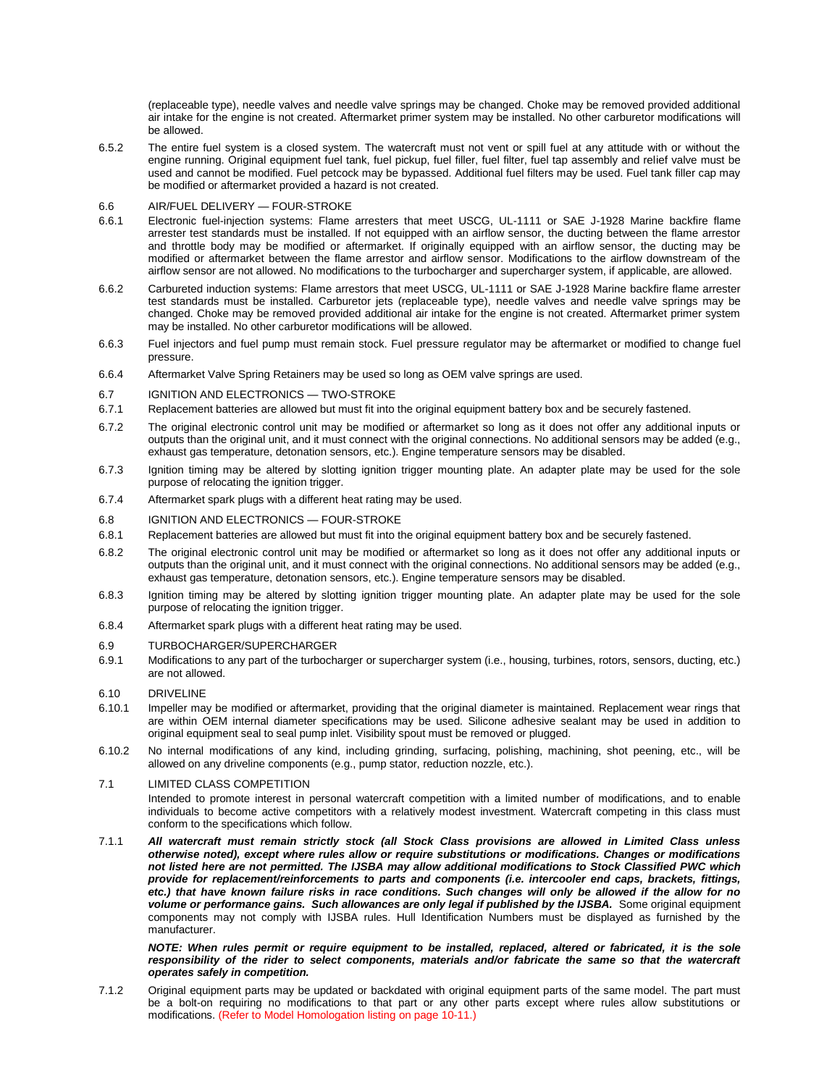(replaceable type), needle valves and needle valve springs may be changed. Choke may be removed provided additional air intake for the engine is not created. Aftermarket primer system may be installed. No other carburetor modifications will be allowed.

- 6.5.2 The entire fuel system is a closed system. The watercraft must not vent or spill fuel at any attitude with or without the engine running. Original equipment fuel tank, fuel pickup, fuel filler, fuel filter, fuel tap assembly and relief valve must be used and cannot be modified. Fuel petcock may be bypassed. Additional fuel filters may be used. Fuel tank filler cap may be modified or aftermarket provided a hazard is not created.
- 6.6 AIR/FUEL DELIVERY FOUR-STROKE
- 6.6.1 Electronic fuel-injection systems: Flame arresters that meet USCG, UL-1111 or SAE J-1928 Marine backfire flame arrester test standards must be installed. If not equipped with an airflow sensor, the ducting between the flame arrestor and throttle body may be modified or aftermarket. If originally equipped with an airflow sensor, the ducting may be modified or aftermarket between the flame arrestor and airflow sensor. Modifications to the airflow downstream of the airflow sensor are not allowed. No modifications to the turbocharger and supercharger system, if applicable, are allowed.
- 6.6.2 Carbureted induction systems: Flame arrestors that meet USCG, UL-1111 or SAE J-1928 Marine backfire flame arrester test standards must be installed. Carburetor jets (replaceable type), needle valves and needle valve springs may be changed. Choke may be removed provided additional air intake for the engine is not created. Aftermarket primer system may be installed. No other carburetor modifications will be allowed.
- 6.6.3 Fuel injectors and fuel pump must remain stock. Fuel pressure regulator may be aftermarket or modified to change fuel pressure.
- 6.6.4 Aftermarket Valve Spring Retainers may be used so long as OEM valve springs are used.
- 6.7 IGNITION AND ELECTRONICS TWO-STROKE
- 6.7.1 Replacement batteries are allowed but must fit into the original equipment battery box and be securely fastened.
- 6.7.2 The original electronic control unit may be modified or aftermarket so long as it does not offer any additional inputs or outputs than the original unit, and it must connect with the original connections. No additional sensors may be added (e.g., exhaust gas temperature, detonation sensors, etc.). Engine temperature sensors may be disabled.
- 6.7.3 Ignition timing may be altered by slotting ignition trigger mounting plate. An adapter plate may be used for the sole purpose of relocating the ignition trigger.
- 6.7.4 Aftermarket spark plugs with a different heat rating may be used.
- 6.8 IGNITION AND ELECTRONICS FOUR-STROKE
- 6.8.1 Replacement batteries are allowed but must fit into the original equipment battery box and be securely fastened.
- 6.8.2 The original electronic control unit may be modified or aftermarket so long as it does not offer any additional inputs or outputs than the original unit, and it must connect with the original connections. No additional sensors may be added (e.g., exhaust gas temperature, detonation sensors, etc.). Engine temperature sensors may be disabled.
- 6.8.3 Ignition timing may be altered by slotting ignition trigger mounting plate. An adapter plate may be used for the sole purpose of relocating the ignition trigger.
- 6.8.4 Aftermarket spark plugs with a different heat rating may be used.
- 6.9 TURBOCHARGER/SUPERCHARGER
- 6.9.1 Modifications to any part of the turbocharger or supercharger system (i.e., housing, turbines, rotors, sensors, ducting, etc.) are not allowed.
- 6.10 DRIVELINE
- 6.10.1 Impeller may be modified or aftermarket, providing that the original diameter is maintained. Replacement wear rings that are within OEM internal diameter specifications may be used. Silicone adhesive sealant may be used in addition to original equipment seal to seal pump inlet. Visibility spout must be removed or plugged.
- 6.10.2 No internal modifications of any kind, including grinding, surfacing, polishing, machining, shot peening, etc., will be allowed on any driveline components (e.g., pump stator, reduction nozzle, etc.).

### 7.1 LIMITED CLASS COMPETITION

Intended to promote interest in personal watercraft competition with a limited number of modifications, and to enable individuals to become active competitors with a relatively modest investment. Watercraft competing in this class must conform to the specifications which follow.

7.1.1 *All watercraft must remain strictly stock (all Stock Class provisions are allowed in Limited Class unless otherwise noted), except where rules allow or require substitutions or modifications. Changes or modifications not listed here are not permitted. The IJSBA may allow additional modifications to Stock Classified PWC which provide for replacement/reinforcements to parts and components (i.e. intercooler end caps, brackets, fittings,*  etc.) that have known failure risks in race conditions. Such changes will only be allowed if the allow for no volume or performance gains. Such allowances are only legal if published by the IJSBA. Some original equipment components may not comply with IJSBA rules. Hull Identification Numbers must be displayed as furnished by the manufacturer.

#### *NOTE: When rules permit or require equipment to be installed, replaced, altered or fabricated, it is the sole*  responsibility of the rider to select components, materials and/or fabricate the same so that the watercraft *operates safely in competition.*

7.1.2 Original equipment parts may be updated or backdated with original equipment parts of the same model. The part must be a bolt-on requiring no modifications to that part or any other parts except where rules allow substitutions or modifications. (Refer to Model Homologation listing on page 10-11.)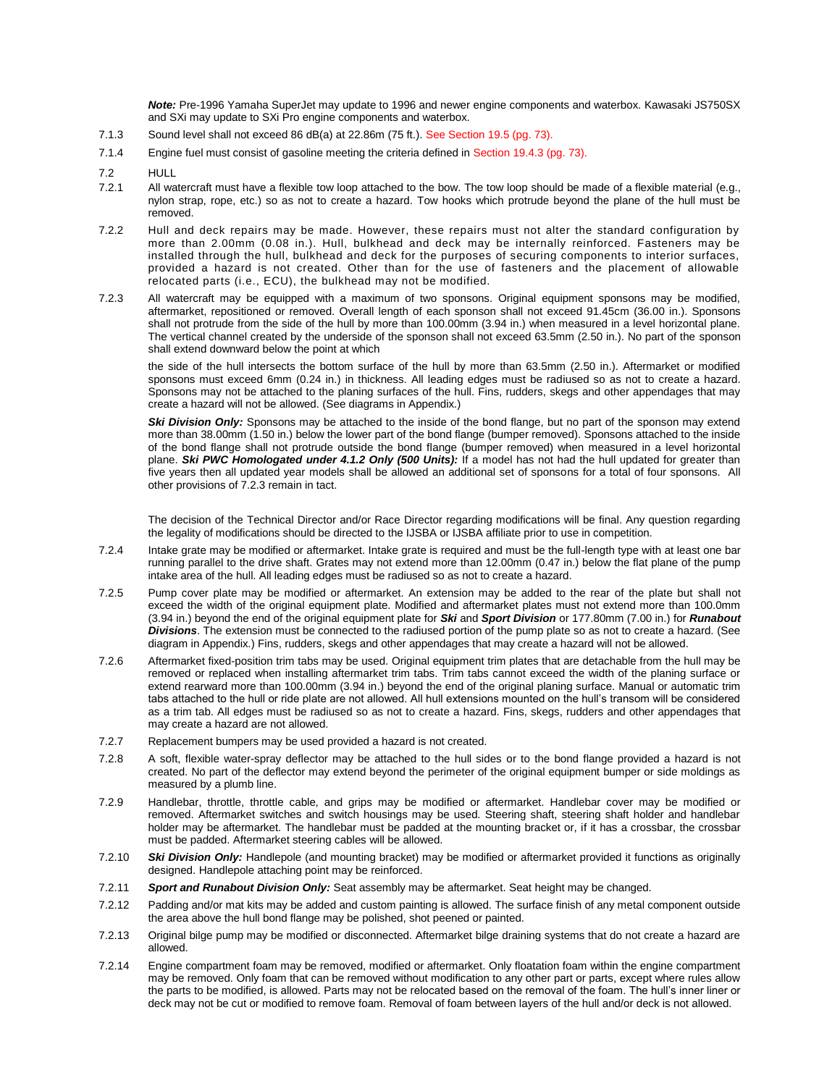*Note:* Pre-1996 Yamaha SuperJet may update to 1996 and newer engine components and waterbox. Kawasaki JS750SX and SXi may update to SXi Pro engine components and waterbox.

- 7.1.3 Sound level shall not exceed 86 dB(a) at 22.86m (75 ft.). See Section 19.5 (pg. 73).
- 7.1.4 Engine fuel must consist of gasoline meeting the criteria defined in Section 19.4.3 (pg. 73).
- 7.2 HULL
- 7.2.1 All watercraft must have a flexible tow loop attached to the bow. The tow loop should be made of a flexible material (e.g., nylon strap, rope, etc.) so as not to create a hazard. Tow hooks which protrude beyond the plane of the hull must be removed.
- 7.2.2 Hull and deck repairs may be made. However, these repairs must not alter the standard configuration by more than 2.00mm (0.08 in.). Hull, bulkhead and deck may be internally reinforced. Fasteners may be installed through the hull, bulkhead and deck for the purposes of securing components to interior surfaces, provided a hazard is not created. Other than for the use of fasteners and the placement of allowable relocated parts (i.e., ECU), the bulkhead may not be modified.
- 7.2.3 All watercraft may be equipped with a maximum of two sponsons. Original equipment sponsons may be modified, aftermarket, repositioned or removed. Overall length of each sponson shall not exceed 91.45cm (36.00 in.). Sponsons shall not protrude from the side of the hull by more than 100.00mm (3.94 in.) when measured in a level horizontal plane. The vertical channel created by the underside of the sponson shall not exceed 63.5mm (2.50 in.). No part of the sponson shall extend downward below the point at which

the side of the hull intersects the bottom surface of the hull by more than 63.5mm (2.50 in.). Aftermarket or modified sponsons must exceed 6mm (0.24 in.) in thickness. All leading edges must be radiused so as not to create a hazard. Sponsons may not be attached to the planing surfaces of the hull. Fins, rudders, skegs and other appendages that may create a hazard will not be allowed. (See diagrams in Appendix.)

Ski Division Only: Sponsons may be attached to the inside of the bond flange, but no part of the sponson may extend more than 38.00mm (1.50 in.) below the lower part of the bond flange (bumper removed). Sponsons attached to the inside of the bond flange shall not protrude outside the bond flange (bumper removed) when measured in a level horizontal plane. *Ski PWC Homologated under 4.1.2 Only (500 Units):* If a model has not had the hull updated for greater than five years then all updated year models shall be allowed an additional set of sponsons for a total of four sponsons. All other provisions of 7.2.3 remain in tact.

The decision of the Technical Director and/or Race Director regarding modifications will be final. Any question regarding the legality of modifications should be directed to the IJSBA or IJSBA affiliate prior to use in competition.

- 7.2.4 Intake grate may be modified or aftermarket. Intake grate is required and must be the full-length type with at least one bar running parallel to the drive shaft. Grates may not extend more than 12.00mm (0.47 in.) below the flat plane of the pump intake area of the hull. All leading edges must be radiused so as not to create a hazard.
- 7.2.5 Pump cover plate may be modified or aftermarket. An extension may be added to the rear of the plate but shall not exceed the width of the original equipment plate. Modified and aftermarket plates must not extend more than 100.0mm (3.94 in.) beyond the end of the original equipment plate for *Ski* and *Sport Division* or 177.80mm (7.00 in.) for *Runabout Divisions*. The extension must be connected to the radiused portion of the pump plate so as not to create a hazard. (See diagram in Appendix.) Fins, rudders, skegs and other appendages that may create a hazard will not be allowed.
- 7.2.6 Aftermarket fixed-position trim tabs may be used. Original equipment trim plates that are detachable from the hull may be removed or replaced when installing aftermarket trim tabs. Trim tabs cannot exceed the width of the planing surface or extend rearward more than 100.00mm (3.94 in.) beyond the end of the original planing surface. Manual or automatic trim tabs attached to the hull or ride plate are not allowed. All hull extensions mounted on the hull's transom will be considered as a trim tab. All edges must be radiused so as not to create a hazard. Fins, skegs, rudders and other appendages that may create a hazard are not allowed.
- 7.2.7 Replacement bumpers may be used provided a hazard is not created.
- 7.2.8 A soft, flexible water-spray deflector may be attached to the hull sides or to the bond flange provided a hazard is not created. No part of the deflector may extend beyond the perimeter of the original equipment bumper or side moldings as measured by a plumb line.
- 7.2.9 Handlebar, throttle, throttle cable, and grips may be modified or aftermarket. Handlebar cover may be modified or removed. Aftermarket switches and switch housings may be used. Steering shaft, steering shaft holder and handlebar holder may be aftermarket. The handlebar must be padded at the mounting bracket or, if it has a crossbar, the crossbar must be padded. Aftermarket steering cables will be allowed.
- 7.2.10 *Ski Division Only:* Handlepole (and mounting bracket) may be modified or aftermarket provided it functions as originally designed. Handlepole attaching point may be reinforced.
- 7.2.11 *Sport and Runabout Division Only:* Seat assembly may be aftermarket. Seat height may be changed.
- 7.2.12 Padding and/or mat kits may be added and custom painting is allowed. The surface finish of any metal component outside the area above the hull bond flange may be polished, shot peened or painted.
- 7.2.13 Original bilge pump may be modified or disconnected. Aftermarket bilge draining systems that do not create a hazard are allowed.
- 7.2.14 Engine compartment foam may be removed, modified or aftermarket. Only floatation foam within the engine compartment may be removed. Only foam that can be removed without modification to any other part or parts, except where rules allow the parts to be modified, is allowed. Parts may not be relocated based on the removal of the foam. The hull's inner liner or deck may not be cut or modified to remove foam. Removal of foam between layers of the hull and/or deck is not allowed.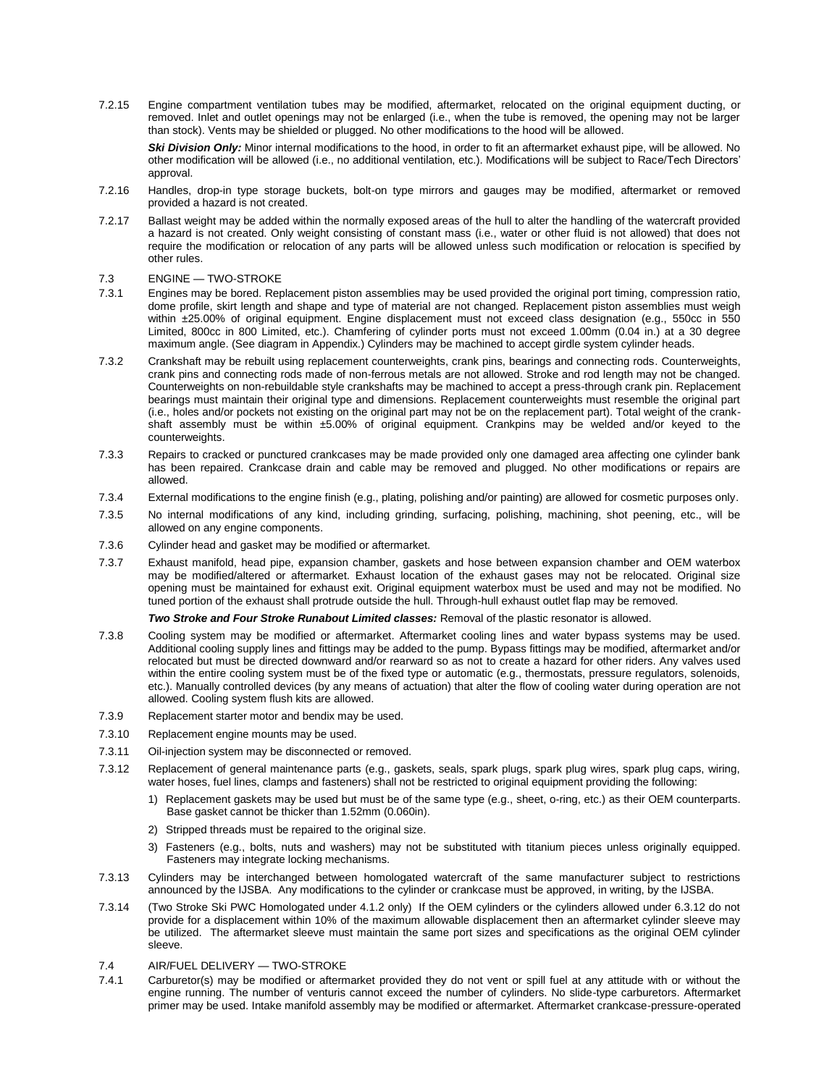7.2.15 Engine compartment ventilation tubes may be modified, aftermarket, relocated on the original equipment ducting, or removed. Inlet and outlet openings may not be enlarged (i.e., when the tube is removed, the opening may not be larger than stock). Vents may be shielded or plugged. No other modifications to the hood will be allowed.

*Ski Division Only:* Minor internal modifications to the hood, in order to fit an aftermarket exhaust pipe, will be allowed. No other modification will be allowed (i.e., no additional ventilation, etc.). Modifications will be subject to Race/Tech Directors' approval.

- 7.2.16 Handles, drop-in type storage buckets, bolt-on type mirrors and gauges may be modified, aftermarket or removed provided a hazard is not created.
- 7.2.17 Ballast weight may be added within the normally exposed areas of the hull to alter the handling of the watercraft provided a hazard is not created. Only weight consisting of constant mass (i.e., water or other fluid is not allowed) that does not require the modification or relocation of any parts will be allowed unless such modification or relocation is specified by other rules.

### 7.3 ENGINE — TWO-STROKE

- 7.3.1 Engines may be bored. Replacement piston assemblies may be used provided the original port timing, compression ratio, dome profile, skirt length and shape and type of material are not changed. Replacement piston assemblies must weigh within ±25.00% of original equipment. Engine displacement must not exceed class designation (e.g., 550cc in 550 Limited, 800cc in 800 Limited, etc.). Chamfering of cylinder ports must not exceed 1.00mm (0.04 in.) at a 30 degree maximum angle. (See diagram in Appendix.) Cylinders may be machined to accept girdle system cylinder heads.
- 7.3.2 Crankshaft may be rebuilt using replacement counterweights, crank pins, bearings and connecting rods. Counterweights, crank pins and connecting rods made of non-ferrous metals are not allowed. Stroke and rod length may not be changed. Counterweights on non-rebuildable style crankshafts may be machined to accept a press-through crank pin. Replacement bearings must maintain their original type and dimensions. Replacement counterweights must resemble the original part (i.e., holes and/or pockets not existing on the original part may not be on the replacement part). Total weight of the crankshaft assembly must be within ±5.00% of original equipment. Crankpins may be welded and/or keyed to the counterweights.
- 7.3.3 Repairs to cracked or punctured crankcases may be made provided only one damaged area affecting one cylinder bank has been repaired. Crankcase drain and cable may be removed and plugged. No other modifications or repairs are allowed.
- 7.3.4 External modifications to the engine finish (e.g., plating, polishing and/or painting) are allowed for cosmetic purposes only.
- 7.3.5 No internal modifications of any kind, including grinding, surfacing, polishing, machining, shot peening, etc., will be allowed on any engine components.
- 7.3.6 Cylinder head and gasket may be modified or aftermarket.
- 7.3.7 Exhaust manifold, head pipe, expansion chamber, gaskets and hose between expansion chamber and OEM waterbox may be modified/altered or aftermarket. Exhaust location of the exhaust gases may not be relocated. Original size opening must be maintained for exhaust exit. Original equipment waterbox must be used and may not be modified. No tuned portion of the exhaust shall protrude outside the hull. Through-hull exhaust outlet flap may be removed.

*Two Stroke and Four Stroke Runabout Limited classes:* Removal of the plastic resonator is allowed.

- 7.3.8 Cooling system may be modified or aftermarket. Aftermarket cooling lines and water bypass systems may be used. Additional cooling supply lines and fittings may be added to the pump. Bypass fittings may be modified, aftermarket and/or relocated but must be directed downward and/or rearward so as not to create a hazard for other riders. Any valves used within the entire cooling system must be of the fixed type or automatic (e.g., thermostats, pressure regulators, solenoids, etc.). Manually controlled devices (by any means of actuation) that alter the flow of cooling water during operation are not allowed. Cooling system flush kits are allowed.
- 7.3.9 Replacement starter motor and bendix may be used.
- 7.3.10 Replacement engine mounts may be used.
- 7.3.11 Oil-injection system may be disconnected or removed.
- 7.3.12 Replacement of general maintenance parts (e.g., gaskets, seals, spark plugs, spark plug wires, spark plug caps, wiring, water hoses, fuel lines, clamps and fasteners) shall not be restricted to original equipment providing the following:
	- 1) Replacement gaskets may be used but must be of the same type (e.g., sheet, o-ring, etc.) as their OEM counterparts. Base gasket cannot be thicker than 1.52mm (0.060in).
	- 2) Stripped threads must be repaired to the original size.
	- 3) Fasteners (e.g., bolts, nuts and washers) may not be substituted with titanium pieces unless originally equipped. Fasteners may integrate locking mechanisms.
- 7.3.13 Cylinders may be interchanged between homologated watercraft of the same manufacturer subject to restrictions announced by the IJSBA. Any modifications to the cylinder or crankcase must be approved, in writing, by the IJSBA.
- 7.3.14 (Two Stroke Ski PWC Homologated under 4.1.2 only) If the OEM cylinders or the cylinders allowed under 6.3.12 do not provide for a displacement within 10% of the maximum allowable displacement then an aftermarket cylinder sleeve may be utilized. The aftermarket sleeve must maintain the same port sizes and specifications as the original OEM cylinder sleeve.

### 7.4 AIR/FUEL DELIVERY — TWO-STROKE

7.4.1 Carburetor(s) may be modified or aftermarket provided they do not vent or spill fuel at any attitude with or without the engine running. The number of venturis cannot exceed the number of cylinders. No slide-type carburetors. Aftermarket primer may be used. Intake manifold assembly may be modified or aftermarket. Aftermarket crankcase-pressure-operated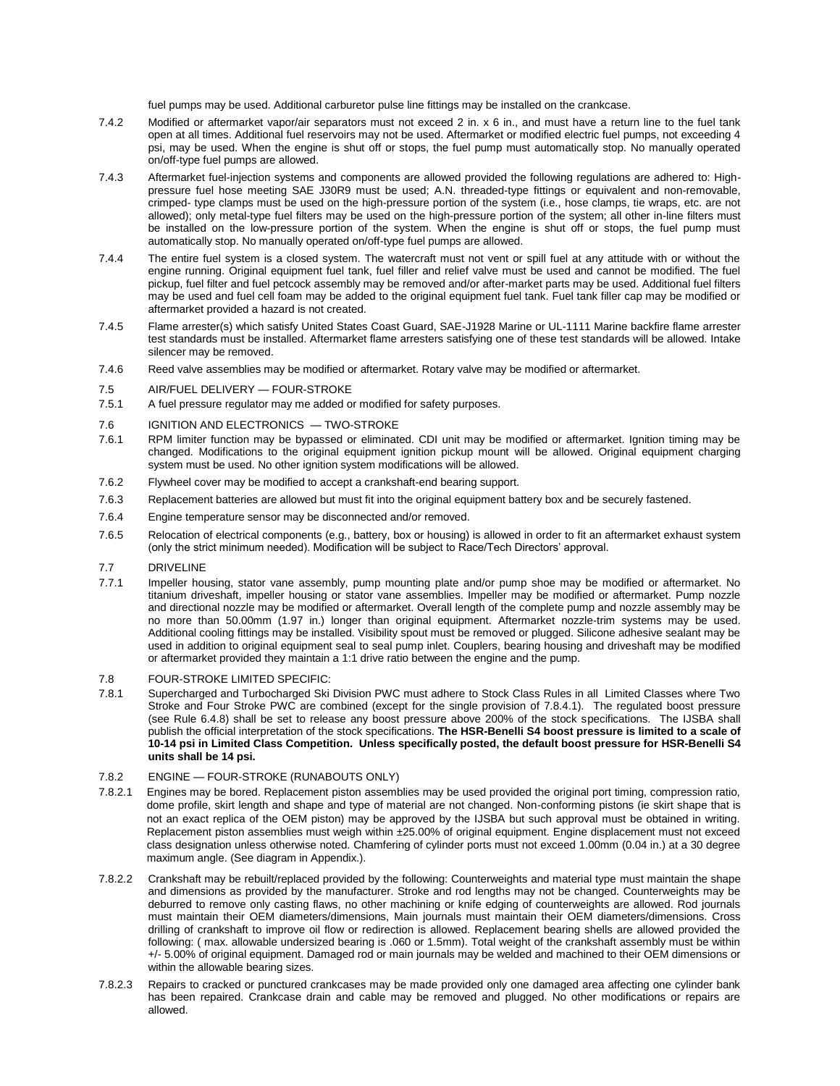fuel pumps may be used. Additional carburetor pulse line fittings may be installed on the crankcase.

- 7.4.2 Modified or aftermarket vapor/air separators must not exceed 2 in. x 6 in., and must have a return line to the fuel tank open at all times. Additional fuel reservoirs may not be used. Aftermarket or modified electric fuel pumps, not exceeding 4 psi, may be used. When the engine is shut off or stops, the fuel pump must automatically stop. No manually operated on/off-type fuel pumps are allowed.
- 7.4.3 Aftermarket fuel-injection systems and components are allowed provided the following regulations are adhered to: Highpressure fuel hose meeting SAE J30R9 must be used; A.N. threaded-type fittings or equivalent and non-removable, crimped- type clamps must be used on the high-pressure portion of the system (i.e., hose clamps, tie wraps, etc. are not allowed); only metal-type fuel filters may be used on the high-pressure portion of the system; all other in-line filters must be installed on the low-pressure portion of the system. When the engine is shut off or stops, the fuel pump must automatically stop. No manually operated on/off-type fuel pumps are allowed.
- 7.4.4 The entire fuel system is a closed system. The watercraft must not vent or spill fuel at any attitude with or without the engine running. Original equipment fuel tank, fuel filler and relief valve must be used and cannot be modified. The fuel pickup, fuel filter and fuel petcock assembly may be removed and/or after-market parts may be used. Additional fuel filters may be used and fuel cell foam may be added to the original equipment fuel tank. Fuel tank filler cap may be modified or aftermarket provided a hazard is not created.
- 7.4.5 Flame arrester(s) which satisfy United States Coast Guard, SAE-J1928 Marine or UL-1111 Marine backfire flame arrester test standards must be installed. Aftermarket flame arresters satisfying one of these test standards will be allowed. Intake silencer may be removed.
- 7.4.6 Reed valve assemblies may be modified or aftermarket. Rotary valve may be modified or aftermarket.
- 7.5 AIR/FUEL DELIVERY FOUR-STROKE
- 7.5.1 A fuel pressure regulator may me added or modified for safety purposes.
- 7.6 IGNITION AND ELECTRONICS TWO-STROKE
- 7.6.1 RPM limiter function may be bypassed or eliminated. CDI unit may be modified or aftermarket. Ignition timing may be changed. Modifications to the original equipment ignition pickup mount will be allowed. Original equipment charging system must be used. No other ignition system modifications will be allowed.
- 7.6.2 Flywheel cover may be modified to accept a crankshaft-end bearing support.
- 7.6.3 Replacement batteries are allowed but must fit into the original equipment battery box and be securely fastened.
- 7.6.4 Engine temperature sensor may be disconnected and/or removed.
- 7.6.5 Relocation of electrical components (e.g., battery, box or housing) is allowed in order to fit an aftermarket exhaust system (only the strict minimum needed). Modification will be subject to Race/Tech Directors' approval.
- 7.7 DRIVELINE
- 7.7.1 Impeller housing, stator vane assembly, pump mounting plate and/or pump shoe may be modified or aftermarket. No titanium driveshaft, impeller housing or stator vane assemblies. Impeller may be modified or aftermarket. Pump nozzle and directional nozzle may be modified or aftermarket. Overall length of the complete pump and nozzle assembly may be no more than 50.00mm (1.97 in.) longer than original equipment. Aftermarket nozzle-trim systems may be used. Additional cooling fittings may be installed. Visibility spout must be removed or plugged. Silicone adhesive sealant may be used in addition to original equipment seal to seal pump inlet. Couplers, bearing housing and driveshaft may be modified or aftermarket provided they maintain a 1:1 drive ratio between the engine and the pump.
- 7.8 FOUR-STROKE LIMITED SPECIFIC:
- 7.8.1 Supercharged and Turbocharged Ski Division PWC must adhere to Stock Class Rules in all Limited Classes where Two Stroke and Four Stroke PWC are combined (except for the single provision of 7.8.4.1). The regulated boost pressure (see Rule 6.4.8) shall be set to release any boost pressure above 200% of the stock specifications. The IJSBA shall publish the official interpretation of the stock specifications. **The HSR-Benelli S4 boost pressure is limited to a scale of 10-14 psi in Limited Class Competition. Unless specifically posted, the default boost pressure for HSR-Benelli S4 units shall be 14 psi.**

#### 7.8.2 ENGINE — FOUR-STROKE (RUNABOUTS ONLY)

- 7.8.2.1 Engines may be bored. Replacement piston assemblies may be used provided the original port timing, compression ratio, dome profile, skirt length and shape and type of material are not changed. Non-conforming pistons (ie skirt shape that is not an exact replica of the OEM piston) may be approved by the IJSBA but such approval must be obtained in writing. Replacement piston assemblies must weigh within ±25.00% of original equipment. Engine displacement must not exceed class designation unless otherwise noted. Chamfering of cylinder ports must not exceed 1.00mm (0.04 in.) at a 30 degree maximum angle. (See diagram in Appendix.).
- 7.8.2.2 Crankshaft may be rebuilt/replaced provided by the following: Counterweights and material type must maintain the shape and dimensions as provided by the manufacturer. Stroke and rod lengths may not be changed. Counterweights may be deburred to remove only casting flaws, no other machining or knife edging of counterweights are allowed. Rod journals must maintain their OEM diameters/dimensions, Main journals must maintain their OEM diameters/dimensions. Cross drilling of crankshaft to improve oil flow or redirection is allowed. Replacement bearing shells are allowed provided the following: ( max. allowable undersized bearing is .060 or 1.5mm). Total weight of the crankshaft assembly must be within +/- 5.00% of original equipment. Damaged rod or main journals may be welded and machined to their OEM dimensions or within the allowable bearing sizes.
- 7.8.2.3 Repairs to cracked or punctured crankcases may be made provided only one damaged area affecting one cylinder bank has been repaired. Crankcase drain and cable may be removed and plugged. No other modifications or repairs are allowed.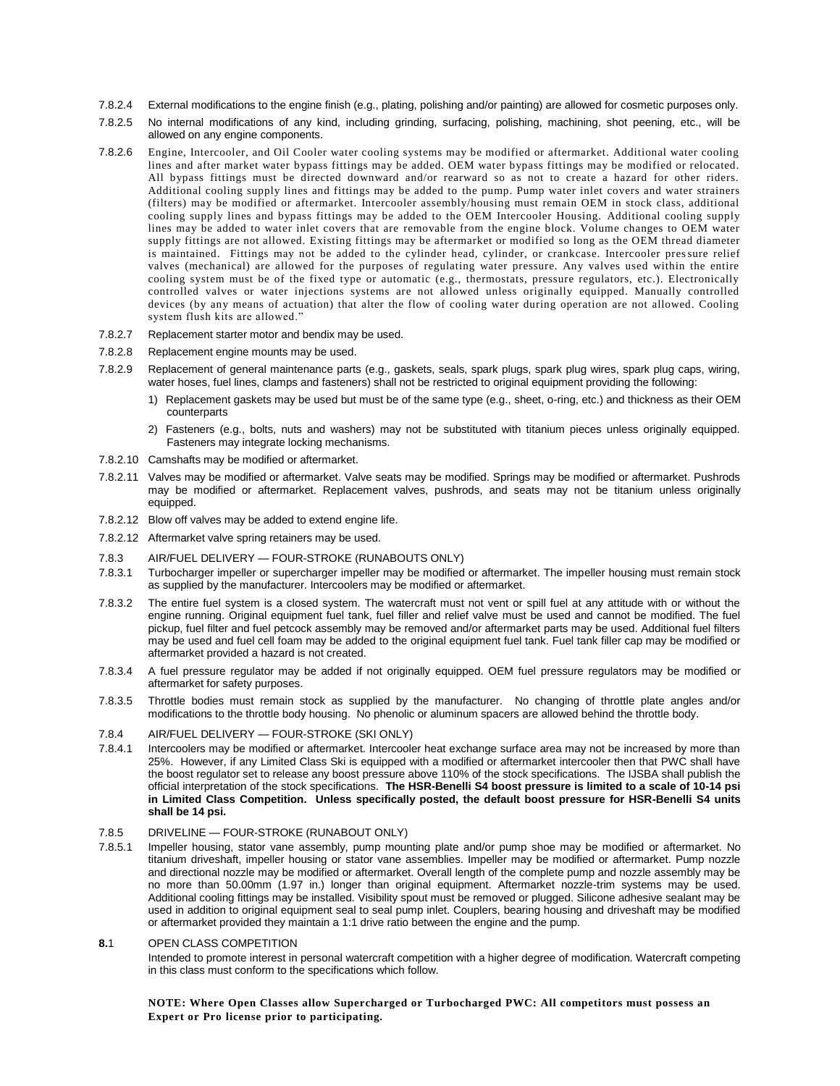- 7.8.2.4 External modifications to the engine finish (e.g., plating, polishing and/or painting) are allowed for cosmetic purposes only.
- 7.8.2.5 No internal modifications of any kind, including grinding, surfacing, polishing, machining, shot peening, etc., will be allowed on any engine components.
- 7.8.2.6 Engine, Intercooler, and Oil Cooler water cooling systems may be modified or aftermarket. Additional water cooling lines and after market water bypass fittings may be added. OEM water bypass fittings may be modified or relocated. All bypass fittings must be directed downward and/or rearward so as not to create a hazard for other riders. Additional cooling supply lines and fittings may be added to the pump. Pump water inlet covers and water strainers (filters) may be modified or aftermarket. Intercooler assembly/housing must remain OEM in stock class, additional cooling supply lines and bypass fittings may be added to the OEM Intercooler Housing. Additional cooling supply lines may be added to water inlet covers that are removable from the engine block. Volume changes to OEM water supply fittings are not allowed. Existing fittings may be aftermarket or modified so long as the OEM thread diameter is maintained. Fittings may not be added to the cylinder head, cylinder, or crankcase. Intercooler pressure relief valves (mechanical) are allowed for the purposes of regulating water pressure. Any valves used within the entire cooling system must be of the fixed type or automatic (e.g., thermostats, pressure regulators, etc.). Electronically controlled valves or water injections systems are not allowed unless originally equipped. Manually controlled devices (by any means of actuation) that alter the flow of cooling water during operation are not allowed. Cooling system flush kits are allowed."
- 7.8.2.7 Replacement starter motor and bendix may be used.

#### 7.8.2.8 Replacement engine mounts may be used.

- 7.8.2.9 Replacement of general maintenance parts (e.g., gaskets, seals, spark plugs, spark plug wires, spark plug caps, wiring, water hoses, fuel lines, clamps and fasteners) shall not be restricted to original equipment providing the following:
	- 1) Replacement gaskets may be used but must be of the same type (e.g., sheet, o-ring, etc.) and thickness as their OEM counterparts
	- 2) Fasteners (e.g., bolts, nuts and washers) may not be substituted with titanium pieces unless originally equipped. Fasteners may integrate locking mechanisms.
- 7.8.2.10 Camshafts may be modified or aftermarket.
- 7.8.2.11 Valves may be modified or aftermarket. Valve seats may be modified. Springs may be modified or aftermarket. Pushrods may be modified or aftermarket. Replacement valves, pushrods, and seats may not be titanium unless originally equipped.
- 7.8.2.12 Blow off valves may be added to extend engine life.
- 7.8.2.12 Aftermarket valve spring retainers may be used.
- 7.8.3 AIR/FUEL DELIVERY FOUR-STROKE (RUNABOUTS ONLY)
- 7.8.3.1 Turbocharger impeller or supercharger impeller may be modified or aftermarket. The impeller housing must remain stock as supplied by the manufacturer. Intercoolers may be modified or aftermarket.
- 7.8.3.2 The entire fuel system is a closed system. The watercraft must not vent or spill fuel at any attitude with or without the engine running. Original equipment fuel tank, fuel filler and relief valve must be used and cannot be modified. The fuel pickup, fuel filter and fuel petcock assembly may be removed and/or aftermarket parts may be used. Additional fuel filters may be used and fuel cell foam may be added to the original equipment fuel tank. Fuel tank filler cap may be modified or aftermarket provided a hazard is not created.
- 7.8.3.4 A fuel pressure regulator may be added if not originally equipped. OEM fuel pressure regulators may be modified or aftermarket for safety purposes.
- 7.8.3.5 Throttle bodies must remain stock as supplied by the manufacturer. No changing of throttle plate angles and/or modifications to the throttle body housing. No phenolic or aluminum spacers are allowed behind the throttle body.

#### 7.8.4 AIR/FUEL DELIVERY — FOUR-STROKE (SKI ONLY)

7.8.4.1 Intercoolers may be modified or aftermarket. Intercooler heat exchange surface area may not be increased by more than 25%. However, if any Limited Class Ski is equipped with a modified or aftermarket intercooler then that PWC shall have the boost regulator set to release any boost pressure above 110% of the stock specifications. The IJSBA shall publish the official interpretation of the stock specifications. **The HSR-Benelli S4 boost pressure is limited to a scale of 10-14 psi in Limited Class Competition. Unless specifically posted, the default boost pressure for HSR-Benelli S4 units shall be 14 psi.**

#### 7.8.5 DRIVELINE — FOUR-STROKE (RUNABOUT ONLY)

7.8.5.1 Impeller housing, stator vane assembly, pump mounting plate and/or pump shoe may be modified or aftermarket. No titanium driveshaft, impeller housing or stator vane assemblies. Impeller may be modified or aftermarket. Pump nozzle and directional nozzle may be modified or aftermarket. Overall length of the complete pump and nozzle assembly may be no more than 50.00mm (1.97 in.) longer than original equipment. Aftermarket nozzle-trim systems may be used. Additional cooling fittings may be installed. Visibility spout must be removed or plugged. Silicone adhesive sealant may be used in addition to original equipment seal to seal pump inlet. Couplers, bearing housing and driveshaft may be modified or aftermarket provided they maintain a 1:1 drive ratio between the engine and the pump.

### **8.**1 OPEN CLASS COMPETITION

Intended to promote interest in personal watercraft competition with a higher degree of modification. Watercraft competing in this class must conform to the specifications which follow.

**NOTE: Where Open Classes allow Supercharged or Turbocharged PWC: All competitors must possess an Expert or Pro license prior to participating.**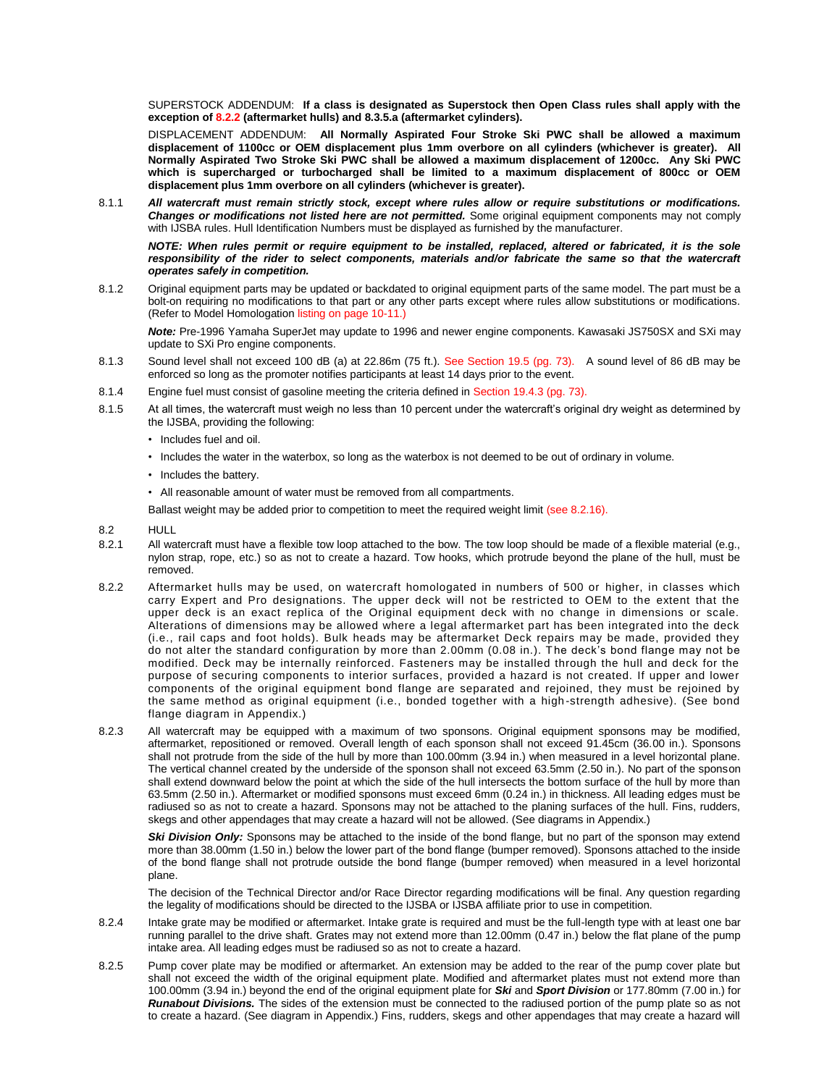SUPERSTOCK ADDENDUM: **If a class is designated as Superstock then Open Class rules shall apply with the exception of 8.2.2 (aftermarket hulls) and 8.3.5.a (aftermarket cylinders).**

DISPLACEMENT ADDENDUM: **All Normally Aspirated Four Stroke Ski PWC shall be allowed a maximum displacement of 1100cc or OEM displacement plus 1mm overbore on all cylinders (whichever is greater). All Normally Aspirated Two Stroke Ski PWC shall be allowed a maximum displacement of 1200cc. Any Ski PWC which is supercharged or turbocharged shall be limited to a maximum displacement of 800cc or OEM displacement plus 1mm overbore on all cylinders (whichever is greater).** 

8.1.1 *All watercraft must remain strictly stock, except where rules allow or require substitutions or modifications. Changes or modifications not listed here are not permitted.* Some original equipment components may not comply with IJSBA rules. Hull Identification Numbers must be displayed as furnished by the manufacturer.

*NOTE: When rules permit or require equipment to be installed, replaced, altered or fabricated, it is the sole*  responsibility of the rider to select components, materials and/or fabricate the same so that the watercraft *operates safely in competition.* 

8.1.2 Original equipment parts may be updated or backdated to original equipment parts of the same model. The part must be a bolt-on requiring no modifications to that part or any other parts except where rules allow substitutions or modifications. (Refer to Model Homologation listing on page 10-11.)

*Note:* Pre-1996 Yamaha SuperJet may update to 1996 and newer engine components. Kawasaki JS750SX and SXi may update to SXi Pro engine components.

- 8.1.3 Sound level shall not exceed 100 dB (a) at 22.86m (75 ft.). See Section 19.5 (pg. 73). A sound level of 86 dB may be enforced so long as the promoter notifies participants at least 14 days prior to the event.
- 8.1.4 Engine fuel must consist of gasoline meeting the criteria defined in Section 19.4.3 (pg. 73).
- 8.1.5 At all times, the watercraft must weigh no less than 10 percent under the watercraft's original dry weight as determined by the IJSBA, providing the following:
	- Includes fuel and oil.
	- Includes the water in the waterbox, so long as the waterbox is not deemed to be out of ordinary in volume.
	- Includes the battery.
	- All reasonable amount of water must be removed from all compartments.

Ballast weight may be added prior to competition to meet the required weight limit (see 8.2.16).

- 8.2 HULL
- 8.2.1 All watercraft must have a flexible tow loop attached to the bow. The tow loop should be made of a flexible material (e.g., nylon strap, rope, etc.) so as not to create a hazard. Tow hooks, which protrude beyond the plane of the hull, must be removed.
- 8.2.2 Aftermarket hulls may be used, on watercraft homologated in numbers of 500 or higher, in classes which carry Expert and Pro designations. The upper deck will not be restricted to OEM to the extent that the upper deck is an exact replica of the Original equipment deck with no change in dimensions or scale. Alterations of dimensions may be allowed where a legal aftermarket part has been integrated into the deck (i.e., rail caps and foot holds). Bulk heads may be aftermarket Deck repairs may be made, provided they do not alter the standard configuration by more than 2.00mm (0.08 in.). The deck's bond flange may not be modified. Deck may be internally reinforced. Fasteners may be installed through the hull and deck for the purpose of securing components to interior surfaces, provided a hazard is not created. If upper and lower components of the original equipment bond flange are separated and rejoined, they must be rejoined by the same method as original equipment (i.e., bonded together with a high -strength adhesive). (See bond flange diagram in Appendix.)
- 8.2.3 All watercraft may be equipped with a maximum of two sponsons. Original equipment sponsons may be modified, aftermarket, repositioned or removed. Overall length of each sponson shall not exceed 91.45cm (36.00 in.). Sponsons shall not protrude from the side of the hull by more than 100.00mm (3.94 in.) when measured in a level horizontal plane. The vertical channel created by the underside of the sponson shall not exceed 63.5mm (2.50 in.). No part of the sponson shall extend downward below the point at which the side of the hull intersects the bottom surface of the hull by more than 63.5mm (2.50 in.). Aftermarket or modified sponsons must exceed 6mm (0.24 in.) in thickness. All leading edges must be radiused so as not to create a hazard. Sponsons may not be attached to the planing surfaces of the hull. Fins, rudders, skegs and other appendages that may create a hazard will not be allowed. (See diagrams in Appendix.)

**Ski Division Only:** Sponsons may be attached to the inside of the bond flange, but no part of the sponson may extend more than 38.00mm (1.50 in.) below the lower part of the bond flange (bumper removed). Sponsons attached to the inside of the bond flange shall not protrude outside the bond flange (bumper removed) when measured in a level horizontal plane.

The decision of the Technical Director and/or Race Director regarding modifications will be final. Any question regarding the legality of modifications should be directed to the IJSBA or IJSBA affiliate prior to use in competition.

- 8.2.4 Intake grate may be modified or aftermarket. Intake grate is required and must be the full-length type with at least one bar running parallel to the drive shaft. Grates may not extend more than 12.00mm (0.47 in.) below the flat plane of the pump intake area. All leading edges must be radiused so as not to create a hazard.
- 8.2.5 Pump cover plate may be modified or aftermarket. An extension may be added to the rear of the pump cover plate but shall not exceed the width of the original equipment plate. Modified and aftermarket plates must not extend more than 100.00mm (3.94 in.) beyond the end of the original equipment plate for *Ski* and *Sport Division* or 177.80mm (7.00 in.) for *Runabout Divisions.* The sides of the extension must be connected to the radiused portion of the pump plate so as not to create a hazard. (See diagram in Appendix.) Fins, rudders, skegs and other appendages that may create a hazard will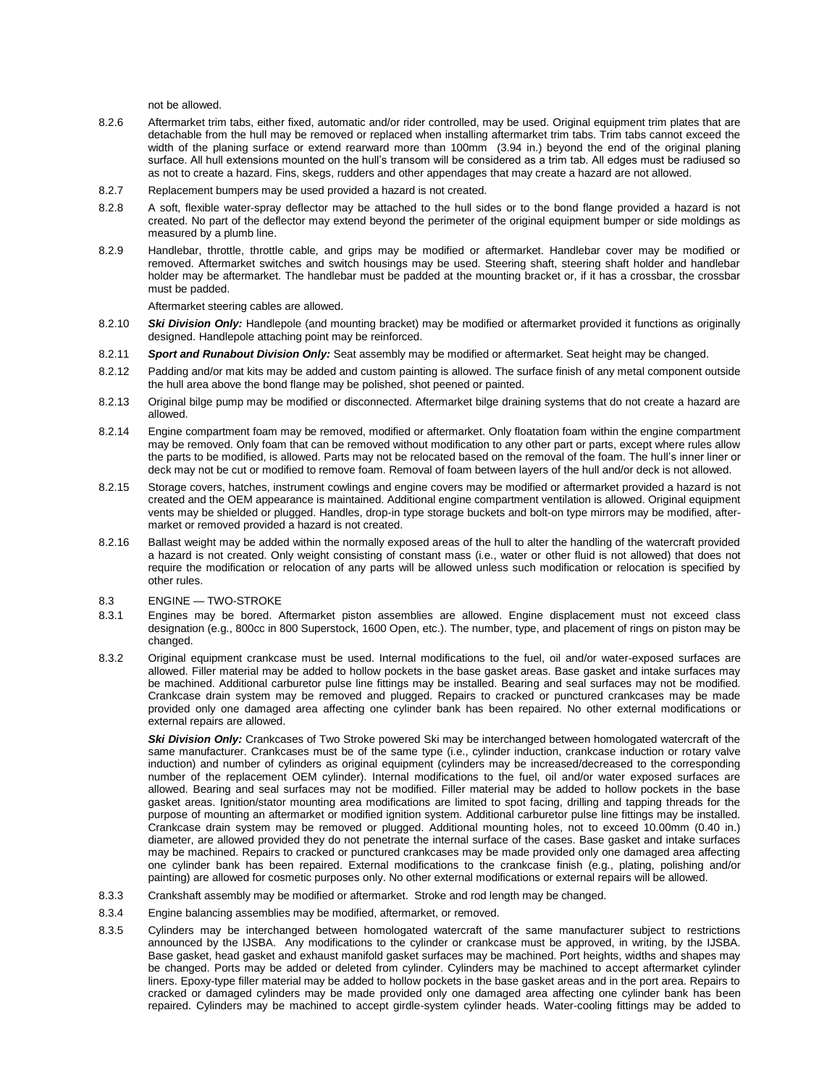not be allowed.

- 8.2.6 Aftermarket trim tabs, either fixed, automatic and/or rider controlled, may be used. Original equipment trim plates that are detachable from the hull may be removed or replaced when installing aftermarket trim tabs. Trim tabs cannot exceed the width of the planing surface or extend rearward more than 100mm (3.94 in.) beyond the end of the original planing surface. All hull extensions mounted on the hull's transom will be considered as a trim tab. All edges must be radiused so as not to create a hazard. Fins, skegs, rudders and other appendages that may create a hazard are not allowed.
- 8.2.7 Replacement bumpers may be used provided a hazard is not created.
- 8.2.8 A soft, flexible water-spray deflector may be attached to the hull sides or to the bond flange provided a hazard is not created. No part of the deflector may extend beyond the perimeter of the original equipment bumper or side moldings as measured by a plumb line.
- 8.2.9 Handlebar, throttle, throttle cable, and grips may be modified or aftermarket. Handlebar cover may be modified or removed. Aftermarket switches and switch housings may be used. Steering shaft, steering shaft holder and handlebar holder may be aftermarket. The handlebar must be padded at the mounting bracket or, if it has a crossbar, the crossbar must be padded.

Aftermarket steering cables are allowed.

- 8.2.10 *Ski Division Only:* Handlepole (and mounting bracket) may be modified or aftermarket provided it functions as originally designed. Handlepole attaching point may be reinforced.
- 8.2.11 *Sport and Runabout Division Only:* Seat assembly may be modified or aftermarket. Seat height may be changed.
- 8.2.12 Padding and/or mat kits may be added and custom painting is allowed. The surface finish of any metal component outside the hull area above the bond flange may be polished, shot peened or painted.
- 8.2.13 Original bilge pump may be modified or disconnected. Aftermarket bilge draining systems that do not create a hazard are allowed.
- 8.2.14 Engine compartment foam may be removed, modified or aftermarket. Only floatation foam within the engine compartment may be removed. Only foam that can be removed without modification to any other part or parts, except where rules allow the parts to be modified, is allowed. Parts may not be relocated based on the removal of the foam. The hull's inner liner or deck may not be cut or modified to remove foam. Removal of foam between layers of the hull and/or deck is not allowed.
- 8.2.15 Storage covers, hatches, instrument cowlings and engine covers may be modified or aftermarket provided a hazard is not created and the OEM appearance is maintained. Additional engine compartment ventilation is allowed. Original equipment vents may be shielded or plugged. Handles, drop-in type storage buckets and bolt-on type mirrors may be modified, aftermarket or removed provided a hazard is not created.
- 8.2.16 Ballast weight may be added within the normally exposed areas of the hull to alter the handling of the watercraft provided a hazard is not created. Only weight consisting of constant mass (i.e., water or other fluid is not allowed) that does not require the modification or relocation of any parts will be allowed unless such modification or relocation is specified by other rules.
- 8.3 ENGINE TWO-STROKE
- 8.3.1 Engines may be bored. Aftermarket piston assemblies are allowed. Engine displacement must not exceed class designation (e.g., 800cc in 800 Superstock, 1600 Open, etc.). The number, type, and placement of rings on piston may be changed.
- 8.3.2 Original equipment crankcase must be used. Internal modifications to the fuel, oil and/or water-exposed surfaces are allowed. Filler material may be added to hollow pockets in the base gasket areas. Base gasket and intake surfaces may be machined. Additional carburetor pulse line fittings may be installed. Bearing and seal surfaces may not be modified. Crankcase drain system may be removed and plugged. Repairs to cracked or punctured crankcases may be made provided only one damaged area affecting one cylinder bank has been repaired. No other external modifications or external repairs are allowed.

**Ski Division Only:** Crankcases of Two Stroke powered Ski may be interchanged between homologated watercraft of the same manufacturer. Crankcases must be of the same type (i.e., cylinder induction, crankcase induction or rotary valve induction) and number of cylinders as original equipment (cylinders may be increased/decreased to the corresponding number of the replacement OEM cylinder). Internal modifications to the fuel, oil and/or water exposed surfaces are allowed. Bearing and seal surfaces may not be modified. Filler material may be added to hollow pockets in the base gasket areas. Ignition/stator mounting area modifications are limited to spot facing, drilling and tapping threads for the purpose of mounting an aftermarket or modified ignition system. Additional carburetor pulse line fittings may be installed. Crankcase drain system may be removed or plugged. Additional mounting holes, not to exceed 10.00mm (0.40 in.) diameter, are allowed provided they do not penetrate the internal surface of the cases. Base gasket and intake surfaces may be machined. Repairs to cracked or punctured crankcases may be made provided only one damaged area affecting one cylinder bank has been repaired. External modifications to the crankcase finish (e.g., plating, polishing and/or painting) are allowed for cosmetic purposes only. No other external modifications or external repairs will be allowed.

- 8.3.3 Crankshaft assembly may be modified or aftermarket. Stroke and rod length may be changed.
- 8.3.4 Engine balancing assemblies may be modified, aftermarket, or removed.
- 8.3.5 Cylinders may be interchanged between homologated watercraft of the same manufacturer subject to restrictions announced by the IJSBA. Any modifications to the cylinder or crankcase must be approved, in writing, by the IJSBA. Base gasket, head gasket and exhaust manifold gasket surfaces may be machined. Port heights, widths and shapes may be changed. Ports may be added or deleted from cylinder. Cylinders may be machined to accept aftermarket cylinder liners. Epoxy-type filler material may be added to hollow pockets in the base gasket areas and in the port area. Repairs to cracked or damaged cylinders may be made provided only one damaged area affecting one cylinder bank has been repaired. Cylinders may be machined to accept girdle-system cylinder heads. Water-cooling fittings may be added to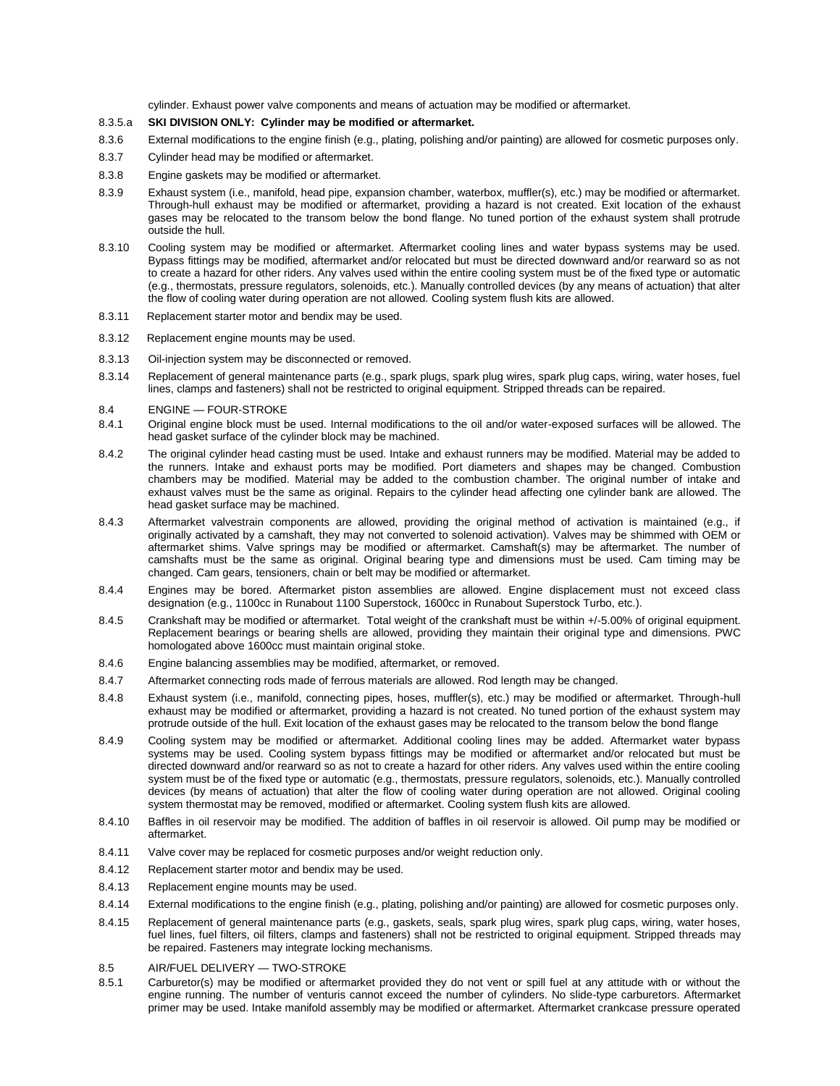cylinder. Exhaust power valve components and means of actuation may be modified or aftermarket.

#### 8.3.5.a **SKI DIVISION ONLY: Cylinder may be modified or aftermarket.**

- 8.3.6 External modifications to the engine finish (e.g., plating, polishing and/or painting) are allowed for cosmetic purposes only.
- 8.3.7 Cylinder head may be modified or aftermarket.
- 8.3.8 Engine gaskets may be modified or aftermarket.
- 8.3.9 Exhaust system (i.e., manifold, head pipe, expansion chamber, waterbox, muffler(s), etc.) may be modified or aftermarket. Through-hull exhaust may be modified or aftermarket, providing a hazard is not created. Exit location of the exhaust gases may be relocated to the transom below the bond flange. No tuned portion of the exhaust system shall protrude outside the hull.
- 8.3.10 Cooling system may be modified or aftermarket. Aftermarket cooling lines and water bypass systems may be used. Bypass fittings may be modified, aftermarket and/or relocated but must be directed downward and/or rearward so as not to create a hazard for other riders. Any valves used within the entire cooling system must be of the fixed type or automatic (e.g., thermostats, pressure regulators, solenoids, etc.). Manually controlled devices (by any means of actuation) that alter the flow of cooling water during operation are not allowed. Cooling system flush kits are allowed.
- 8.3.11 Replacement starter motor and bendix may be used.
- 8.3.12 Replacement engine mounts may be used.
- 8.3.13 Oil-injection system may be disconnected or removed.
- 8.3.14 Replacement of general maintenance parts (e.g., spark plugs, spark plug wires, spark plug caps, wiring, water hoses, fuel lines, clamps and fasteners) shall not be restricted to original equipment. Stripped threads can be repaired.
- 8.4 ENGINE FOUR-STROKE
- 8.4.1 Original engine block must be used. Internal modifications to the oil and/or water-exposed surfaces will be allowed. The head gasket surface of the cylinder block may be machined.
- 8.4.2 The original cylinder head casting must be used. Intake and exhaust runners may be modified. Material may be added to the runners. Intake and exhaust ports may be modified. Port diameters and shapes may be changed. Combustion chambers may be modified. Material may be added to the combustion chamber. The original number of intake and exhaust valves must be the same as original. Repairs to the cylinder head affecting one cylinder bank are allowed. The head gasket surface may be machined.
- 8.4.3 Aftermarket valvestrain components are allowed, providing the original method of activation is maintained (e.g., if originally activated by a camshaft, they may not converted to solenoid activation). Valves may be shimmed with OEM or aftermarket shims. Valve springs may be modified or aftermarket. Camshaft(s) may be aftermarket. The number of camshafts must be the same as original. Original bearing type and dimensions must be used. Cam timing may be changed. Cam gears, tensioners, chain or belt may be modified or aftermarket.
- 8.4.4 Engines may be bored. Aftermarket piston assemblies are allowed. Engine displacement must not exceed class designation (e.g., 1100cc in Runabout 1100 Superstock, 1600cc in Runabout Superstock Turbo, etc.).
- 8.4.5 Crankshaft may be modified or aftermarket. Total weight of the crankshaft must be within +/-5.00% of original equipment. Replacement bearings or bearing shells are allowed, providing they maintain their original type and dimensions. PWC homologated above 1600cc must maintain original stoke.
- 8.4.6 Engine balancing assemblies may be modified, aftermarket, or removed.
- 8.4.7 Aftermarket connecting rods made of ferrous materials are allowed. Rod length may be changed.
- 8.4.8 Exhaust system (i.e., manifold, connecting pipes, hoses, muffler(s), etc.) may be modified or aftermarket. Through-hull exhaust may be modified or aftermarket, providing a hazard is not created. No tuned portion of the exhaust system may protrude outside of the hull. Exit location of the exhaust gases may be relocated to the transom below the bond flange
- 8.4.9 Cooling system may be modified or aftermarket. Additional cooling lines may be added. Aftermarket water bypass systems may be used. Cooling system bypass fittings may be modified or aftermarket and/or relocated but must be directed downward and/or rearward so as not to create a hazard for other riders. Any valves used within the entire cooling system must be of the fixed type or automatic (e.g., thermostats, pressure regulators, solenoids, etc.). Manually controlled devices (by means of actuation) that alter the flow of cooling water during operation are not allowed. Original cooling system thermostat may be removed, modified or aftermarket. Cooling system flush kits are allowed.
- 8.4.10 Baffles in oil reservoir may be modified. The addition of baffles in oil reservoir is allowed. Oil pump may be modified or aftermarket.
- 8.4.11 Valve cover may be replaced for cosmetic purposes and/or weight reduction only.
- 8.4.12 Replacement starter motor and bendix may be used.
- 8.4.13 Replacement engine mounts may be used.
- 8.4.14 External modifications to the engine finish (e.g., plating, polishing and/or painting) are allowed for cosmetic purposes only.
- 8.4.15 Replacement of general maintenance parts (e.g., gaskets, seals, spark plug wires, spark plug caps, wiring, water hoses, fuel lines, fuel filters, oil filters, clamps and fasteners) shall not be restricted to original equipment. Stripped threads may be repaired. Fasteners may integrate locking mechanisms.
- 8.5 AIR/FUEL DELIVERY TWO-STROKE
- 8.5.1 Carburetor(s) may be modified or aftermarket provided they do not vent or spill fuel at any attitude with or without the engine running. The number of venturis cannot exceed the number of cylinders. No slide-type carburetors. Aftermarket primer may be used. Intake manifold assembly may be modified or aftermarket. Aftermarket crankcase pressure operated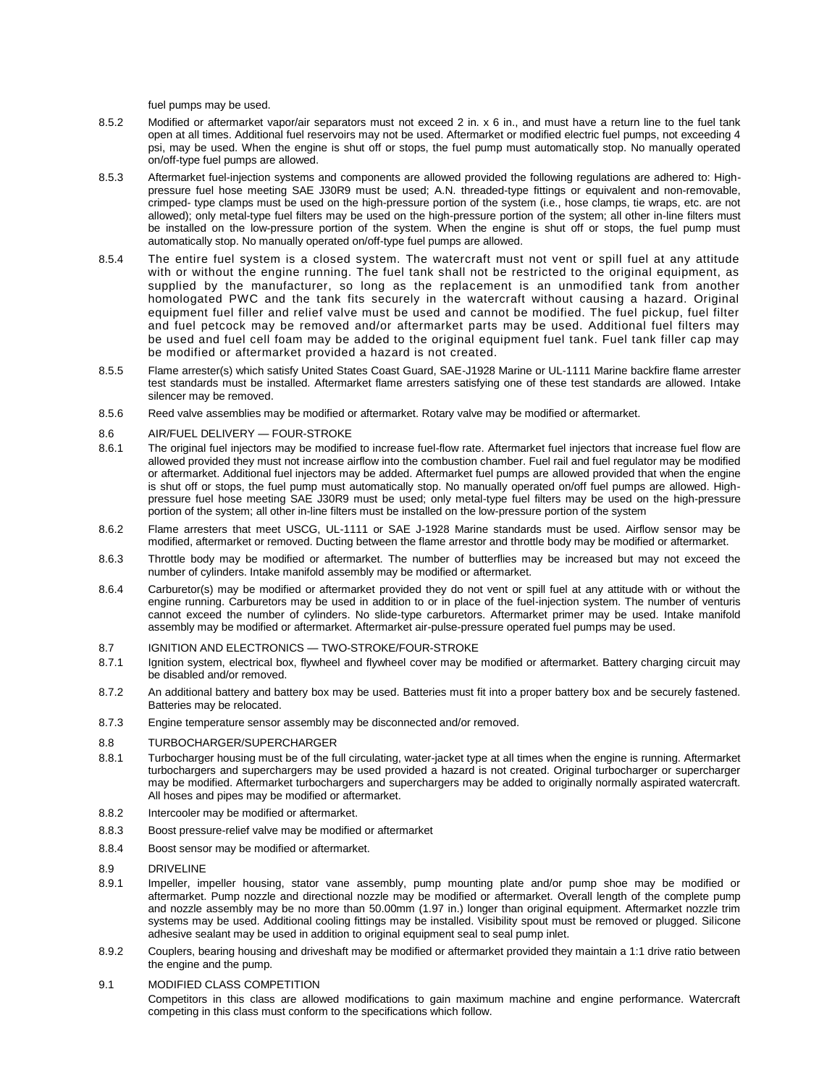fuel pumps may be used.

- 8.5.2 Modified or aftermarket vapor/air separators must not exceed 2 in. x 6 in., and must have a return line to the fuel tank open at all times. Additional fuel reservoirs may not be used. Aftermarket or modified electric fuel pumps, not exceeding 4 psi, may be used. When the engine is shut off or stops, the fuel pump must automatically stop. No manually operated on/off-type fuel pumps are allowed.
- 8.5.3 Aftermarket fuel-injection systems and components are allowed provided the following regulations are adhered to: Highpressure fuel hose meeting SAE J30R9 must be used; A.N. threaded-type fittings or equivalent and non-removable, crimped- type clamps must be used on the high-pressure portion of the system (i.e., hose clamps, tie wraps, etc. are not allowed); only metal-type fuel filters may be used on the high-pressure portion of the system; all other in-line filters must be installed on the low-pressure portion of the system. When the engine is shut off or stops, the fuel pump must automatically stop. No manually operated on/off-type fuel pumps are allowed.
- 8.5.4 The entire fuel system is a closed system. The watercraft must not vent or spill fuel at any attitude with or without the engine running. The fuel tank shall not be restricted to the original equipment, as supplied by the manufacturer, so long as the replacement is an unmodified tank from another homologated PWC and the tank fits securely in the watercraft without causing a hazard. Original equipment fuel filler and relief valve must be used and cannot be modified. The fuel pickup, fuel filter and fuel petcock may be removed and/or aftermarket parts may be used. Additional fuel filters may be used and fuel cell foam may be added to the original equipment fuel tank. Fuel tank filler cap may be modified or aftermarket provided a hazard is not created.
- 8.5.5 Flame arrester(s) which satisfy United States Coast Guard, SAE-J1928 Marine or UL-1111 Marine backfire flame arrester test standards must be installed. Aftermarket flame arresters satisfying one of these test standards are allowed. Intake silencer may be removed.
- 8.5.6 Reed valve assemblies may be modified or aftermarket. Rotary valve may be modified or aftermarket.
- 8.6 AIR/FUEL DELIVERY FOUR-STROKE
- 8.6.1 The original fuel injectors may be modified to increase fuel-flow rate. Aftermarket fuel injectors that increase fuel flow are allowed provided they must not increase airflow into the combustion chamber. Fuel rail and fuel regulator may be modified or aftermarket. Additional fuel injectors may be added. Aftermarket fuel pumps are allowed provided that when the engine is shut off or stops, the fuel pump must automatically stop. No manually operated on/off fuel pumps are allowed. Highpressure fuel hose meeting SAE J30R9 must be used; only metal-type fuel filters may be used on the high-pressure portion of the system; all other in-line filters must be installed on the low-pressure portion of the system
- 8.6.2 Flame arresters that meet USCG, UL-1111 or SAE J-1928 Marine standards must be used. Airflow sensor may be modified, aftermarket or removed. Ducting between the flame arrestor and throttle body may be modified or aftermarket.
- 8.6.3 Throttle body may be modified or aftermarket. The number of butterflies may be increased but may not exceed the number of cylinders. Intake manifold assembly may be modified or aftermarket.
- 8.6.4 Carburetor(s) may be modified or aftermarket provided they do not vent or spill fuel at any attitude with or without the engine running. Carburetors may be used in addition to or in place of the fuel-injection system. The number of venturis cannot exceed the number of cylinders. No slide-type carburetors. Aftermarket primer may be used. Intake manifold assembly may be modified or aftermarket. Aftermarket air-pulse-pressure operated fuel pumps may be used.
- 8.7 IGNITION AND ELECTRONICS TWO-STROKE/FOUR-STROKE
- 8.7.1 Ignition system, electrical box, flywheel and flywheel cover may be modified or aftermarket. Battery charging circuit may be disabled and/or removed.
- 8.7.2 An additional battery and battery box may be used. Batteries must fit into a proper battery box and be securely fastened. Batteries may be relocated.
- 8.7.3 Engine temperature sensor assembly may be disconnected and/or removed.

### 8.8 TURBOCHARGER/SUPERCHARGER

- 8.8.1 Turbocharger housing must be of the full circulating, water-jacket type at all times when the engine is running. Aftermarket turbochargers and superchargers may be used provided a hazard is not created. Original turbocharger or supercharger may be modified. Aftermarket turbochargers and superchargers may be added to originally normally aspirated watercraft. All hoses and pipes may be modified or aftermarket.
- 8.8.2 Intercooler may be modified or aftermarket.
- 8.8.3 Boost pressure-relief valve may be modified or aftermarket
- 8.8.4 Boost sensor may be modified or aftermarket.
- 8.9 DRIVELINE
- 8.9.1 Impeller, impeller housing, stator vane assembly, pump mounting plate and/or pump shoe may be modified or aftermarket. Pump nozzle and directional nozzle may be modified or aftermarket. Overall length of the complete pump and nozzle assembly may be no more than 50.00mm (1.97 in.) longer than original equipment. Aftermarket nozzle trim systems may be used. Additional cooling fittings may be installed. Visibility spout must be removed or plugged. Silicone adhesive sealant may be used in addition to original equipment seal to seal pump inlet.
- 8.9.2 Couplers, bearing housing and driveshaft may be modified or aftermarket provided they maintain a 1:1 drive ratio between the engine and the pump.
- 9.1 MODIFIED CLASS COMPETITION

Competitors in this class are allowed modifications to gain maximum machine and engine performance. Watercraft competing in this class must conform to the specifications which follow.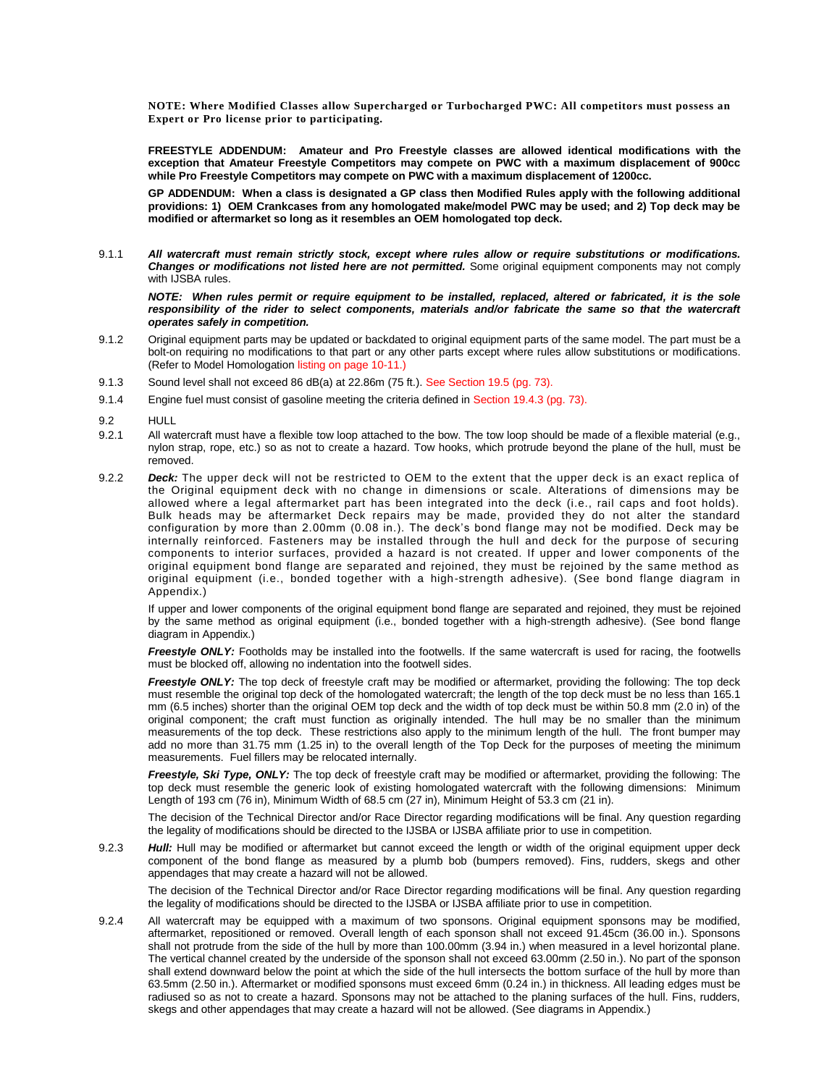**NOTE: Where Modified Classes allow Supercharged or Turbocharged PWC: All competitors must possess an Expert or Pro license prior to participating.**

**FREESTYLE ADDENDUM: Amateur and Pro Freestyle classes are allowed identical modifications with the exception that Amateur Freestyle Competitors may compete on PWC with a maximum displacement of 900cc while Pro Freestyle Competitors may compete on PWC with a maximum displacement of 1200cc.**

**GP ADDENDUM: When a class is designated a GP class then Modified Rules apply with the following additional providions: 1) OEM Crankcases from any homologated make/model PWC may be used; and 2) Top deck may be modified or aftermarket so long as it resembles an OEM homologated top deck.**

9.1.1 *All watercraft must remain strictly stock, except where rules allow or require substitutions or modifications. Changes or modifications not listed here are not permitted.* Some original equipment components may not comply with IJSBA rules.

*NOTE: When rules permit or require equipment to be installed, replaced, altered or fabricated, it is the sole*  responsibility of the rider to select components, materials and/or fabricate the same so that the watercraft *operates safely in competition.* 

- 9.1.2 Original equipment parts may be updated or backdated to original equipment parts of the same model. The part must be a bolt-on requiring no modifications to that part or any other parts except where rules allow substitutions or modifications. (Refer to Model Homologation listing on page 10-11.)
- 9.1.3 Sound level shall not exceed 86 dB(a) at 22.86m (75 ft.). See Section 19.5 (pg. 73).
- 9.1.4 Engine fuel must consist of gasoline meeting the criteria defined in Section 19.4.3 (pg. 73).

9.2 HULL

- 9.2.1 All watercraft must have a flexible tow loop attached to the bow. The tow loop should be made of a flexible material (e.g., nylon strap, rope, etc.) so as not to create a hazard. Tow hooks, which protrude beyond the plane of the hull, must be removed.
- 9.2.2 *Deck:* The upper deck will not be restricted to OEM to the extent that the upper deck is an exact replica of the Original equipment deck with no change in dimensions or scale. Alterations of dimensions may be allowed where a legal aftermarket part has been integrated into the deck (i.e., rail caps and foot holds). Bulk heads may be aftermarket Deck repairs may be made, provided they do not alter the standard configuration by more than 2.00mm (0.08 in.). The deck's bond flange may not be modified. Deck may be internally reinforced. Fasteners may be installed through the hull and deck for the purpose of securing components to interior surfaces, provided a hazard is not created. If upper and lower components of the original equipment bond flange are separated and rejoined, they must be rejoined by the same method as original equipment (i.e., bonded together with a high-strength adhesive). (See bond flange diagram in Appendix.)

If upper and lower components of the original equipment bond flange are separated and rejoined, they must be rejoined by the same method as original equipment (i.e., bonded together with a high-strength adhesive). (See bond flange diagram in Appendix.)

*Freestyle ONLY:* Footholds may be installed into the footwells. If the same watercraft is used for racing, the footwells must be blocked off, allowing no indentation into the footwell sides.

*Freestyle ONLY:* The top deck of freestyle craft may be modified or aftermarket, providing the following: The top deck must resemble the original top deck of the homologated watercraft; the length of the top deck must be no less than 165.1 mm (6.5 inches) shorter than the original OEM top deck and the width of top deck must be within 50.8 mm (2.0 in) of the original component; the craft must function as originally intended. The hull may be no smaller than the minimum measurements of the top deck. These restrictions also apply to the minimum length of the hull. The front bumper may add no more than 31.75 mm (1.25 in) to the overall length of the Top Deck for the purposes of meeting the minimum measurements. Fuel fillers may be relocated internally.

*Freestyle, Ski Type, ONLY:* The top deck of freestyle craft may be modified or aftermarket, providing the following: The top deck must resemble the generic look of existing homologated watercraft with the following dimensions: Minimum Length of 193 cm (76 in), Minimum Width of 68.5 cm (27 in), Minimum Height of 53.3 cm (21 in).

The decision of the Technical Director and/or Race Director regarding modifications will be final. Any question regarding the legality of modifications should be directed to the IJSBA or IJSBA affiliate prior to use in competition.

9.2.3 *Hull:* Hull may be modified or aftermarket but cannot exceed the length or width of the original equipment upper deck component of the bond flange as measured by a plumb bob (bumpers removed). Fins, rudders, skegs and other appendages that may create a hazard will not be allowed.

The decision of the Technical Director and/or Race Director regarding modifications will be final. Any question regarding the legality of modifications should be directed to the IJSBA or IJSBA affiliate prior to use in competition.

9.2.4 All watercraft may be equipped with a maximum of two sponsons. Original equipment sponsons may be modified, aftermarket, repositioned or removed. Overall length of each sponson shall not exceed 91.45cm (36.00 in.). Sponsons shall not protrude from the side of the hull by more than 100.00mm (3.94 in.) when measured in a level horizontal plane. The vertical channel created by the underside of the sponson shall not exceed 63.00mm (2.50 in.). No part of the sponson shall extend downward below the point at which the side of the hull intersects the bottom surface of the hull by more than 63.5mm (2.50 in.). Aftermarket or modified sponsons must exceed 6mm (0.24 in.) in thickness. All leading edges must be radiused so as not to create a hazard. Sponsons may not be attached to the planing surfaces of the hull. Fins, rudders, skegs and other appendages that may create a hazard will not be allowed. (See diagrams in Appendix.)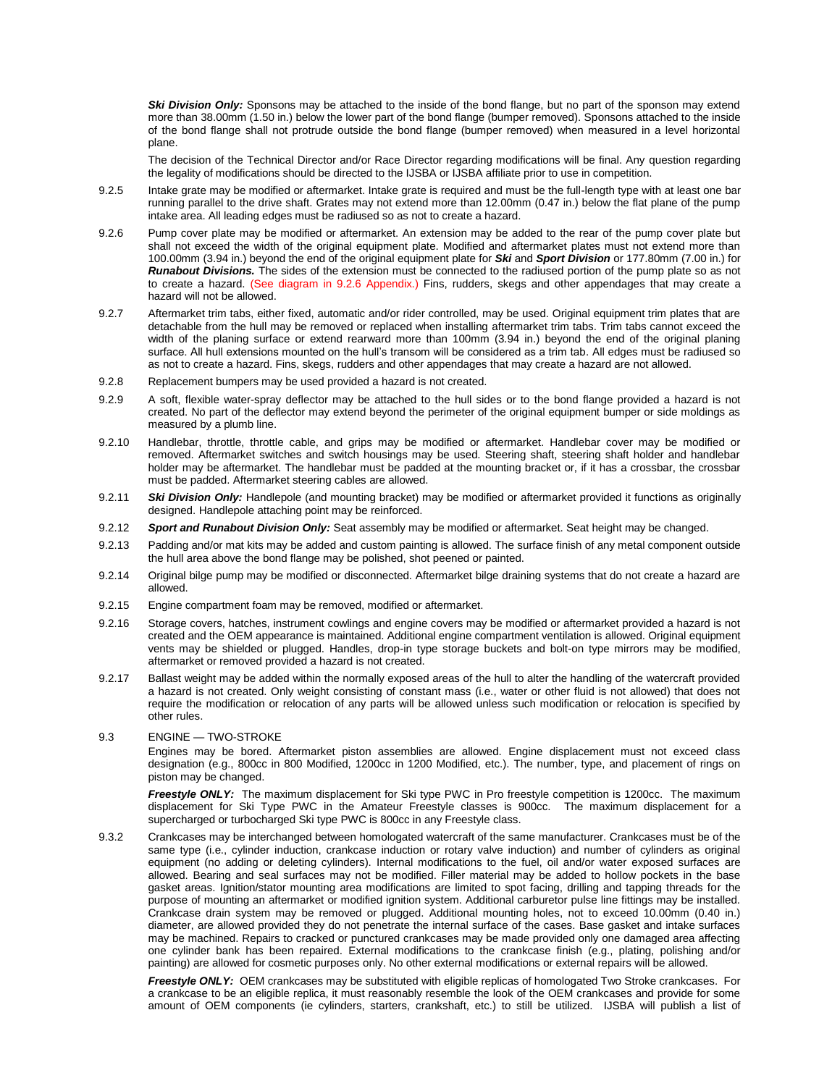**Ski Division Only:** Sponsons may be attached to the inside of the bond flange, but no part of the sponson may extend more than 38.00mm (1.50 in.) below the lower part of the bond flange (bumper removed). Sponsons attached to the inside of the bond flange shall not protrude outside the bond flange (bumper removed) when measured in a level horizontal plane.

The decision of the Technical Director and/or Race Director regarding modifications will be final. Any question regarding the legality of modifications should be directed to the IJSBA or IJSBA affiliate prior to use in competition.

- 9.2.5 Intake grate may be modified or aftermarket. Intake grate is required and must be the full-length type with at least one bar running parallel to the drive shaft. Grates may not extend more than 12.00mm (0.47 in.) below the flat plane of the pump intake area. All leading edges must be radiused so as not to create a hazard.
- 9.2.6 Pump cover plate may be modified or aftermarket. An extension may be added to the rear of the pump cover plate but shall not exceed the width of the original equipment plate. Modified and aftermarket plates must not extend more than 100.00mm (3.94 in.) beyond the end of the original equipment plate for *Ski* and *Sport Division* or 177.80mm (7.00 in.) for *Runabout Divisions.* The sides of the extension must be connected to the radiused portion of the pump plate so as not to create a hazard. (See diagram in 9.2.6 Appendix.) Fins, rudders, skegs and other appendages that may create a hazard will not be allowed.
- 9.2.7 Aftermarket trim tabs, either fixed, automatic and/or rider controlled, may be used. Original equipment trim plates that are detachable from the hull may be removed or replaced when installing aftermarket trim tabs. Trim tabs cannot exceed the width of the planing surface or extend rearward more than 100mm (3.94 in.) beyond the end of the original planing surface. All hull extensions mounted on the hull's transom will be considered as a trim tab. All edges must be radiused so as not to create a hazard. Fins, skegs, rudders and other appendages that may create a hazard are not allowed.
- 9.2.8 Replacement bumpers may be used provided a hazard is not created.
- 9.2.9 A soft, flexible water-spray deflector may be attached to the hull sides or to the bond flange provided a hazard is not created. No part of the deflector may extend beyond the perimeter of the original equipment bumper or side moldings as measured by a plumb line.
- 9.2.10 Handlebar, throttle, throttle cable, and grips may be modified or aftermarket. Handlebar cover may be modified or removed. Aftermarket switches and switch housings may be used. Steering shaft, steering shaft holder and handlebar holder may be aftermarket. The handlebar must be padded at the mounting bracket or, if it has a crossbar, the crossbar must be padded. Aftermarket steering cables are allowed.
- 9.2.11 *Ski Division Only:* Handlepole (and mounting bracket) may be modified or aftermarket provided it functions as originally designed. Handlepole attaching point may be reinforced.
- 9.2.12 *Sport and Runabout Division Only:* Seat assembly may be modified or aftermarket. Seat height may be changed.
- 9.2.13 Padding and/or mat kits may be added and custom painting is allowed. The surface finish of any metal component outside the hull area above the bond flange may be polished, shot peened or painted.
- 9.2.14 Original bilge pump may be modified or disconnected. Aftermarket bilge draining systems that do not create a hazard are allowed.
- 9.2.15 Engine compartment foam may be removed, modified or aftermarket.
- 9.2.16 Storage covers, hatches, instrument cowlings and engine covers may be modified or aftermarket provided a hazard is not created and the OEM appearance is maintained. Additional engine compartment ventilation is allowed. Original equipment vents may be shielded or plugged. Handles, drop-in type storage buckets and bolt-on type mirrors may be modified, aftermarket or removed provided a hazard is not created.
- 9.2.17 Ballast weight may be added within the normally exposed areas of the hull to alter the handling of the watercraft provided a hazard is not created. Only weight consisting of constant mass (i.e., water or other fluid is not allowed) that does not require the modification or relocation of any parts will be allowed unless such modification or relocation is specified by other rules.
- 9.3 ENGINE TWO-STROKE

Engines may be bored. Aftermarket piston assemblies are allowed. Engine displacement must not exceed class designation (e.g., 800cc in 800 Modified, 1200cc in 1200 Modified, etc.). The number, type, and placement of rings on piston may be changed.

*Freestyle ONLY:* The maximum displacement for Ski type PWC in Pro freestyle competition is 1200cc. The maximum displacement for Ski Type PWC in the Amateur Freestyle classes is 900cc. The maximum displacement for a supercharged or turbocharged Ski type PWC is 800cc in any Freestyle class.

9.3.2 Crankcases may be interchanged between homologated watercraft of the same manufacturer. Crankcases must be of the same type (i.e., cylinder induction, crankcase induction or rotary valve induction) and number of cylinders as original equipment (no adding or deleting cylinders). Internal modifications to the fuel, oil and/or water exposed surfaces are allowed. Bearing and seal surfaces may not be modified. Filler material may be added to hollow pockets in the base gasket areas. Ignition/stator mounting area modifications are limited to spot facing, drilling and tapping threads for the purpose of mounting an aftermarket or modified ignition system. Additional carburetor pulse line fittings may be installed. Crankcase drain system may be removed or plugged. Additional mounting holes, not to exceed 10.00mm (0.40 in.) diameter, are allowed provided they do not penetrate the internal surface of the cases. Base gasket and intake surfaces may be machined. Repairs to cracked or punctured crankcases may be made provided only one damaged area affecting one cylinder bank has been repaired. External modifications to the crankcase finish (e.g., plating, polishing and/or painting) are allowed for cosmetic purposes only. No other external modifications or external repairs will be allowed.

*Freestyle ONLY:* OEM crankcases may be substituted with eligible replicas of homologated Two Stroke crankcases. For a crankcase to be an eligible replica, it must reasonably resemble the look of the OEM crankcases and provide for some amount of OEM components (ie cylinders, starters, crankshaft, etc.) to still be utilized. IJSBA will publish a list of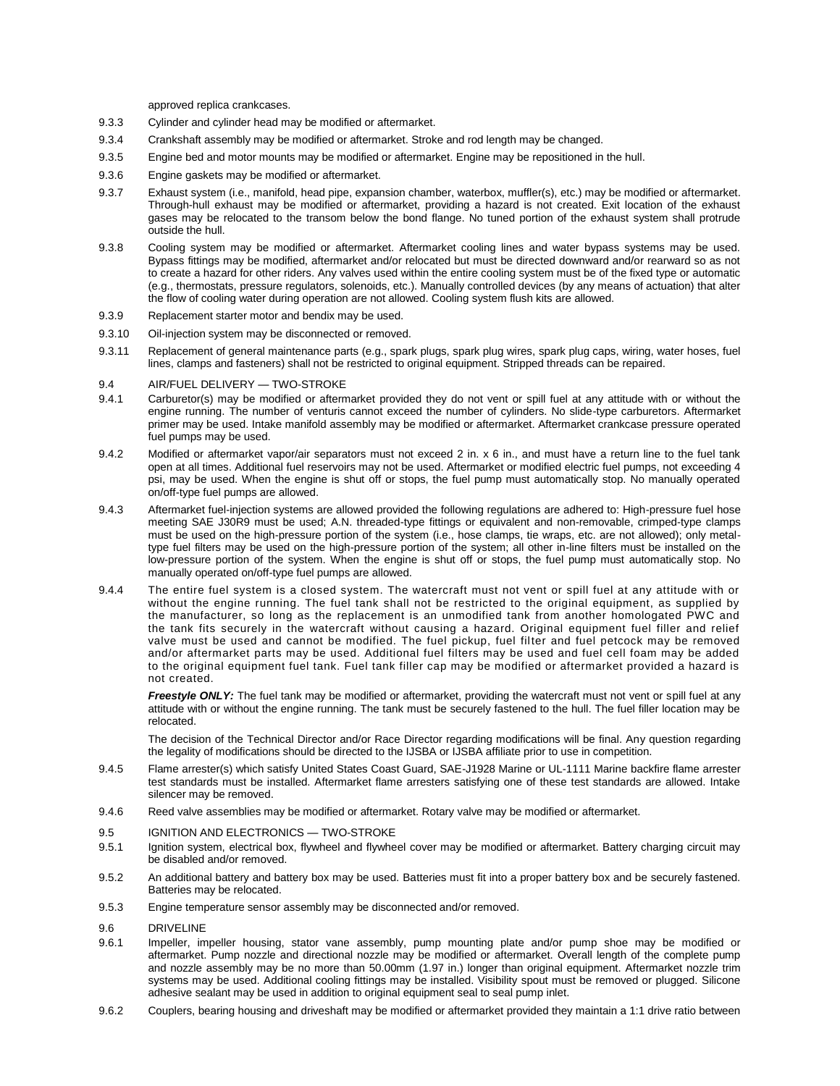approved replica crankcases.

- 9.3.3 Cylinder and cylinder head may be modified or aftermarket.
- 9.3.4 Crankshaft assembly may be modified or aftermarket. Stroke and rod length may be changed.
- 9.3.5 Engine bed and motor mounts may be modified or aftermarket. Engine may be repositioned in the hull.
- 9.3.6 Engine gaskets may be modified or aftermarket.
- 9.3.7 Exhaust system (i.e., manifold, head pipe, expansion chamber, waterbox, muffler(s), etc.) may be modified or aftermarket. Through-hull exhaust may be modified or aftermarket, providing a hazard is not created. Exit location of the exhaust gases may be relocated to the transom below the bond flange. No tuned portion of the exhaust system shall protrude outside the hull.
- 9.3.8 Cooling system may be modified or aftermarket. Aftermarket cooling lines and water bypass systems may be used. Bypass fittings may be modified, aftermarket and/or relocated but must be directed downward and/or rearward so as not to create a hazard for other riders. Any valves used within the entire cooling system must be of the fixed type or automatic (e.g., thermostats, pressure regulators, solenoids, etc.). Manually controlled devices (by any means of actuation) that alter the flow of cooling water during operation are not allowed. Cooling system flush kits are allowed.
- 9.3.9 Replacement starter motor and bendix may be used.
- 9.3.10 Oil-injection system may be disconnected or removed.
- 9.3.11 Replacement of general maintenance parts (e.g., spark plugs, spark plug wires, spark plug caps, wiring, water hoses, fuel lines, clamps and fasteners) shall not be restricted to original equipment. Stripped threads can be repaired.
- 9.4 AIR/FUEL DELIVERY TWO-STROKE
- 9.4.1 Carburetor(s) may be modified or aftermarket provided they do not vent or spill fuel at any attitude with or without the engine running. The number of venturis cannot exceed the number of cylinders. No slide-type carburetors. Aftermarket primer may be used. Intake manifold assembly may be modified or aftermarket. Aftermarket crankcase pressure operated fuel pumps may be used.
- 9.4.2 Modified or aftermarket vapor/air separators must not exceed 2 in. x 6 in., and must have a return line to the fuel tank open at all times. Additional fuel reservoirs may not be used. Aftermarket or modified electric fuel pumps, not exceeding 4 psi, may be used. When the engine is shut off or stops, the fuel pump must automatically stop. No manually operated on/off-type fuel pumps are allowed.
- 9.4.3 Aftermarket fuel-injection systems are allowed provided the following regulations are adhered to: High-pressure fuel hose meeting SAE J30R9 must be used; A.N. threaded-type fittings or equivalent and non-removable, crimped-type clamps must be used on the high-pressure portion of the system (i.e., hose clamps, tie wraps, etc. are not allowed); only metaltype fuel filters may be used on the high-pressure portion of the system; all other in-line filters must be installed on the low-pressure portion of the system. When the engine is shut off or stops, the fuel pump must automatically stop. No manually operated on/off-type fuel pumps are allowed.
- 9.4.4 The entire fuel system is a closed system. The watercraft must not vent or spill fuel at any attitude with or without the engine running. The fuel tank shall not be restricted to the original equipment, as supplied by the manufacturer, so long as the replacement is an unmodified tank from another homologated PWC and the tank fits securely in the watercraft without causing a hazard. Original equipment fuel filler and relief valve must be used and cannot be modified. The fuel pickup, fuel filter and fuel petcock may be removed and/or aftermarket parts may be used. Additional fuel filters may be used and fuel cell foam may be added to the original equipment fuel tank. Fuel tank filler cap may be modified or aftermarket provided a hazard is not created.

*Freestyle ONLY:* The fuel tank may be modified or aftermarket, providing the watercraft must not vent or spill fuel at any attitude with or without the engine running. The tank must be securely fastened to the hull. The fuel filler location may be relocated.

The decision of the Technical Director and/or Race Director regarding modifications will be final. Any question regarding the legality of modifications should be directed to the IJSBA or IJSBA affiliate prior to use in competition.

- 9.4.5 Flame arrester(s) which satisfy United States Coast Guard, SAE-J1928 Marine or UL-1111 Marine backfire flame arrester test standards must be installed. Aftermarket flame arresters satisfying one of these test standards are allowed. Intake silencer may be removed.
- 9.4.6 Reed valve assemblies may be modified or aftermarket. Rotary valve may be modified or aftermarket.
- 9.5 IGNITION AND ELECTRONICS TWO-STROKE
- 9.5.1 Ignition system, electrical box, flywheel and flywheel cover may be modified or aftermarket. Battery charging circuit may be disabled and/or removed.
- 9.5.2 An additional battery and battery box may be used. Batteries must fit into a proper battery box and be securely fastened. Batteries may be relocated.
- 9.5.3 Engine temperature sensor assembly may be disconnected and/or removed.

### 9.6 DRIVELINE

- 9.6.1 Impeller, impeller housing, stator vane assembly, pump mounting plate and/or pump shoe may be modified or aftermarket. Pump nozzle and directional nozzle may be modified or aftermarket. Overall length of the complete pump and nozzle assembly may be no more than 50.00mm (1.97 in.) longer than original equipment. Aftermarket nozzle trim systems may be used. Additional cooling fittings may be installed. Visibility spout must be removed or plugged. Silicone adhesive sealant may be used in addition to original equipment seal to seal pump inlet.
- 9.6.2 Couplers, bearing housing and driveshaft may be modified or aftermarket provided they maintain a 1:1 drive ratio between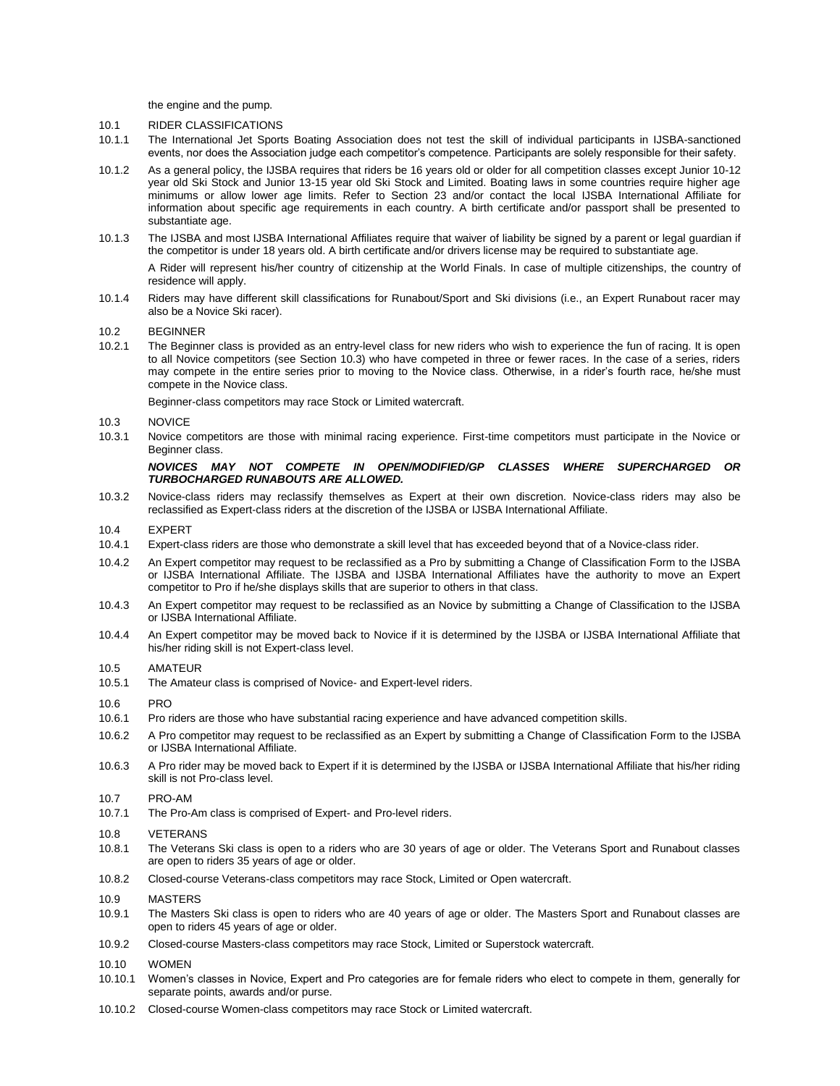the engine and the pump.

- 10.1 RIDER CLASSIFICATIONS
- 10.1.1 The International Jet Sports Boating Association does not test the skill of individual participants in IJSBA-sanctioned events, nor does the Association judge each competitor's competence. Participants are solely responsible for their safety.
- 10.1.2 As a general policy, the IJSBA requires that riders be 16 years old or older for all competition classes except Junior 10-12 year old Ski Stock and Junior 13-15 year old Ski Stock and Limited. Boating laws in some countries require higher age minimums or allow lower age limits. Refer to Section 23 and/or contact the local IJSBA International Affiliate for information about specific age requirements in each country. A birth certificate and/or passport shall be presented to substantiate age.
- 10.1.3 The IJSBA and most IJSBA International Affiliates require that waiver of liability be signed by a parent or legal guardian if the competitor is under 18 years old. A birth certificate and/or drivers license may be required to substantiate age.

A Rider will represent his/her country of citizenship at the World Finals. In case of multiple citizenships, the country of residence will apply.

10.1.4 Riders may have different skill classifications for Runabout/Sport and Ski divisions (i.e., an Expert Runabout racer may also be a Novice Ski racer).

#### 10.2 BEGINNER

10.2.1 The Beginner class is provided as an entry-level class for new riders who wish to experience the fun of racing. It is open to all Novice competitors (see Section 10.3) who have competed in three or fewer races. In the case of a series, riders may compete in the entire series prior to moving to the Novice class. Otherwise, in a rider's fourth race, he/she must compete in the Novice class.

Beginner-class competitors may race Stock or Limited watercraft.

- 10.3 NOVICE
- 10.3.1 Novice competitors are those with minimal racing experience. First-time competitors must participate in the Novice or Beginner class.

### *NOVICES MAY NOT COMPETE IN OPEN/MODIFIED/GP CLASSES WHERE SUPERCHARGED OR TURBOCHARGED RUNABOUTS ARE ALLOWED.*

10.3.2 Novice-class riders may reclassify themselves as Expert at their own discretion. Novice-class riders may also be reclassified as Expert-class riders at the discretion of the IJSBA or IJSBA International Affiliate.

#### 10.4 EXPERT

- 10.4.1 Expert-class riders are those who demonstrate a skill level that has exceeded beyond that of a Novice-class rider.
- 10.4.2 An Expert competitor may request to be reclassified as a Pro by submitting a Change of Classification Form to the IJSBA or IJSBA International Affiliate. The IJSBA and IJSBA International Affiliates have the authority to move an Expert competitor to Pro if he/she displays skills that are superior to others in that class.
- 10.4.3 An Expert competitor may request to be reclassified as an Novice by submitting a Change of Classification to the IJSBA or IJSBA International Affiliate.
- 10.4.4 An Expert competitor may be moved back to Novice if it is determined by the IJSBA or IJSBA International Affiliate that his/her riding skill is not Expert-class level.
- 10.5 AMATEUR
- 10.5.1 The Amateur class is comprised of Novice- and Expert-level riders.
- 10.6 PRO
- 10.6.1 Pro riders are those who have substantial racing experience and have advanced competition skills.
- 10.6.2 A Pro competitor may request to be reclassified as an Expert by submitting a Change of Classification Form to the IJSBA or IJSBA International Affiliate.
- 10.6.3 A Pro rider may be moved back to Expert if it is determined by the IJSBA or IJSBA International Affiliate that his/her riding skill is not Pro-class level.
- 10.7 PRO-AM
- 10.7.1 The Pro-Am class is comprised of Expert- and Pro-level riders.
- 10.8 VETERANS
- 10.8.1 The Veterans Ski class is open to a riders who are 30 years of age or older. The Veterans Sport and Runabout classes are open to riders 35 years of age or older.
- 10.8.2 Closed-course Veterans-class competitors may race Stock, Limited or Open watercraft.
- 10.9 MASTERS
- 10.9.1 The Masters Ski class is open to riders who are 40 years of age or older. The Masters Sport and Runabout classes are open to riders 45 years of age or older.
- 10.9.2 Closed-course Masters-class competitors may race Stock, Limited or Superstock watercraft.
- 10.10 WOMEN
- 10.10.1 Women's classes in Novice, Expert and Pro categories are for female riders who elect to compete in them, generally for separate points, awards and/or purse.
- 10.10.2 Closed-course Women-class competitors may race Stock or Limited watercraft.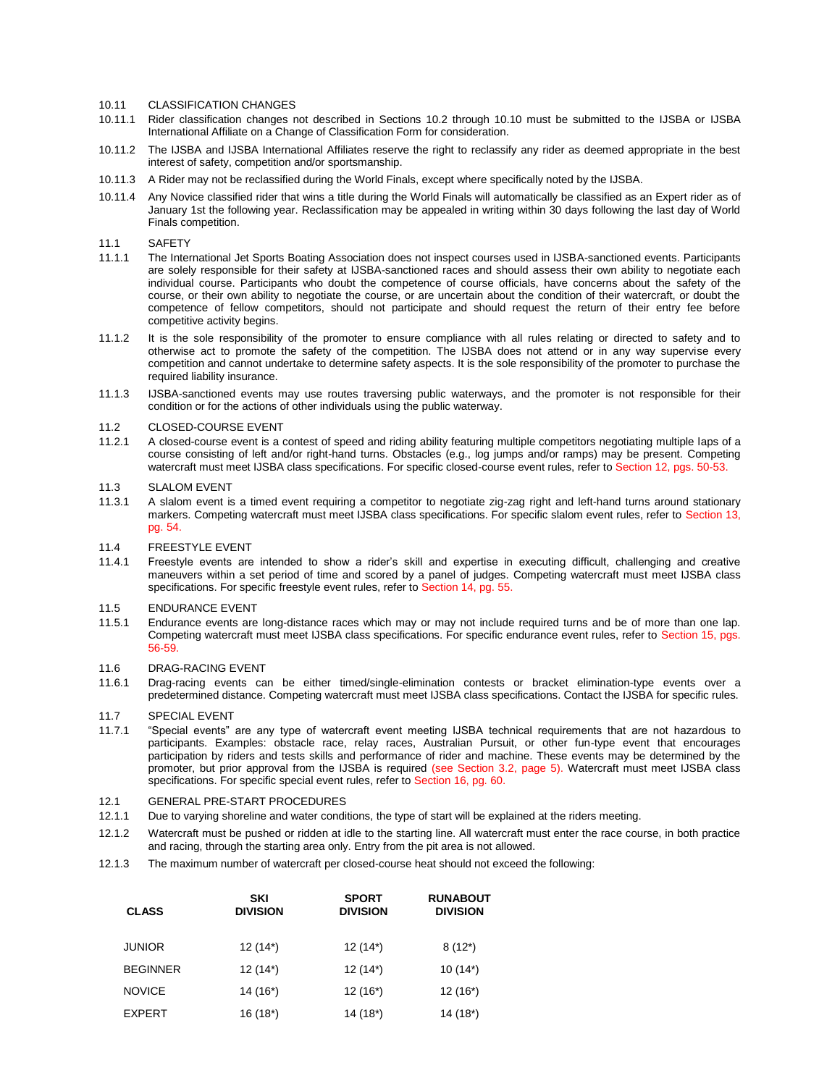### 10.11 CLASSIFICATION CHANGES

- 10.11.1 Rider classification changes not described in Sections 10.2 through 10.10 must be submitted to the IJSBA or IJSBA International Affiliate on a Change of Classification Form for consideration.
- 10.11.2 The IJSBA and IJSBA International Affiliates reserve the right to reclassify any rider as deemed appropriate in the best interest of safety, competition and/or sportsmanship.
- 10.11.3 A Rider may not be reclassified during the World Finals, except where specifically noted by the IJSBA.
- 10.11.4 Any Novice classified rider that wins a title during the World Finals will automatically be classified as an Expert rider as of January 1st the following year. Reclassification may be appealed in writing within 30 days following the last day of World Finals competition.

#### 11.1 SAFETY

- 11.1.1 The International Jet Sports Boating Association does not inspect courses used in IJSBA-sanctioned events. Participants are solely responsible for their safety at IJSBA-sanctioned races and should assess their own ability to negotiate each individual course. Participants who doubt the competence of course officials, have concerns about the safety of the course, or their own ability to negotiate the course, or are uncertain about the condition of their watercraft, or doubt the competence of fellow competitors, should not participate and should request the return of their entry fee before competitive activity begins.
- 11.1.2 It is the sole responsibility of the promoter to ensure compliance with all rules relating or directed to safety and to otherwise act to promote the safety of the competition. The IJSBA does not attend or in any way supervise every competition and cannot undertake to determine safety aspects. It is the sole responsibility of the promoter to purchase the required liability insurance.
- 11.1.3 IJSBA-sanctioned events may use routes traversing public waterways, and the promoter is not responsible for their condition or for the actions of other individuals using the public waterway.

#### 11.2 CLOSED-COURSE EVENT

11.2.1 A closed-course event is a contest of speed and riding ability featuring multiple competitors negotiating multiple laps of a course consisting of left and/or right-hand turns. Obstacles (e.g., log jumps and/or ramps) may be present. Competing watercraft must meet IJSBA class specifications. For specific closed-course event rules, refer to Section 12, pgs. 50-53.

### 11.3 SLALOM EVENT

11.3.1 A slalom event is a timed event requiring a competitor to negotiate zig-zag right and left-hand turns around stationary markers. Competing watercraft must meet IJSBA class specifications. For specific slalom event rules, refer to Section 13, pg. 54.

#### 11.4 FREESTYLE EVENT

11.4.1 Freestyle events are intended to show a rider's skill and expertise in executing difficult, challenging and creative maneuvers within a set period of time and scored by a panel of judges. Competing watercraft must meet IJSBA class specifications. For specific freestyle event rules, refer to Section 14, pg. 55.

#### 11.5 ENDURANCE EVENT

11.5.1 Endurance events are long-distance races which may or may not include required turns and be of more than one lap. Competing watercraft must meet IJSBA class specifications. For specific endurance event rules, refer to Section 15, pgs. 56-59.

#### 11.6 DRAG-RACING EVENT

11.6.1 Drag-racing events can be either timed/single-elimination contests or bracket elimination-type events over a predetermined distance. Competing watercraft must meet IJSBA class specifications. Contact the IJSBA for specific rules.

### 11.7 SPECIAL EVENT

11.7.1 "Special events" are any type of watercraft event meeting IJSBA technical requirements that are not hazardous to participants. Examples: obstacle race, relay races, Australian Pursuit, or other fun-type event that encourages participation by riders and tests skills and performance of rider and machine. These events may be determined by the promoter, but prior approval from the IJSBA is required (see Section 3.2, page 5). Watercraft must meet IJSBA class specifications. For specific special event rules, refer to Section 16, pg. 60.

#### 12.1 GENERAL PRE-START PROCEDURES

- 12.1.1 Due to varying shoreline and water conditions, the type of start will be explained at the riders meeting.
- 12.1.2 Watercraft must be pushed or ridden at idle to the starting line. All watercraft must enter the race course, in both practice and racing, through the starting area only. Entry from the pit area is not allowed.
- 12.1.3 The maximum number of watercraft per closed-course heat should not exceed the following:

| <b>CLASS</b>    | <b>SKI</b><br><b>DIVISION</b> | <b>SPORT</b><br><b>DIVISION</b> | <b>RUNABOUT</b><br><b>DIVISION</b> |
|-----------------|-------------------------------|---------------------------------|------------------------------------|
| <b>JUNIOR</b>   | $12(14^*)$                    | $12(14^*)$                      | $8(12*)$                           |
| <b>BEGINNER</b> | $12(14^*)$                    | $12(14^*)$                      | $10(14^*)$                         |
| <b>NOVICE</b>   | $14(16^*)$                    | $12(16^*)$                      | $12(16^*)$                         |
| <b>EXPERT</b>   | $16(18*)$                     | 14 (18*)                        | 14 (18*)                           |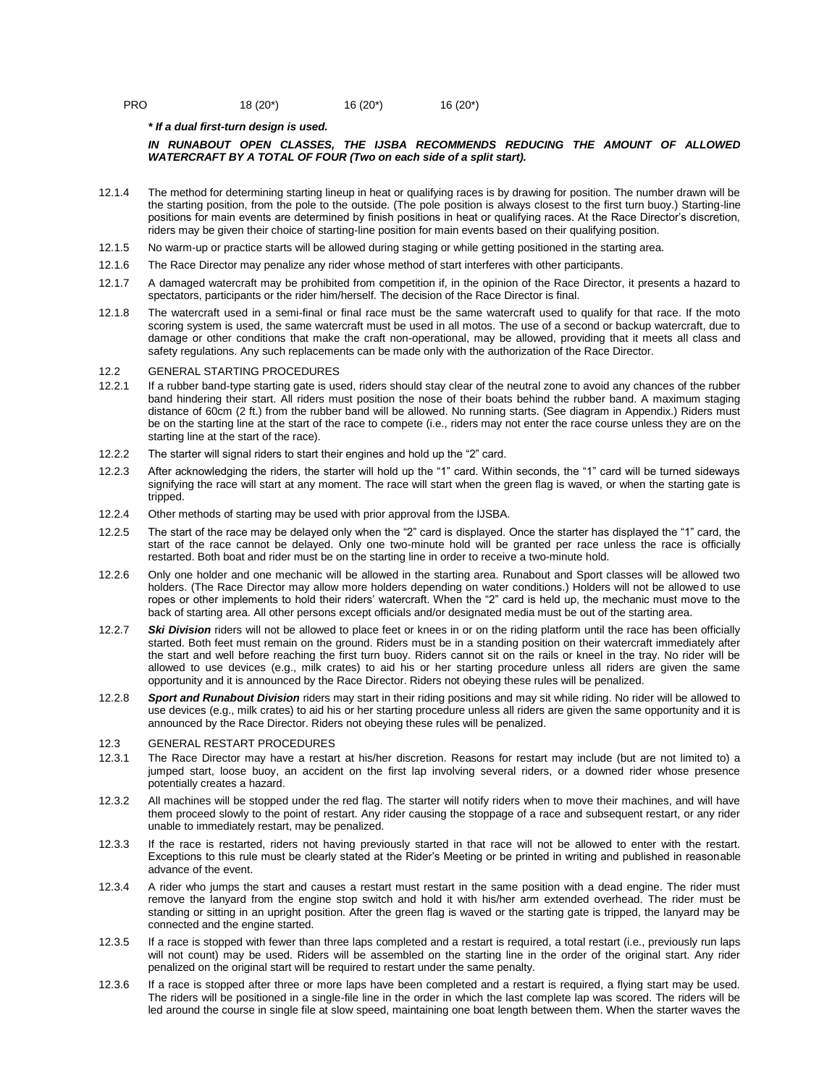| <b>PRO</b> | $18(20^*)$ | $16(20^*)$ | 16 (20*) |
|------------|------------|------------|----------|
|            |            |            |          |

*\* If a dual first-turn design is used.*

#### IN RUNABOUT OPEN CLASSES, THE IJSBA RECOMMENDS REDUCING THE AMOUNT OF ALLOWED *WATERCRAFT BY A TOTAL OF FOUR (Two on each side of a split start).*

- 12.1.4 The method for determining starting lineup in heat or qualifying races is by drawing for position. The number drawn will be the starting position, from the pole to the outside. (The pole position is always closest to the first turn buoy.) Starting-line positions for main events are determined by finish positions in heat or qualifying races. At the Race Director's discretion, riders may be given their choice of starting-line position for main events based on their qualifying position.
- 12.1.5 No warm-up or practice starts will be allowed during staging or while getting positioned in the starting area.
- 12.1.6 The Race Director may penalize any rider whose method of start interferes with other participants.
- 12.1.7 A damaged watercraft may be prohibited from competition if, in the opinion of the Race Director, it presents a hazard to spectators, participants or the rider him/herself. The decision of the Race Director is final.
- 12.1.8 The watercraft used in a semi-final or final race must be the same watercraft used to qualify for that race. If the moto scoring system is used, the same watercraft must be used in all motos. The use of a second or backup watercraft, due to damage or other conditions that make the craft non-operational, may be allowed, providing that it meets all class and safety regulations. Any such replacements can be made only with the authorization of the Race Director.

#### 12.2 GENERAL STARTING PROCEDURES

- 12.2.1 If a rubber band-type starting gate is used, riders should stay clear of the neutral zone to avoid any chances of the rubber band hindering their start. All riders must position the nose of their boats behind the rubber band. A maximum staging distance of 60cm (2 ft.) from the rubber band will be allowed. No running starts. (See diagram in Appendix.) Riders must be on the starting line at the start of the race to compete (i.e., riders may not enter the race course unless they are on the starting line at the start of the race).
- 12.2.2 The starter will signal riders to start their engines and hold up the "2" card.
- 12.2.3 After acknowledging the riders, the starter will hold up the "1" card. Within seconds, the "1" card will be turned sideways signifying the race will start at any moment. The race will start when the green flag is waved, or when the starting gate is tripped.
- 12.2.4 Other methods of starting may be used with prior approval from the IJSBA.
- 12.2.5 The start of the race may be delayed only when the "2" card is displayed. Once the starter has displayed the "1" card, the start of the race cannot be delayed. Only one two-minute hold will be granted per race unless the race is officially restarted. Both boat and rider must be on the starting line in order to receive a two-minute hold.
- 12.2.6 Only one holder and one mechanic will be allowed in the starting area. Runabout and Sport classes will be allowed two holders. (The Race Director may allow more holders depending on water conditions.) Holders will not be allowed to use ropes or other implements to hold their riders' watercraft. When the "2" card is held up, the mechanic must move to the back of starting area. All other persons except officials and/or designated media must be out of the starting area.
- 12.2.7 *Ski Division* riders will not be allowed to place feet or knees in or on the riding platform until the race has been officially started. Both feet must remain on the ground. Riders must be in a standing position on their watercraft immediately after the start and well before reaching the first turn buoy. Riders cannot sit on the rails or kneel in the tray. No rider will be allowed to use devices (e.g., milk crates) to aid his or her starting procedure unless all riders are given the same opportunity and it is announced by the Race Director. Riders not obeying these rules will be penalized.
- 12.2.8 *Sport and Runabout Division* riders may start in their riding positions and may sit while riding. No rider will be allowed to use devices (e.g., milk crates) to aid his or her starting procedure unless all riders are given the same opportunity and it is announced by the Race Director. Riders not obeying these rules will be penalized.

### 12.3 GENERAL RESTART PROCEDURES

- 12.3.1 The Race Director may have a restart at his/her discretion. Reasons for restart may include (but are not limited to) a jumped start, loose buoy, an accident on the first lap involving several riders, or a downed rider whose presence potentially creates a hazard.
- 12.3.2 All machines will be stopped under the red flag. The starter will notify riders when to move their machines, and will have them proceed slowly to the point of restart. Any rider causing the stoppage of a race and subsequent restart, or any rider unable to immediately restart, may be penalized.
- 12.3.3 If the race is restarted, riders not having previously started in that race will not be allowed to enter with the restart. Exceptions to this rule must be clearly stated at the Rider's Meeting or be printed in writing and published in reasonable advance of the event.
- 12.3.4 A rider who jumps the start and causes a restart must restart in the same position with a dead engine. The rider must remove the lanyard from the engine stop switch and hold it with his/her arm extended overhead. The rider must be standing or sitting in an upright position. After the green flag is waved or the starting gate is tripped, the lanyard may be connected and the engine started.
- 12.3.5 If a race is stopped with fewer than three laps completed and a restart is required, a total restart (i.e., previously run laps will not count) may be used. Riders will be assembled on the starting line in the order of the original start. Any rider penalized on the original start will be required to restart under the same penalty.
- 12.3.6 If a race is stopped after three or more laps have been completed and a restart is required, a flying start may be used. The riders will be positioned in a single-file line in the order in which the last complete lap was scored. The riders will be led around the course in single file at slow speed, maintaining one boat length between them. When the starter waves the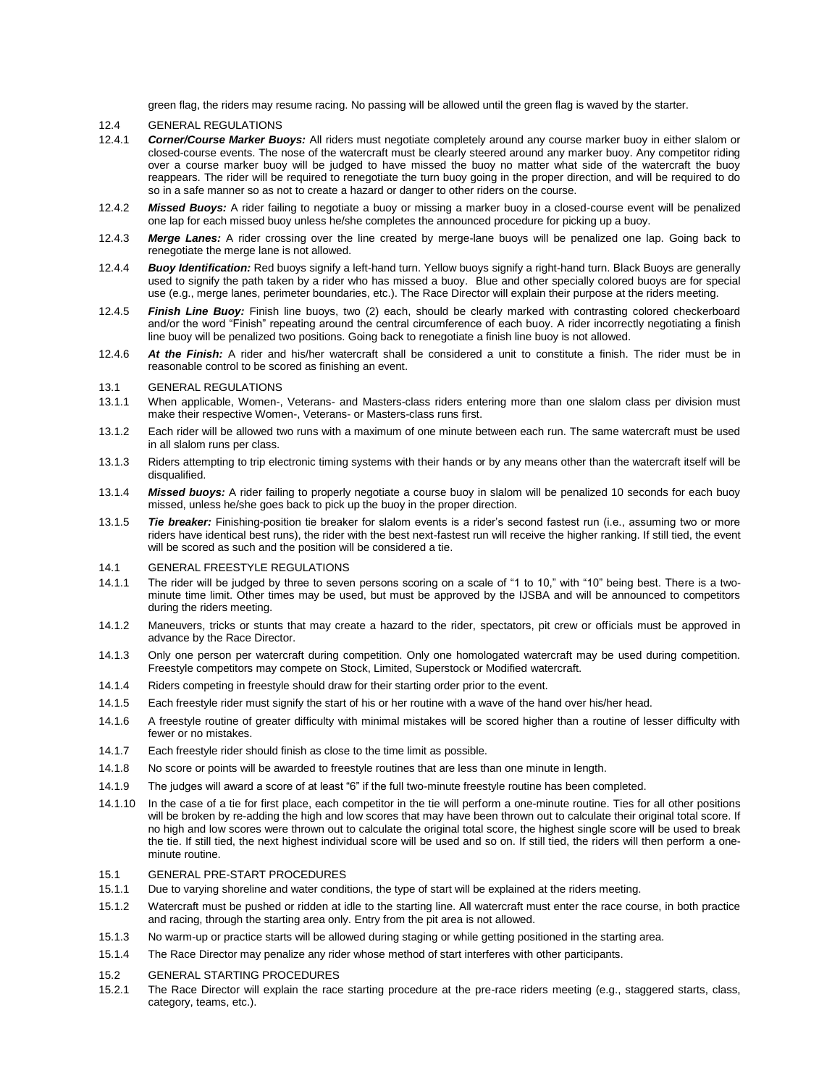green flag, the riders may resume racing. No passing will be allowed until the green flag is waved by the starter.

#### 12.4 GENERAL REGULATIONS

- 12.4.1 *Corner/Course Marker Buoys:* All riders must negotiate completely around any course marker buoy in either slalom or closed-course events. The nose of the watercraft must be clearly steered around any marker buoy. Any competitor riding over a course marker buoy will be judged to have missed the buoy no matter what side of the watercraft the buoy reappears. The rider will be required to renegotiate the turn buoy going in the proper direction, and will be required to do so in a safe manner so as not to create a hazard or danger to other riders on the course.
- 12.4.2 *Missed Buoys:* A rider failing to negotiate a buoy or missing a marker buoy in a closed-course event will be penalized one lap for each missed buoy unless he/she completes the announced procedure for picking up a buoy.
- 12.4.3 *Merge Lanes:* A rider crossing over the line created by merge-lane buoys will be penalized one lap. Going back to renegotiate the merge lane is not allowed.
- 12.4.4 *Buoy Identification:* Red buoys signify a left-hand turn. Yellow buoys signify a right-hand turn. Black Buoys are generally used to signify the path taken by a rider who has missed a buoy. Blue and other specially colored buoys are for special use (e.g., merge lanes, perimeter boundaries, etc.). The Race Director will explain their purpose at the riders meeting.
- 12.4.5 *Finish Line Buoy:* Finish line buoys, two (2) each, should be clearly marked with contrasting colored checkerboard and/or the word "Finish" repeating around the central circumference of each buoy. A rider incorrectly negotiating a finish line buoy will be penalized two positions. Going back to renegotiate a finish line buoy is not allowed.
- 12.4.6 *At the Finish:* A rider and his/her watercraft shall be considered a unit to constitute a finish. The rider must be in reasonable control to be scored as finishing an event.
- 13.1 GENERAL REGULATIONS
- 13.1.1 When applicable, Women-, Veterans- and Masters-class riders entering more than one slalom class per division must make their respective Women-, Veterans- or Masters-class runs first.
- 13.1.2 Each rider will be allowed two runs with a maximum of one minute between each run. The same watercraft must be used in all slalom runs per class.
- 13.1.3 Riders attempting to trip electronic timing systems with their hands or by any means other than the watercraft itself will be disqualified.
- 13.1.4 *Missed buoys:* A rider failing to properly negotiate a course buoy in slalom will be penalized 10 seconds for each buoy missed, unless he/she goes back to pick up the buoy in the proper direction.
- 13.1.5 *Tie breaker:* Finishing-position tie breaker for slalom events is a rider's second fastest run (i.e., assuming two or more riders have identical best runs), the rider with the best next-fastest run will receive the higher ranking. If still tied, the event will be scored as such and the position will be considered a tie.
- 14.1 GENERAL FREESTYLE REGULATIONS
- 14.1.1 The rider will be judged by three to seven persons scoring on a scale of "1 to 10," with "10" being best. There is a twominute time limit. Other times may be used, but must be approved by the IJSBA and will be announced to competitors during the riders meeting.
- 14.1.2 Maneuvers, tricks or stunts that may create a hazard to the rider, spectators, pit crew or officials must be approved in advance by the Race Director.
- 14.1.3 Only one person per watercraft during competition. Only one homologated watercraft may be used during competition. Freestyle competitors may compete on Stock, Limited, Superstock or Modified watercraft.
- 14.1.4 Riders competing in freestyle should draw for their starting order prior to the event.
- 14.1.5 Each freestyle rider must signify the start of his or her routine with a wave of the hand over his/her head.
- 14.1.6 A freestyle routine of greater difficulty with minimal mistakes will be scored higher than a routine of lesser difficulty with fewer or no mistakes.
- 14.1.7 Each freestyle rider should finish as close to the time limit as possible.
- 14.1.8 No score or points will be awarded to freestyle routines that are less than one minute in length.
- 14.1.9 The judges will award a score of at least "6" if the full two-minute freestyle routine has been completed.
- 14.1.10 In the case of a tie for first place, each competitor in the tie will perform a one-minute routine. Ties for all other positions will be broken by re-adding the high and low scores that may have been thrown out to calculate their original total score. If no high and low scores were thrown out to calculate the original total score, the highest single score will be used to break the tie. If still tied, the next highest individual score will be used and so on. If still tied, the riders will then perform a oneminute routine.

### 15.1 GENERAL PRE-START PROCEDURES

- 15.1.1 Due to varying shoreline and water conditions, the type of start will be explained at the riders meeting.
- 15.1.2 Watercraft must be pushed or ridden at idle to the starting line. All watercraft must enter the race course, in both practice and racing, through the starting area only. Entry from the pit area is not allowed.
- 15.1.3 No warm-up or practice starts will be allowed during staging or while getting positioned in the starting area.
- 15.1.4 The Race Director may penalize any rider whose method of start interferes with other participants.
- 15.2 GENERAL STARTING PROCEDURES
- 15.2.1 The Race Director will explain the race starting procedure at the pre-race riders meeting (e.g., staggered starts, class, category, teams, etc.).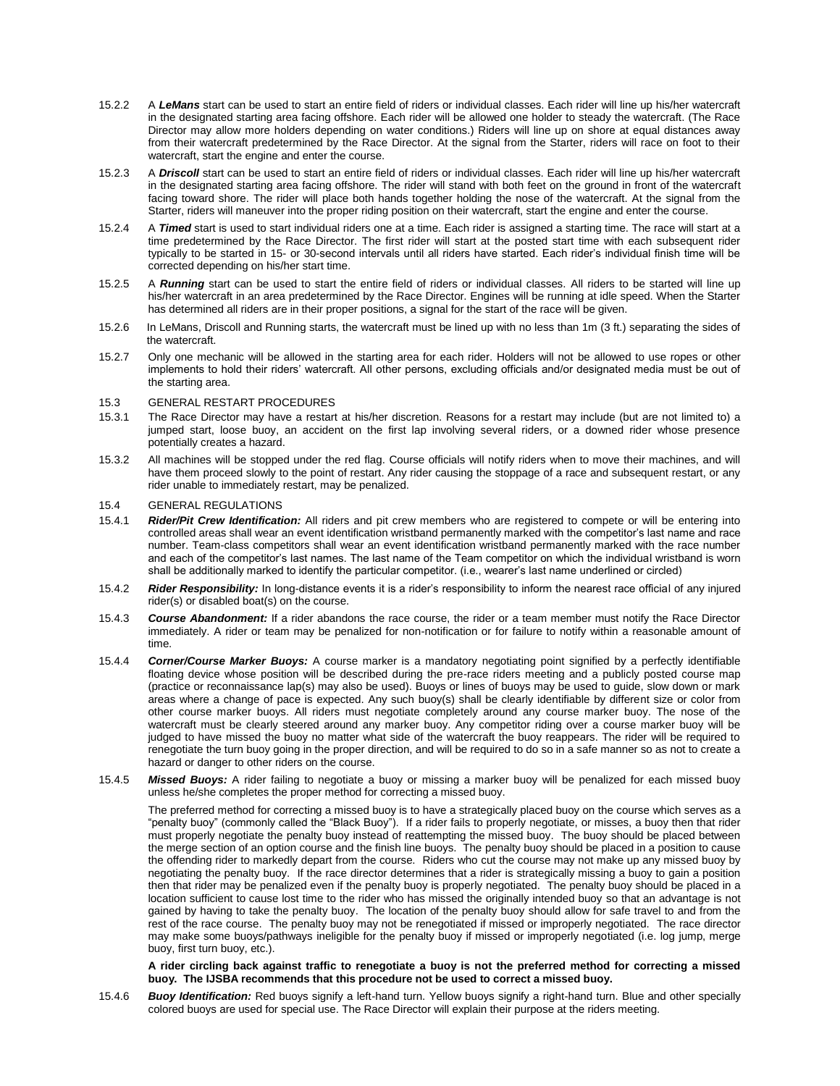- 15.2.2 A *LeMans* start can be used to start an entire field of riders or individual classes. Each rider will line up his/her watercraft in the designated starting area facing offshore. Each rider will be allowed one holder to steady the watercraft. (The Race Director may allow more holders depending on water conditions.) Riders will line up on shore at equal distances away from their watercraft predetermined by the Race Director. At the signal from the Starter, riders will race on foot to their watercraft, start the engine and enter the course.
- 15.2.3 A *Driscoll* start can be used to start an entire field of riders or individual classes. Each rider will line up his/her watercraft in the designated starting area facing offshore. The rider will stand with both feet on the ground in front of the watercraft facing toward shore. The rider will place both hands together holding the nose of the watercraft. At the signal from the Starter, riders will maneuver into the proper riding position on their watercraft, start the engine and enter the course.
- 15.2.4 A *Timed* start is used to start individual riders one at a time. Each rider is assigned a starting time. The race will start at a time predetermined by the Race Director. The first rider will start at the posted start time with each subsequent rider typically to be started in 15- or 30-second intervals until all riders have started. Each rider's individual finish time will be corrected depending on his/her start time.
- 15.2.5 A *Running* start can be used to start the entire field of riders or individual classes. All riders to be started will line up his/her watercraft in an area predetermined by the Race Director. Engines will be running at idle speed. When the Starter has determined all riders are in their proper positions, a signal for the start of the race will be given.
- 15.2.6 In LeMans, Driscoll and Running starts, the watercraft must be lined up with no less than 1m (3 ft.) separating the sides of the watercraft.
- 15.2.7 Only one mechanic will be allowed in the starting area for each rider. Holders will not be allowed to use ropes or other implements to hold their riders' watercraft. All other persons, excluding officials and/or designated media must be out of the starting area.

#### 15.3 GENERAL RESTART PROCEDURES

- 15.3.1 The Race Director may have a restart at his/her discretion. Reasons for a restart may include (but are not limited to) a jumped start, loose buoy, an accident on the first lap involving several riders, or a downed rider whose presence potentially creates a hazard.
- 15.3.2 All machines will be stopped under the red flag. Course officials will notify riders when to move their machines, and will have them proceed slowly to the point of restart. Any rider causing the stoppage of a race and subsequent restart, or any rider unable to immediately restart, may be penalized.

#### 15.4 GENERAL REGULATIONS

- 15.4.1 *Rider/Pit Crew Identification:* All riders and pit crew members who are registered to compete or will be entering into controlled areas shall wear an event identification wristband permanently marked with the competitor's last name and race number. Team-class competitors shall wear an event identification wristband permanently marked with the race number and each of the competitor's last names. The last name of the Team competitor on which the individual wristband is worn shall be additionally marked to identify the particular competitor. (i.e., wearer's last name underlined or circled)
- 15.4.2 **Rider Responsibility:** In long-distance events it is a rider's responsibility to inform the nearest race official of any injured rider(s) or disabled boat(s) on the course.
- 15.4.3 *Course Abandonment:* If a rider abandons the race course, the rider or a team member must notify the Race Director immediately. A rider or team may be penalized for non-notification or for failure to notify within a reasonable amount of time.
- 15.4.4 *Corner/Course Marker Buoys:* A course marker is a mandatory negotiating point signified by a perfectly identifiable floating device whose position will be described during the pre-race riders meeting and a publicly posted course map (practice or reconnaissance lap(s) may also be used). Buoys or lines of buoys may be used to guide, slow down or mark areas where a change of pace is expected. Any such buoy(s) shall be clearly identifiable by different size or color from other course marker buoys. All riders must negotiate completely around any course marker buoy. The nose of the watercraft must be clearly steered around any marker buoy. Any competitor riding over a course marker buoy will be judged to have missed the buoy no matter what side of the watercraft the buoy reappears. The rider will be required to renegotiate the turn buoy going in the proper direction, and will be required to do so in a safe manner so as not to create a hazard or danger to other riders on the course.
- 15.4.5 *Missed Buoys:* A rider failing to negotiate a buoy or missing a marker buoy will be penalized for each missed buoy unless he/she completes the proper method for correcting a missed buoy.

The preferred method for correcting a missed buoy is to have a strategically placed buoy on the course which serves as a "penalty buoy" (commonly called the "Black Buoy"). If a rider fails to properly negotiate, or misses, a buoy then that rider must properly negotiate the penalty buoy instead of reattempting the missed buoy. The buoy should be placed between the merge section of an option course and the finish line buoys. The penalty buoy should be placed in a position to cause the offending rider to markedly depart from the course. Riders who cut the course may not make up any missed buoy by negotiating the penalty buoy. If the race director determines that a rider is strategically missing a buoy to gain a position then that rider may be penalized even if the penalty buoy is properly negotiated. The penalty buoy should be placed in a location sufficient to cause lost time to the rider who has missed the originally intended buoy so that an advantage is not gained by having to take the penalty buoy. The location of the penalty buoy should allow for safe travel to and from the rest of the race course. The penalty buoy may not be renegotiated if missed or improperly negotiated. The race director may make some buoys/pathways ineligible for the penalty buoy if missed or improperly negotiated (i.e. log jump, merge buoy, first turn buoy, etc.).

#### **A rider circling back against traffic to renegotiate a buoy is not the preferred method for correcting a missed buoy. The IJSBA recommends that this procedure not be used to correct a missed buoy.**

15.4.6 *Buoy Identification:* Red buoys signify a left-hand turn. Yellow buoys signify a right-hand turn. Blue and other specially colored buoys are used for special use. The Race Director will explain their purpose at the riders meeting.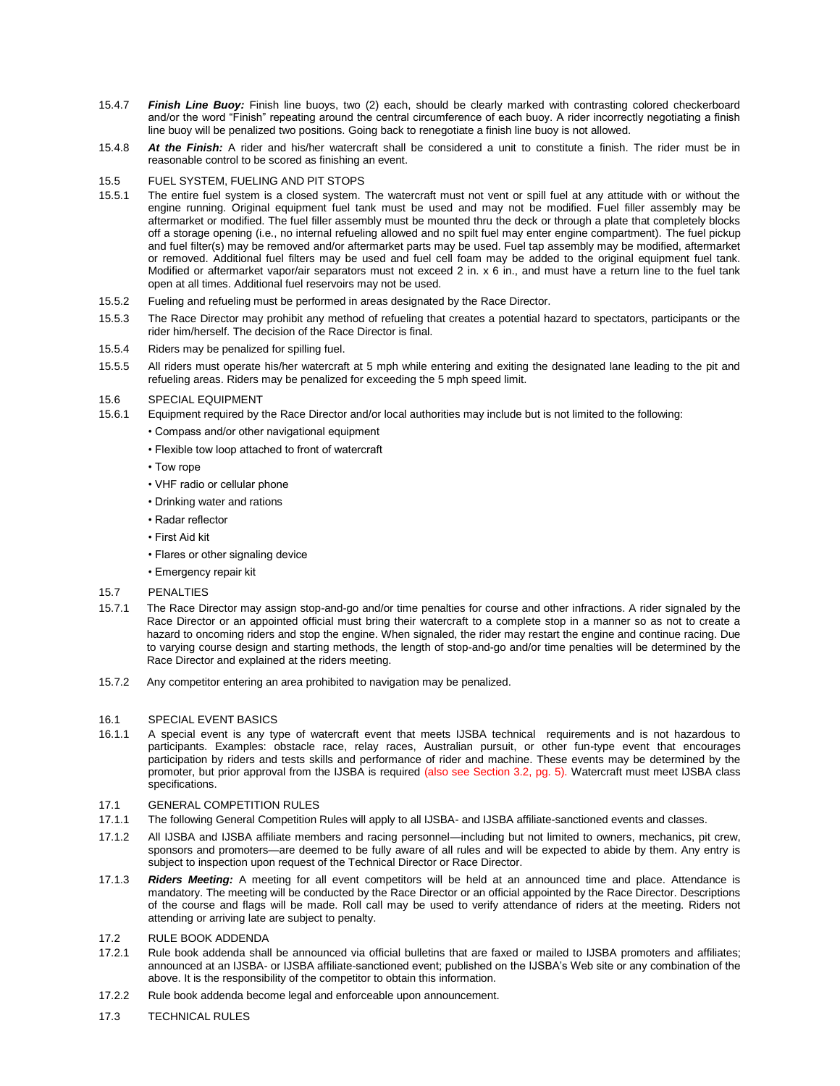- 15.4.7 *Finish Line Buoy:* Finish line buoys, two (2) each, should be clearly marked with contrasting colored checkerboard and/or the word "Finish" repeating around the central circumference of each buoy. A rider incorrectly negotiating a finish line buoy will be penalized two positions. Going back to renegotiate a finish line buoy is not allowed.
- 15.4.8 *At the Finish:* A rider and his/her watercraft shall be considered a unit to constitute a finish. The rider must be in reasonable control to be scored as finishing an event.

### 15.5 FUEL SYSTEM, FUELING AND PIT STOPS

- 15.5.1 The entire fuel system is a closed system. The watercraft must not vent or spill fuel at any attitude with or without the engine running. Original equipment fuel tank must be used and may not be modified. Fuel filler assembly may be aftermarket or modified. The fuel filler assembly must be mounted thru the deck or through a plate that completely blocks off a storage opening (i.e., no internal refueling allowed and no spilt fuel may enter engine compartment). The fuel pickup and fuel filter(s) may be removed and/or aftermarket parts may be used. Fuel tap assembly may be modified, aftermarket or removed. Additional fuel filters may be used and fuel cell foam may be added to the original equipment fuel tank. Modified or aftermarket vapor/air separators must not exceed 2 in. x 6 in., and must have a return line to the fuel tank open at all times. Additional fuel reservoirs may not be used.
- 15.5.2 Fueling and refueling must be performed in areas designated by the Race Director.
- 15.5.3 The Race Director may prohibit any method of refueling that creates a potential hazard to spectators, participants or the rider him/herself. The decision of the Race Director is final.
- 15.5.4 Riders may be penalized for spilling fuel.
- 15.5.5 All riders must operate his/her watercraft at 5 mph while entering and exiting the designated lane leading to the pit and refueling areas. Riders may be penalized for exceeding the 5 mph speed limit.

### 15.6 SPECIAL EQUIPMENT

- 15.6.1 Equipment required by the Race Director and/or local authorities may include but is not limited to the following:
	- Compass and/or other navigational equipment
	- Flexible tow loop attached to front of watercraft
	- Tow rope
	- VHF radio or cellular phone
	- Drinking water and rations
	- Radar reflector
	- First Aid kit
	- Flares or other signaling device
	- Emergency repair kit

#### 15.7 PENALTIES

- 15.7.1 The Race Director may assign stop-and-go and/or time penalties for course and other infractions. A rider signaled by the Race Director or an appointed official must bring their watercraft to a complete stop in a manner so as not to create a hazard to oncoming riders and stop the engine. When signaled, the rider may restart the engine and continue racing. Due to varying course design and starting methods, the length of stop-and-go and/or time penalties will be determined by the Race Director and explained at the riders meeting.
- 15.7.2 Any competitor entering an area prohibited to navigation may be penalized.

#### 16.1 SPECIAL EVENT BASICS

16.1.1 A special event is any type of watercraft event that meets IJSBA technical requirements and is not hazardous to participants. Examples: obstacle race, relay races, Australian pursuit, or other fun-type event that encourages participation by riders and tests skills and performance of rider and machine. These events may be determined by the promoter, but prior approval from the IJSBA is required (also see Section 3.2, pg. 5). Watercraft must meet IJSBA class specifications.

### 17.1 GENERAL COMPETITION RULES

- 17.1.1 The following General Competition Rules will apply to all IJSBA- and IJSBA affiliate-sanctioned events and classes.
- 17.1.2 All IJSBA and IJSBA affiliate members and racing personnel—including but not limited to owners, mechanics, pit crew, sponsors and promoters—are deemed to be fully aware of all rules and will be expected to abide by them. Any entry is subject to inspection upon request of the Technical Director or Race Director.
- 17.1.3 *Riders Meeting:* A meeting for all event competitors will be held at an announced time and place. Attendance is mandatory. The meeting will be conducted by the Race Director or an official appointed by the Race Director. Descriptions of the course and flags will be made. Roll call may be used to verify attendance of riders at the meeting. Riders not attending or arriving late are subject to penalty.
- 17.2 RULE BOOK ADDENDA
- 17.2.1 Rule book addenda shall be announced via official bulletins that are faxed or mailed to IJSBA promoters and affiliates; announced at an IJSBA- or IJSBA affiliate-sanctioned event; published on the IJSBA's Web site or any combination of the above. It is the responsibility of the competitor to obtain this information.
- 17.2.2 Rule book addenda become legal and enforceable upon announcement.
- 17.3 TECHNICAL RULES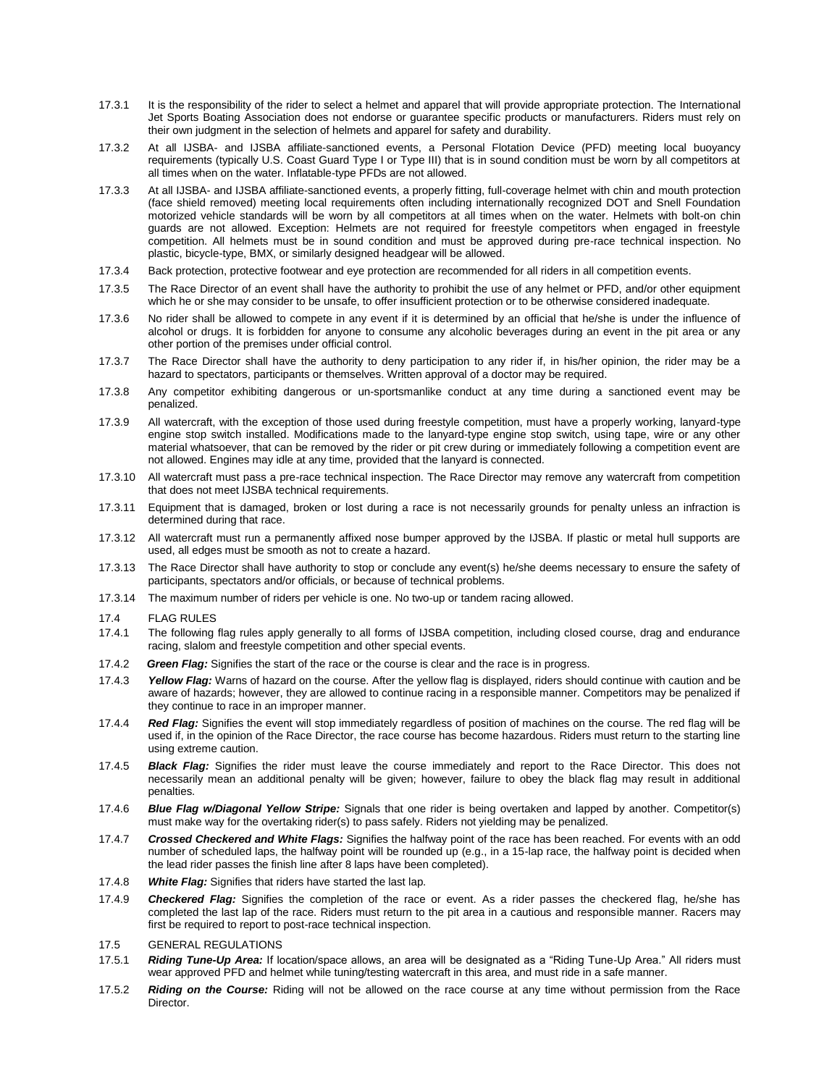- 17.3.1 It is the responsibility of the rider to select a helmet and apparel that will provide appropriate protection. The International Jet Sports Boating Association does not endorse or guarantee specific products or manufacturers. Riders must rely on their own judgment in the selection of helmets and apparel for safety and durability.
- 17.3.2 At all IJSBA- and IJSBA affiliate-sanctioned events, a Personal Flotation Device (PFD) meeting local buoyancy requirements (typically U.S. Coast Guard Type I or Type III) that is in sound condition must be worn by all competitors at all times when on the water. Inflatable-type PFDs are not allowed.
- 17.3.3 At all IJSBA- and IJSBA affiliate-sanctioned events, a properly fitting, full-coverage helmet with chin and mouth protection (face shield removed) meeting local requirements often including internationally recognized DOT and Snell Foundation motorized vehicle standards will be worn by all competitors at all times when on the water. Helmets with bolt-on chin guards are not allowed. Exception: Helmets are not required for freestyle competitors when engaged in freestyle competition. All helmets must be in sound condition and must be approved during pre-race technical inspection. No plastic, bicycle-type, BMX, or similarly designed headgear will be allowed.
- 17.3.4 Back protection, protective footwear and eye protection are recommended for all riders in all competition events.
- 17.3.5 The Race Director of an event shall have the authority to prohibit the use of any helmet or PFD, and/or other equipment which he or she may consider to be unsafe, to offer insufficient protection or to be otherwise considered inadequate.
- 17.3.6 No rider shall be allowed to compete in any event if it is determined by an official that he/she is under the influence of alcohol or drugs. It is forbidden for anyone to consume any alcoholic beverages during an event in the pit area or any other portion of the premises under official control.
- 17.3.7 The Race Director shall have the authority to deny participation to any rider if, in his/her opinion, the rider may be a hazard to spectators, participants or themselves. Written approval of a doctor may be required.
- 17.3.8 Any competitor exhibiting dangerous or un-sportsmanlike conduct at any time during a sanctioned event may be penalized.
- 17.3.9 All watercraft, with the exception of those used during freestyle competition, must have a properly working, lanyard-type engine stop switch installed. Modifications made to the lanyard-type engine stop switch, using tape, wire or any other material whatsoever, that can be removed by the rider or pit crew during or immediately following a competition event are not allowed. Engines may idle at any time, provided that the lanyard is connected.
- 17.3.10 All watercraft must pass a pre-race technical inspection. The Race Director may remove any watercraft from competition that does not meet IJSBA technical requirements.
- 17.3.11 Equipment that is damaged, broken or lost during a race is not necessarily grounds for penalty unless an infraction is determined during that race.
- 17.3.12 All watercraft must run a permanently affixed nose bumper approved by the IJSBA. If plastic or metal hull supports are used, all edges must be smooth as not to create a hazard.
- 17.3.13 The Race Director shall have authority to stop or conclude any event(s) he/she deems necessary to ensure the safety of participants, spectators and/or officials, or because of technical problems.
- 17.3.14 The maximum number of riders per vehicle is one. No two-up or tandem racing allowed.
- 17.4 FLAG RULES
- 17.4.1 The following flag rules apply generally to all forms of IJSBA competition, including closed course, drag and endurance racing, slalom and freestyle competition and other special events.
- 17.4.2 *Green Flag:* Signifies the start of the race or the course is clear and the race is in progress.
- 17.4.3 *Yellow Flag:* Warns of hazard on the course. After the yellow flag is displayed, riders should continue with caution and be aware of hazards; however, they are allowed to continue racing in a responsible manner. Competitors may be penalized if they continue to race in an improper manner.
- 17.4.4 *Red Flag:* Signifies the event will stop immediately regardless of position of machines on the course. The red flag will be used if, in the opinion of the Race Director, the race course has become hazardous. Riders must return to the starting line using extreme caution.
- 17.4.5 *Black Flag:* Signifies the rider must leave the course immediately and report to the Race Director. This does not necessarily mean an additional penalty will be given; however, failure to obey the black flag may result in additional penalties.
- 17.4.6 *Blue Flag w/Diagonal Yellow Stripe:* Signals that one rider is being overtaken and lapped by another. Competitor(s) must make way for the overtaking rider(s) to pass safely. Riders not yielding may be penalized.
- 17.4.7 *Crossed Checkered and White Flags:* Signifies the halfway point of the race has been reached. For events with an odd number of scheduled laps, the halfway point will be rounded up (e.g., in a 15-lap race, the halfway point is decided when the lead rider passes the finish line after 8 laps have been completed).
- 17.4.8 *White Flag:* Signifies that riders have started the last lap.
- 17.4.9 *Checkered Flag:* Signifies the completion of the race or event. As a rider passes the checkered flag, he/she has completed the last lap of the race. Riders must return to the pit area in a cautious and responsible manner. Racers may first be required to report to post-race technical inspection.
- 17.5 GENERAL REGULATIONS
- 17.5.1 **Riding Tune-Up Area:** If location/space allows, an area will be designated as a "Riding Tune-Up Area." All riders must wear approved PFD and helmet while tuning/testing watercraft in this area, and must ride in a safe manner.
- 17.5.2 *Riding on the Course:* Riding will not be allowed on the race course at any time without permission from the Race Director.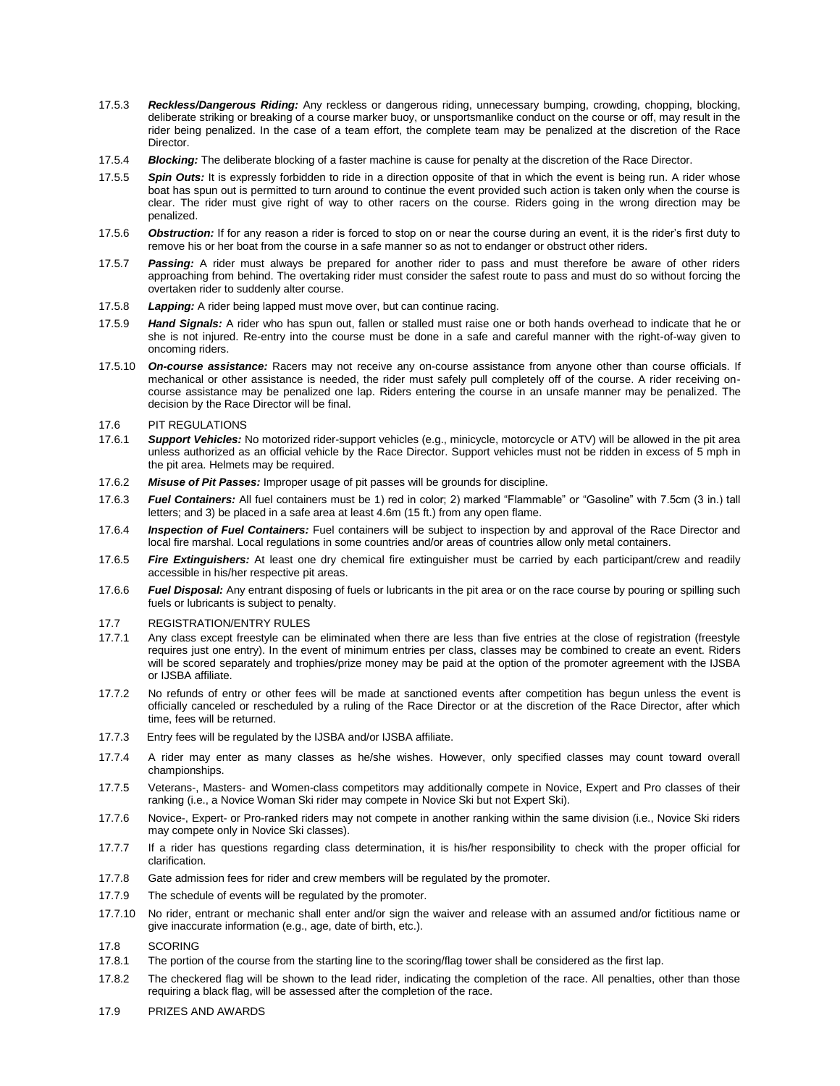- 17.5.3 *Reckless/Dangerous Riding:* Any reckless or dangerous riding, unnecessary bumping, crowding, chopping, blocking, deliberate striking or breaking of a course marker buoy, or unsportsmanlike conduct on the course or off, may result in the rider being penalized. In the case of a team effort, the complete team may be penalized at the discretion of the Race Director.
- 17.5.4 *Blocking:* The deliberate blocking of a faster machine is cause for penalty at the discretion of the Race Director.
- 17.5.5 *Spin Outs:* It is expressly forbidden to ride in a direction opposite of that in which the event is being run. A rider whose boat has spun out is permitted to turn around to continue the event provided such action is taken only when the course is clear. The rider must give right of way to other racers on the course. Riders going in the wrong direction may be penalized.
- 17.5.6 *Obstruction:* If for any reason a rider is forced to stop on or near the course during an event, it is the rider's first duty to remove his or her boat from the course in a safe manner so as not to endanger or obstruct other riders.
- 17.5.7 *Passing:* A rider must always be prepared for another rider to pass and must therefore be aware of other riders approaching from behind. The overtaking rider must consider the safest route to pass and must do so without forcing the overtaken rider to suddenly alter course.
- 17.5.8 *Lapping:* A rider being lapped must move over, but can continue racing.
- 17.5.9 *Hand Signals:* A rider who has spun out, fallen or stalled must raise one or both hands overhead to indicate that he or she is not injured. Re-entry into the course must be done in a safe and careful manner with the right-of-way given to oncoming riders.
- 17.5.10 *On-course assistance:* Racers may not receive any on-course assistance from anyone other than course officials. If mechanical or other assistance is needed, the rider must safely pull completely off of the course. A rider receiving oncourse assistance may be penalized one lap. Riders entering the course in an unsafe manner may be penalized. The decision by the Race Director will be final.
- 17.6 PIT REGULATIONS
- 17.6.1 *Support Vehicles:* No motorized rider-support vehicles (e.g., minicycle, motorcycle or ATV) will be allowed in the pit area unless authorized as an official vehicle by the Race Director. Support vehicles must not be ridden in excess of 5 mph in the pit area. Helmets may be required.
- 17.6.2 *Misuse of Pit Passes:* Improper usage of pit passes will be grounds for discipline.
- 17.6.3 **Fuel Containers:** All fuel containers must be 1) red in color; 2) marked "Flammable" or "Gasoline" with 7.5cm (3 in.) tall letters; and 3) be placed in a safe area at least 4.6m (15 ft.) from any open flame.
- 17.6.4 *Inspection of Fuel Containers:* Fuel containers will be subject to inspection by and approval of the Race Director and local fire marshal. Local regulations in some countries and/or areas of countries allow only metal containers.
- 17.6.5 *Fire Extinguishers:* At least one dry chemical fire extinguisher must be carried by each participant/crew and readily accessible in his/her respective pit areas.
- 17.6.6 *Fuel Disposal:* Any entrant disposing of fuels or lubricants in the pit area or on the race course by pouring or spilling such fuels or lubricants is subject to penalty.
- 17.7 REGISTRATION/ENTRY RULES
- 17.7.1 Any class except freestyle can be eliminated when there are less than five entries at the close of registration (freestyle requires just one entry). In the event of minimum entries per class, classes may be combined to create an event. Riders will be scored separately and trophies/prize money may be paid at the option of the promoter agreement with the IJSBA or IJSBA affiliate.
- 17.7.2 No refunds of entry or other fees will be made at sanctioned events after competition has begun unless the event is officially canceled or rescheduled by a ruling of the Race Director or at the discretion of the Race Director, after which time, fees will be returned.
- 17.7.3 Entry fees will be regulated by the IJSBA and/or IJSBA affiliate.
- 17.7.4 A rider may enter as many classes as he/she wishes. However, only specified classes may count toward overall championships.
- 17.7.5 Veterans-, Masters- and Women-class competitors may additionally compete in Novice, Expert and Pro classes of their ranking (i.e., a Novice Woman Ski rider may compete in Novice Ski but not Expert Ski).
- 17.7.6 Novice-, Expert- or Pro-ranked riders may not compete in another ranking within the same division (i.e., Novice Ski riders may compete only in Novice Ski classes).
- 17.7.7 If a rider has questions regarding class determination, it is his/her responsibility to check with the proper official for clarification.
- 17.7.8 Gate admission fees for rider and crew members will be regulated by the promoter.
- 17.7.9 The schedule of events will be regulated by the promoter.
- 17.7.10 No rider, entrant or mechanic shall enter and/or sign the waiver and release with an assumed and/or fictitious name or give inaccurate information (e.g., age, date of birth, etc.).
- 17.8 SCORING
- 17.8.1 The portion of the course from the starting line to the scoring/flag tower shall be considered as the first lap.
- 17.8.2 The checkered flag will be shown to the lead rider, indicating the completion of the race. All penalties, other than those requiring a black flag, will be assessed after the completion of the race.
- 17.9 PRIZES AND AWARDS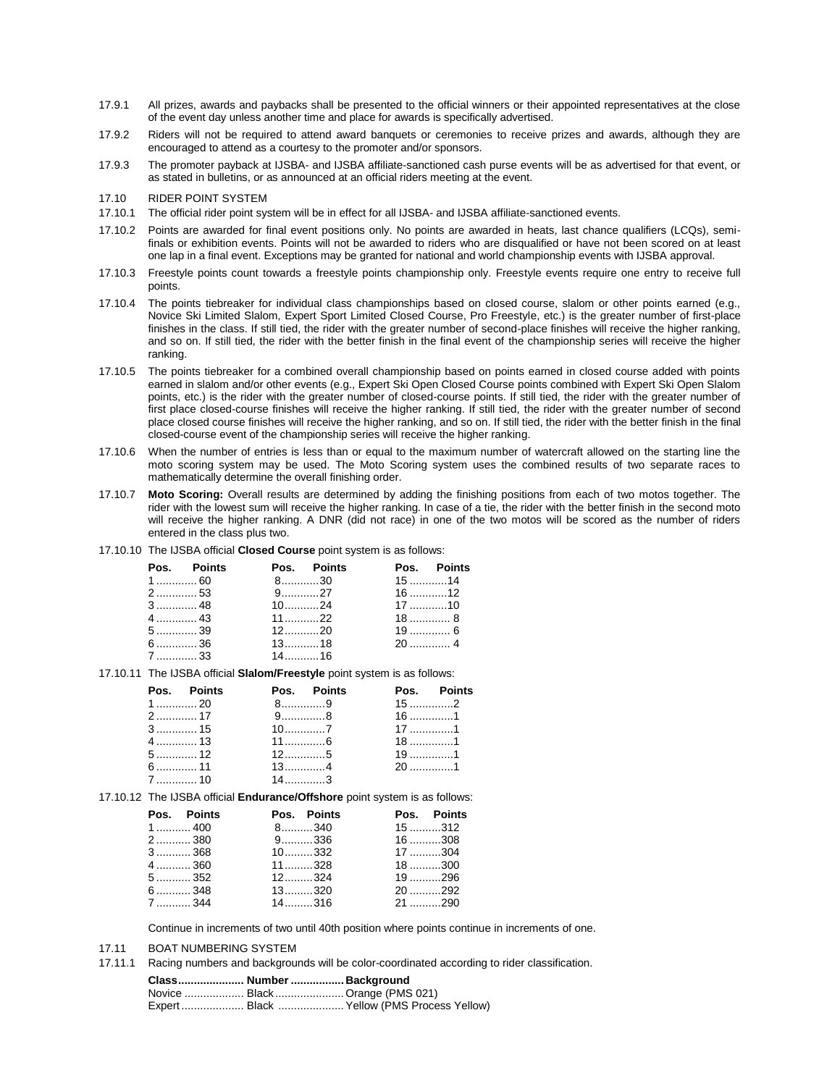- 17.9.1 All prizes, awards and paybacks shall be presented to the official winners or their appointed representatives at the close of the event day unless another time and place for awards is specifically advertised.
- 17.9.2 Riders will not be required to attend award banquets or ceremonies to receive prizes and awards, although they are encouraged to attend as a courtesy to the promoter and/or sponsors.
- 17.9.3 The promoter payback at IJSBA- and IJSBA affiliate-sanctioned cash purse events will be as advertised for that event, or as stated in bulletins, or as announced at an official riders meeting at the event.
- 17.10 RIDER POINT SYSTEM
- 17.10.1 The official rider point system will be in effect for all IJSBA- and IJSBA affiliate-sanctioned events.
- 17.10.2 Points are awarded for final event positions only. No points are awarded in heats, last chance qualifiers (LCQs), semifinals or exhibition events. Points will not be awarded to riders who are disqualified or have not been scored on at least one lap in a final event. Exceptions may be granted for national and world championship events with IJSBA approval.
- 17.10.3 Freestyle points count towards a freestyle points championship only. Freestyle events require one entry to receive full points.
- 17.10.4 The points tiebreaker for individual class championships based on closed course, slalom or other points earned (e.g., Novice Ski Limited Slalom, Expert Sport Limited Closed Course, Pro Freestyle, etc.) is the greater number of first-place finishes in the class. If still tied, the rider with the greater number of second-place finishes will receive the higher ranking, and so on. If still tied, the rider with the better finish in the final event of the championship series will receive the higher ranking.
- 17.10.5 The points tiebreaker for a combined overall championship based on points earned in closed course added with points earned in slalom and/or other events (e.g., Expert Ski Open Closed Course points combined with Expert Ski Open Slalom points, etc.) is the rider with the greater number of closed-course points. If still tied, the rider with the greater number of first place closed-course finishes will receive the higher ranking. If still tied, the rider with the greater number of second place closed course finishes will receive the higher ranking, and so on. If still tied, the rider with the better finish in the final closed-course event of the championship series will receive the higher ranking.
- 17.10.6 When the number of entries is less than or equal to the maximum number of watercraft allowed on the starting line the moto scoring system may be used. The Moto Scoring system uses the combined results of two separate races to mathematically determine the overall finishing order.
- 17.10.7 **Moto Scoring:** Overall results are determined by adding the finishing positions from each of two motos together. The rider with the lowest sum will receive the higher ranking. In case of a tie, the rider with the better finish in the second moto will receive the higher ranking. A DNR (did not race) in one of the two motos will be scored as the number of riders entered in the class plus two.
- 17.10.10 The IJSBA official **Closed Course** point system is as follows:

|        | Pos. Points | Pos. Points    |  | Pos. Points |
|--------|-------------|----------------|--|-------------|
| $1$ 60 |             | $8$ 30         |  | $15$ 14     |
| 2 53   |             | 9. 27          |  | 16 12       |
|        |             | $10$ 24        |  | $17$ 10     |
|        |             | $11$ , , ,  22 |  | $18$ 8      |
| $5$ 39 |             | $12$ 20        |  | 19  6       |
| $6$ 36 |             | 1318           |  |             |
| $7$ 33 |             | $14$ 16        |  |             |

17.10.11 The IJSBA official **Slalom/Freestyle** point system is as follows:

| Pos. Points |              | Pos. Points |          | Pos. Points |
|-------------|--------------|-------------|----------|-------------|
| 1 ………… 20   |              | 8. 9        | $15$ 2   |             |
| 2  17       | $9$ 8        |             | $16$ 1   |             |
| 3  15       |              |             | $17$ 1   |             |
| 4  13       | $11$ 6       |             | $18$ 1   |             |
| 5  12       | $12$ 5       |             | 19……………1 |             |
| 6  11       | $13$ 4       |             | $20$ 1   |             |
| 7  10       | $14 \quad 3$ |             |          |             |

17.10.12 The IJSBA official **Endurance/Offshore** point system is as follows:

| Pos. Points   | Pos. Points | Pos. Points |  |
|---------------|-------------|-------------|--|
| $1$ 400       | $8$ 340     | $15$ 312    |  |
| $2$ 380       | 9. 336      | $16$ 308    |  |
| $3$ 368       | $10$ 332    | $17$ 304    |  |
| $4$ 360       | $11$ 328    | $18$ 300    |  |
| $5$ 352       | $12$ 324    | $19$ 296    |  |
| 6  348        | $13$ 320    | 20 292      |  |
| $7 \dots 344$ | $14$ 316    | $21$ 290    |  |

Continue in increments of two until 40th position where points continue in increments of one.

- 17.11 BOAT NUMBERING SYSTEM
- 17.11.1 Racing numbers and backgrounds will be color-coordinated according to rider classification.

| Class Number  Background |                                           |
|--------------------------|-------------------------------------------|
|                          | Novice  Black  Orange (PMS 021)           |
|                          | Expert Black  Yellow (PMS Process Yellow) |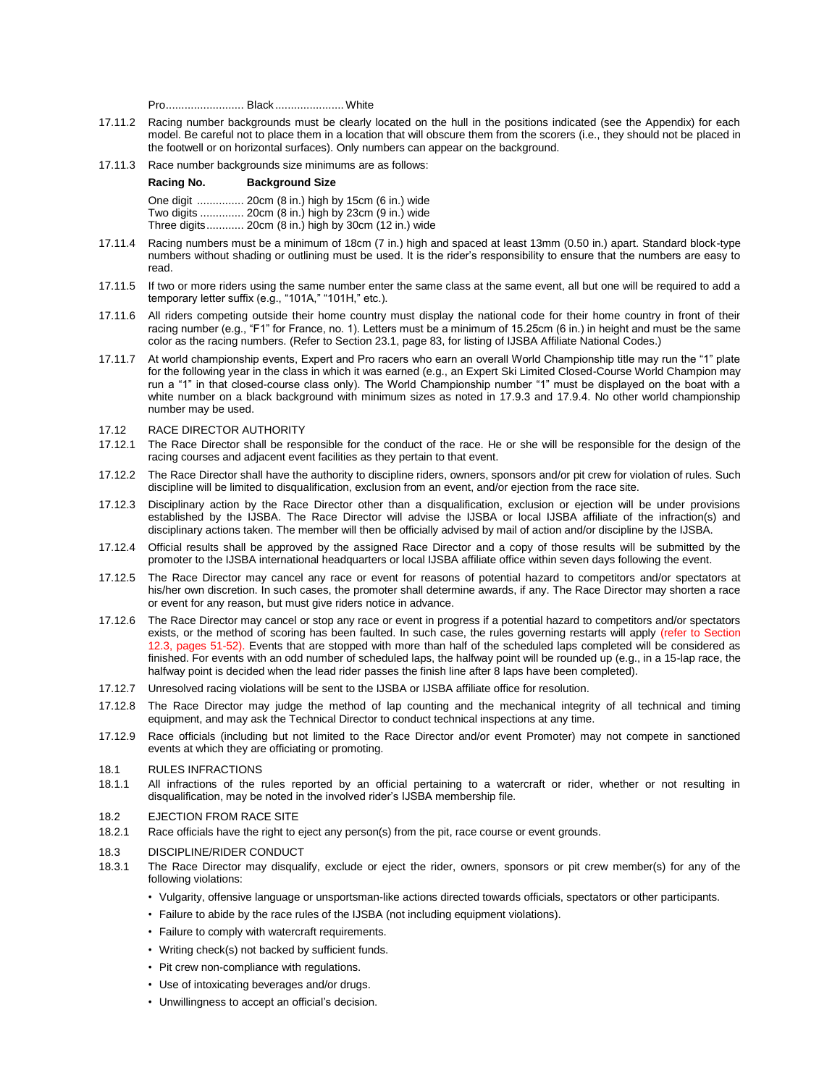Pro......................... Black ...................... White

- 17.11.2 Racing number backgrounds must be clearly located on the hull in the positions indicated (see the Appendix) for each model. Be careful not to place them in a location that will obscure them from the scorers (i.e., they should not be placed in the footwell or on horizontal surfaces). Only numbers can appear on the background.
- 17.11.3 Race number backgrounds size minimums are as follows:

| Racing No. | <b>Background Size</b>                               |
|------------|------------------------------------------------------|
|            | One digit  20cm (8 in.) high by 15cm (6 in.) wide    |
|            | Two digits  20cm (8 in.) high by 23cm (9 in.) wide   |
|            | Three digits 20cm (8 in.) high by 30cm (12 in.) wide |

- 17.11.4 Racing numbers must be a minimum of 18cm (7 in.) high and spaced at least 13mm (0.50 in.) apart. Standard block-type numbers without shading or outlining must be used. It is the rider's responsibility to ensure that the numbers are easy to read.
- 17.11.5 If two or more riders using the same number enter the same class at the same event, all but one will be required to add a temporary letter suffix (e.g., "101A," "101H," etc.).
- 17.11.6 All riders competing outside their home country must display the national code for their home country in front of their racing number (e.g., "F1" for France, no. 1). Letters must be a minimum of 15.25cm (6 in.) in height and must be the same color as the racing numbers. (Refer to Section 23.1, page 83, for listing of IJSBA Affiliate National Codes.)
- 17.11.7 At world championship events, Expert and Pro racers who earn an overall World Championship title may run the "1" plate for the following year in the class in which it was earned (e.g., an Expert Ski Limited Closed-Course World Champion may run a "1" in that closed-course class only). The World Championship number "1" must be displayed on the boat with a white number on a black background with minimum sizes as noted in 17.9.3 and 17.9.4. No other world championship number may be used.

#### 17.12 RACE DIRECTOR AUTHORITY

- 17.12.1 The Race Director shall be responsible for the conduct of the race. He or she will be responsible for the design of the racing courses and adjacent event facilities as they pertain to that event.
- 17.12.2 The Race Director shall have the authority to discipline riders, owners, sponsors and/or pit crew for violation of rules. Such discipline will be limited to disqualification, exclusion from an event, and/or ejection from the race site.
- 17.12.3 Disciplinary action by the Race Director other than a disqualification, exclusion or ejection will be under provisions established by the IJSBA. The Race Director will advise the IJSBA or local IJSBA affiliate of the infraction(s) and disciplinary actions taken. The member will then be officially advised by mail of action and/or discipline by the IJSBA.
- 17.12.4 Official results shall be approved by the assigned Race Director and a copy of those results will be submitted by the promoter to the IJSBA international headquarters or local IJSBA affiliate office within seven days following the event.
- 17.12.5 The Race Director may cancel any race or event for reasons of potential hazard to competitors and/or spectators at his/her own discretion. In such cases, the promoter shall determine awards, if any. The Race Director may shorten a race or event for any reason, but must give riders notice in advance.
- 17.12.6 The Race Director may cancel or stop any race or event in progress if a potential hazard to competitors and/or spectators exists, or the method of scoring has been faulted. In such case, the rules governing restarts will apply (refer to Section 12.3, pages 51-52). Events that are stopped with more than half of the scheduled laps completed will be considered as finished. For events with an odd number of scheduled laps, the halfway point will be rounded up (e.g., in a 15-lap race, the halfway point is decided when the lead rider passes the finish line after 8 laps have been completed).
- 17.12.7 Unresolved racing violations will be sent to the IJSBA or IJSBA affiliate office for resolution.
- 17.12.8 The Race Director may judge the method of lap counting and the mechanical integrity of all technical and timing equipment, and may ask the Technical Director to conduct technical inspections at any time.
- 17.12.9 Race officials (including but not limited to the Race Director and/or event Promoter) may not compete in sanctioned events at which they are officiating or promoting.
- 18.1 RULES INFRACTIONS
- 18.1.1 All infractions of the rules reported by an official pertaining to a watercraft or rider, whether or not resulting in disqualification, may be noted in the involved rider's IJSBA membership file.
- 18.2 EJECTION FROM RACE SITE
- 18.2.1 Race officials have the right to eject any person(s) from the pit, race course or event grounds.

### 18.3 DISCIPLINE/RIDER CONDUCT

- 18.3.1 The Race Director may disqualify, exclude or eject the rider, owners, sponsors or pit crew member(s) for any of the following violations:
	- Vulgarity, offensive language or unsportsman-like actions directed towards officials, spectators or other participants.
	- Failure to abide by the race rules of the IJSBA (not including equipment violations).
	- Failure to comply with watercraft requirements.
	- Writing check(s) not backed by sufficient funds.
	- Pit crew non-compliance with regulations.
	- Use of intoxicating beverages and/or drugs.
	- Unwillingness to accept an official's decision.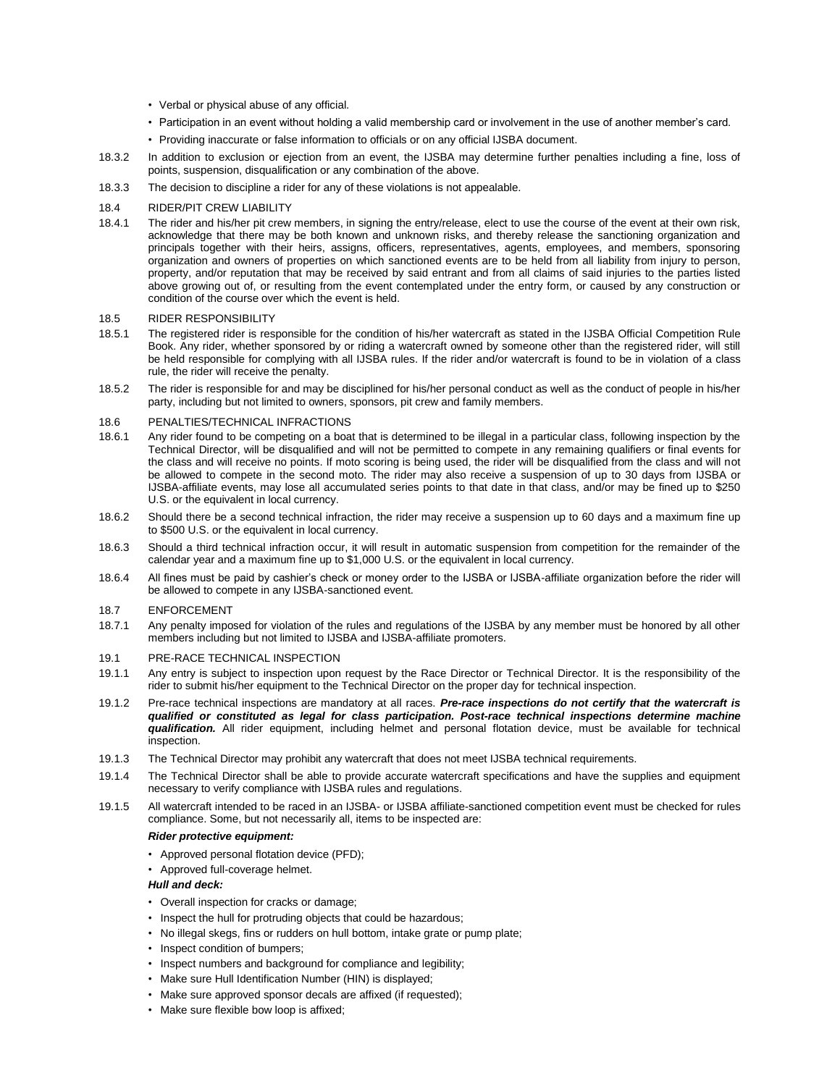- Verbal or physical abuse of any official.
- Participation in an event without holding a valid membership card or involvement in the use of another member's card.
- Providing inaccurate or false information to officials or on any official IJSBA document.
- 18.3.2 In addition to exclusion or ejection from an event, the IJSBA may determine further penalties including a fine, loss of points, suspension, disqualification or any combination of the above.
- 18.3.3 The decision to discipline a rider for any of these violations is not appealable.

### 18.4 RIDER/PIT CREW LIABILITY

18.4.1 The rider and his/her pit crew members, in signing the entry/release, elect to use the course of the event at their own risk, acknowledge that there may be both known and unknown risks, and thereby release the sanctioning organization and principals together with their heirs, assigns, officers, representatives, agents, employees, and members, sponsoring organization and owners of properties on which sanctioned events are to be held from all liability from injury to person, property, and/or reputation that may be received by said entrant and from all claims of said injuries to the parties listed above growing out of, or resulting from the event contemplated under the entry form, or caused by any construction or condition of the course over which the event is held.

#### 18.5 RIDER RESPONSIBILITY

- 18.5.1 The registered rider is responsible for the condition of his/her watercraft as stated in the IJSBA Official Competition Rule Book. Any rider, whether sponsored by or riding a watercraft owned by someone other than the registered rider, will still be held responsible for complying with all IJSBA rules. If the rider and/or watercraft is found to be in violation of a class rule, the rider will receive the penalty.
- 18.5.2 The rider is responsible for and may be disciplined for his/her personal conduct as well as the conduct of people in his/her party, including but not limited to owners, sponsors, pit crew and family members.

### 18.6 PENALTIES/TECHNICAL INFRACTIONS

- 18.6.1 Any rider found to be competing on a boat that is determined to be illegal in a particular class, following inspection by the Technical Director, will be disqualified and will not be permitted to compete in any remaining qualifiers or final events for the class and will receive no points. If moto scoring is being used, the rider will be disqualified from the class and will not be allowed to compete in the second moto. The rider may also receive a suspension of up to 30 days from IJSBA or IJSBA-affiliate events, may lose all accumulated series points to that date in that class, and/or may be fined up to \$250 U.S. or the equivalent in local currency.
- 18.6.2 Should there be a second technical infraction, the rider may receive a suspension up to 60 days and a maximum fine up to \$500 U.S. or the equivalent in local currency.
- 18.6.3 Should a third technical infraction occur, it will result in automatic suspension from competition for the remainder of the calendar year and a maximum fine up to \$1,000 U.S. or the equivalent in local currency.
- 18.6.4 All fines must be paid by cashier's check or money order to the IJSBA or IJSBA-affiliate organization before the rider will be allowed to compete in any IJSBA-sanctioned event.

#### 18.7 ENFORCEMENT

18.7.1 Any penalty imposed for violation of the rules and regulations of the IJSBA by any member must be honored by all other members including but not limited to IJSBA and IJSBA-affiliate promoters.

### 19.1 PRE-RACE TECHNICAL INSPECTION

- 19.1.1 Any entry is subject to inspection upon request by the Race Director or Technical Director. It is the responsibility of the rider to submit his/her equipment to the Technical Director on the proper day for technical inspection.
- 19.1.2 Pre-race technical inspections are mandatory at all races. *Pre-race inspections do not certify that the watercraft is qualified or constituted as legal for class participation. Post-race technical inspections determine machine qualification.* All rider equipment, including helmet and personal flotation device, must be available for technical inspection.
- 19.1.3 The Technical Director may prohibit any watercraft that does not meet IJSBA technical requirements.
- 19.1.4 The Technical Director shall be able to provide accurate watercraft specifications and have the supplies and equipment necessary to verify compliance with IJSBA rules and regulations.
- 19.1.5 All watercraft intended to be raced in an IJSBA- or IJSBA affiliate-sanctioned competition event must be checked for rules compliance. Some, but not necessarily all, items to be inspected are:

#### *Rider protective equipment:*

- Approved personal flotation device (PFD);
- Approved full-coverage helmet.

#### *Hull and deck:*

- Overall inspection for cracks or damage;
- Inspect the hull for protruding objects that could be hazardous;
- No illegal skegs, fins or rudders on hull bottom, intake grate or pump plate;
- Inspect condition of bumpers;
- Inspect numbers and background for compliance and legibility;
- Make sure Hull Identification Number (HIN) is displayed;
- Make sure approved sponsor decals are affixed (if requested);
- Make sure flexible bow loop is affixed;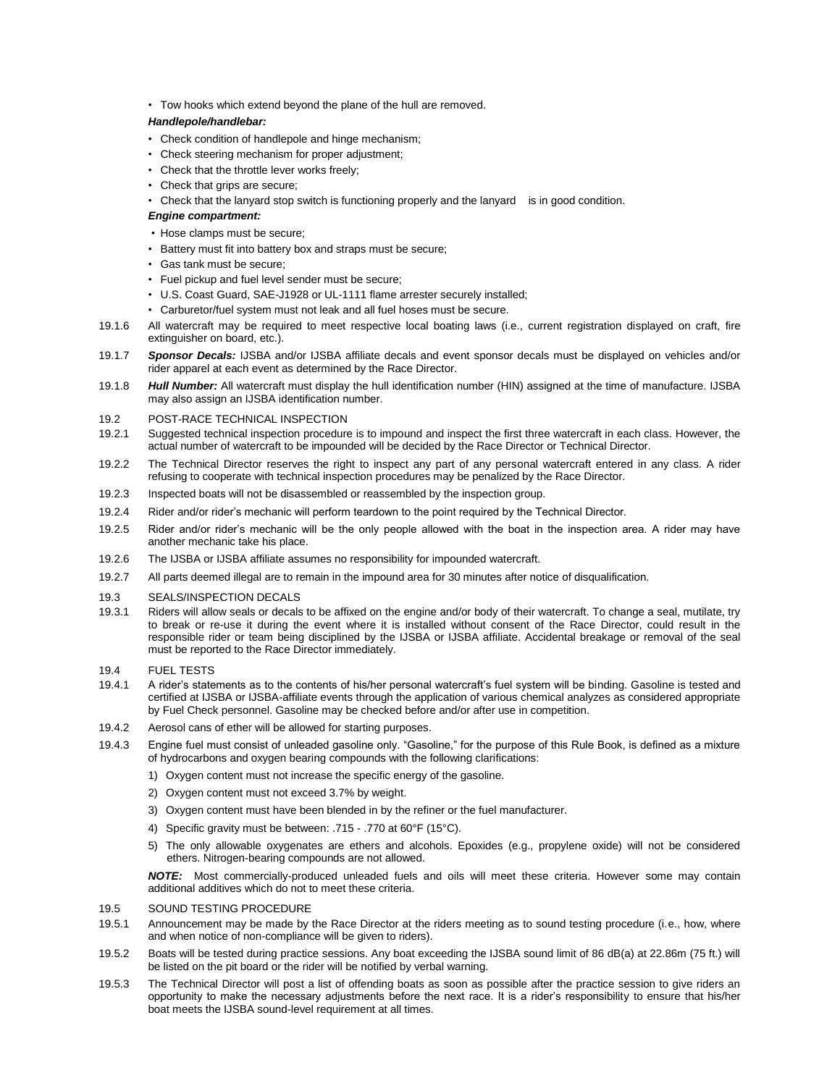• Tow hooks which extend beyond the plane of the hull are removed.

### *Handlepole/handlebar:*

- Check condition of handlepole and hinge mechanism;
- Check steering mechanism for proper adjustment;
- Check that the throttle lever works freely;
- Check that grips are secure;
- Check that the lanyard stop switch is functioning properly and the lanyard is in good condition.
- *Engine compartment:*
- Hose clamps must be secure;
- Battery must fit into battery box and straps must be secure;
- Gas tank must be secure;
- Fuel pickup and fuel level sender must be secure;
- U.S. Coast Guard, SAE-J1928 or UL-1111 flame arrester securely installed;
- Carburetor/fuel system must not leak and all fuel hoses must be secure.
- 19.1.6 All watercraft may be required to meet respective local boating laws (i.e., current registration displayed on craft, fire extinguisher on board, etc.).
- 19.1.7 *Sponsor Decals:* IJSBA and/or IJSBA affiliate decals and event sponsor decals must be displayed on vehicles and/or rider apparel at each event as determined by the Race Director.
- 19.1.8 *Hull Number:* All watercraft must display the hull identification number (HIN) assigned at the time of manufacture. IJSBA may also assign an IJSBA identification number.

### 19.2 POST-RACE TECHNICAL INSPECTION

- 19.2.1 Suggested technical inspection procedure is to impound and inspect the first three watercraft in each class. However, the actual number of watercraft to be impounded will be decided by the Race Director or Technical Director.
- 19.2.2 The Technical Director reserves the right to inspect any part of any personal watercraft entered in any class. A rider refusing to cooperate with technical inspection procedures may be penalized by the Race Director.
- 19.2.3 Inspected boats will not be disassembled or reassembled by the inspection group.
- 19.2.4 Rider and/or rider's mechanic will perform teardown to the point required by the Technical Director.
- 19.2.5 Rider and/or rider's mechanic will be the only people allowed with the boat in the inspection area. A rider may have another mechanic take his place.
- 19.2.6 The IJSBA or IJSBA affiliate assumes no responsibility for impounded watercraft.
- 19.2.7 All parts deemed illegal are to remain in the impound area for 30 minutes after notice of disqualification.

#### 19.3 SEALS/INSPECTION DECALS

19.3.1 Riders will allow seals or decals to be affixed on the engine and/or body of their watercraft. To change a seal, mutilate, try to break or re-use it during the event where it is installed without consent of the Race Director, could result in the responsible rider or team being disciplined by the IJSBA or IJSBA affiliate. Accidental breakage or removal of the seal must be reported to the Race Director immediately.

### 19.4 FUEL TESTS

- 19.4.1 A rider's statements as to the contents of his/her personal watercraft's fuel system will be binding. Gasoline is tested and certified at IJSBA or IJSBA-affiliate events through the application of various chemical analyzes as considered appropriate by Fuel Check personnel. Gasoline may be checked before and/or after use in competition.
- 19.4.2 Aerosol cans of ether will be allowed for starting purposes.
- 19.4.3 Engine fuel must consist of unleaded gasoline only. "Gasoline," for the purpose of this Rule Book, is defined as a mixture of hydrocarbons and oxygen bearing compounds with the following clarifications:
	- 1) Oxygen content must not increase the specific energy of the gasoline.
	- 2) Oxygen content must not exceed 3.7% by weight.
	- 3) Oxygen content must have been blended in by the refiner or the fuel manufacturer.
	- 4) Specific gravity must be between: .715 .770 at 60°F (15°C).
	- 5) The only allowable oxygenates are ethers and alcohols. Epoxides (e.g., propylene oxide) will not be considered ethers. Nitrogen-bearing compounds are not allowed.

*NOTE:* Most commercially-produced unleaded fuels and oils will meet these criteria. However some may contain additional additives which do not to meet these criteria.

#### 19.5 SOUND TESTING PROCEDURE

- 19.5.1 Announcement may be made by the Race Director at the riders meeting as to sound testing procedure (i.e., how, where and when notice of non-compliance will be given to riders).
- 19.5.2 Boats will be tested during practice sessions. Any boat exceeding the IJSBA sound limit of 86 dB(a) at 22.86m (75 ft.) will be listed on the pit board or the rider will be notified by verbal warning.
- 19.5.3 The Technical Director will post a list of offending boats as soon as possible after the practice session to give riders an opportunity to make the necessary adjustments before the next race. It is a rider's responsibility to ensure that his/her boat meets the IJSBA sound-level requirement at all times.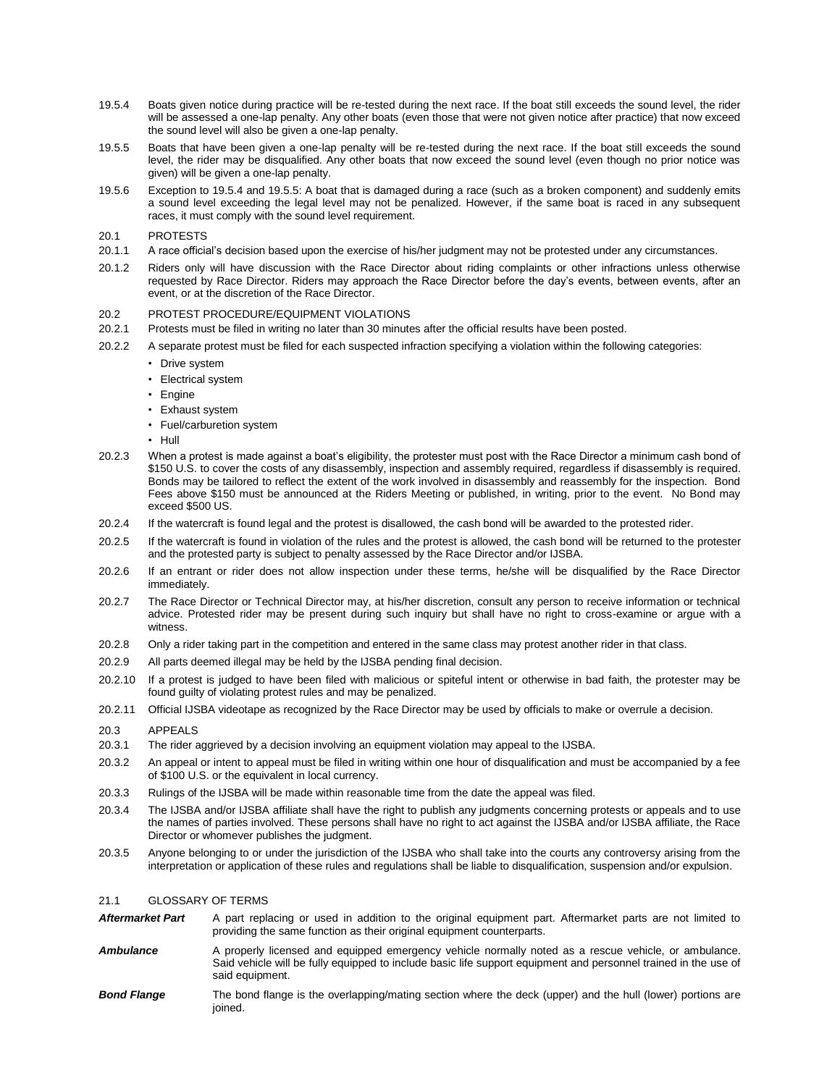- 19.5.4 Boats given notice during practice will be re-tested during the next race. If the boat still exceeds the sound level, the rider will be assessed a one-lap penalty. Any other boats (even those that were not given notice after practice) that now exceed the sound level will also be given a one-lap penalty.
- 19.5.5 Boats that have been given a one-lap penalty will be re-tested during the next race. If the boat still exceeds the sound level, the rider may be disqualified. Any other boats that now exceed the sound level (even though no prior notice was given) will be given a one-lap penalty.
- 19.5.6 Exception to 19.5.4 and 19.5.5: A boat that is damaged during a race (such as a broken component) and suddenly emits a sound level exceeding the legal level may not be penalized. However, if the same boat is raced in any subsequent races, it must comply with the sound level requirement.

#### 20.1 PROTESTS

- 20.1.1 A race official's decision based upon the exercise of his/her judgment may not be protested under any circumstances.
- 20.1.2 Riders only will have discussion with the Race Director about riding complaints or other infractions unless otherwise requested by Race Director. Riders may approach the Race Director before the day's events, between events, after an event, or at the discretion of the Race Director.

### 20.2 PROTEST PROCEDURE/EQUIPMENT VIOLATIONS

- 20.2.1 Protests must be filed in writing no later than 30 minutes after the official results have been posted.
- 20.2.2 A separate protest must be filed for each suspected infraction specifying a violation within the following categories:
	- Drive system
	- Electrical system
	- Engine
	- Exhaust system
	- Fuel/carburetion system
	- Hull
- 20.2.3 When a protest is made against a boat's eligibility, the protester must post with the Race Director a minimum cash bond of \$150 U.S. to cover the costs of any disassembly, inspection and assembly required, regardless if disassembly is required. Bonds may be tailored to reflect the extent of the work involved in disassembly and reassembly for the inspection. Bond Fees above \$150 must be announced at the Riders Meeting or published, in writing, prior to the event. No Bond may exceed \$500 US.
- 20.2.4 If the watercraft is found legal and the protest is disallowed, the cash bond will be awarded to the protested rider.
- 20.2.5 If the watercraft is found in violation of the rules and the protest is allowed, the cash bond will be returned to the protester and the protested party is subject to penalty assessed by the Race Director and/or IJSBA.
- 20.2.6 If an entrant or rider does not allow inspection under these terms, he/she will be disqualified by the Race Director immediately.
- 20.2.7 The Race Director or Technical Director may, at his/her discretion, consult any person to receive information or technical advice. Protested rider may be present during such inquiry but shall have no right to cross-examine or argue with a witness.
- 20.2.8 Only a rider taking part in the competition and entered in the same class may protest another rider in that class.
- 20.2.9 All parts deemed illegal may be held by the IJSBA pending final decision.
- 20.2.10 If a protest is judged to have been filed with malicious or spiteful intent or otherwise in bad faith, the protester may be found guilty of violating protest rules and may be penalized.
- 20.2.11 Official IJSBA videotape as recognized by the Race Director may be used by officials to make or overrule a decision.

### 20.3 APPEALS

- 20.3.1 The rider aggrieved by a decision involving an equipment violation may appeal to the IJSBA.
- 20.3.2 An appeal or intent to appeal must be filed in writing within one hour of disqualification and must be accompanied by a fee of \$100 U.S. or the equivalent in local currency.
- 20.3.3 Rulings of the IJSBA will be made within reasonable time from the date the appeal was filed.
- 20.3.4 The IJSBA and/or IJSBA affiliate shall have the right to publish any judgments concerning protests or appeals and to use the names of parties involved. These persons shall have no right to act against the IJSBA and/or IJSBA affiliate, the Race Director or whomever publishes the judgment.
- 20.3.5 Anyone belonging to or under the jurisdiction of the IJSBA who shall take into the courts any controversy arising from the interpretation or application of these rules and regulations shall be liable to disqualification, suspension and/or expulsion.

### 21.1 GLOSSARY OF TERMS

- Aftermarket Part A part replacing or used in addition to the original equipment part. Aftermarket parts are not limited to providing the same function as their original equipment counterparts.
- Ambulance **A** properly licensed and equipped emergency vehicle normally noted as a rescue vehicle, or ambulance. Said vehicle will be fully equipped to include basic life support equipment and personnel trained in the use of said equipment.
- *Bond Flange* The bond flange is the overlapping/mating section where the deck (upper) and the hull (lower) portions are joined.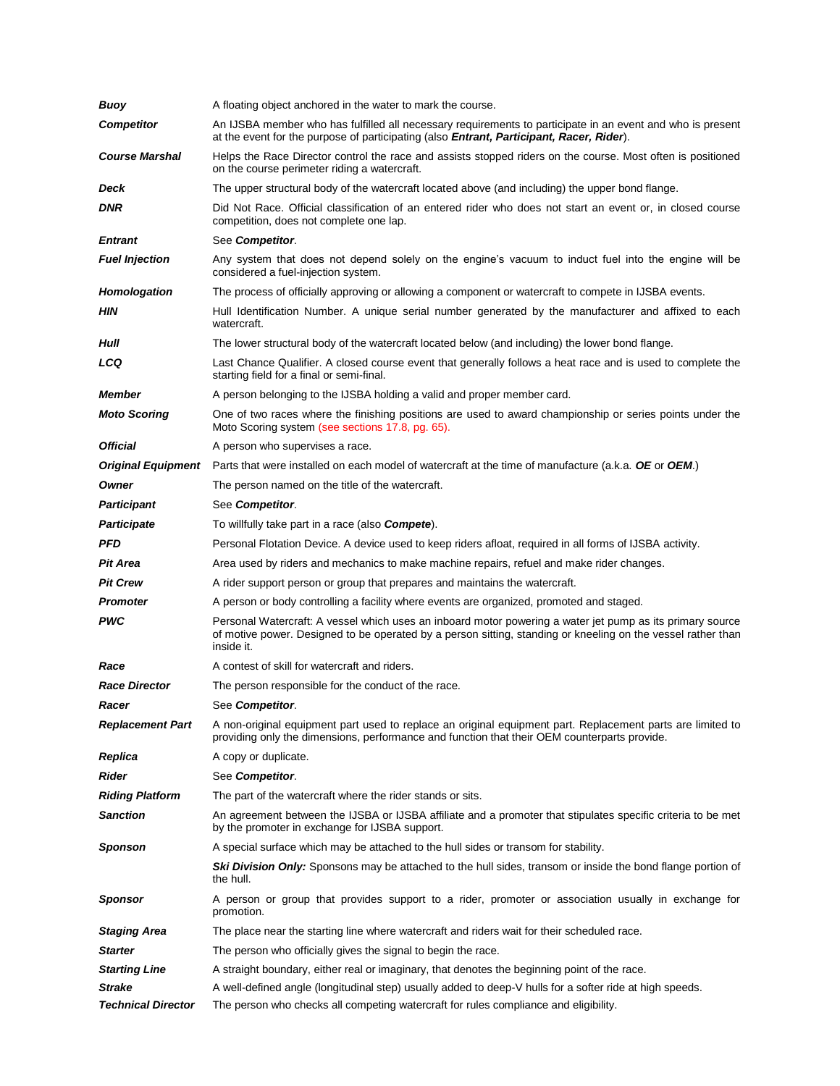| Buoy                      | A floating object anchored in the water to mark the course.                                                                                                                                                                             |
|---------------------------|-----------------------------------------------------------------------------------------------------------------------------------------------------------------------------------------------------------------------------------------|
| <b>Competitor</b>         | An IJSBA member who has fulfilled all necessary requirements to participate in an event and who is present<br>at the event for the purpose of participating (also <b>Entrant, Participant, Racer, Rider</b> ).                          |
| <b>Course Marshal</b>     | Helps the Race Director control the race and assists stopped riders on the course. Most often is positioned<br>on the course perimeter riding a watercraft.                                                                             |
| Deck                      | The upper structural body of the watercraft located above (and including) the upper bond flange.                                                                                                                                        |
| <b>DNR</b>                | Did Not Race. Official classification of an entered rider who does not start an event or, in closed course<br>competition, does not complete one lap.                                                                                   |
| <b>Entrant</b>            | See Competitor.                                                                                                                                                                                                                         |
| <b>Fuel Injection</b>     | Any system that does not depend solely on the engine's vacuum to induct fuel into the engine will be<br>considered a fuel-injection system.                                                                                             |
| <b>Homologation</b>       | The process of officially approving or allowing a component or watercraft to compete in IJSBA events.                                                                                                                                   |
| ΗIΝ                       | Hull Identification Number. A unique serial number generated by the manufacturer and affixed to each<br>watercraft.                                                                                                                     |
| Hull                      | The lower structural body of the watercraft located below (and including) the lower bond flange.                                                                                                                                        |
| LCQ                       | Last Chance Qualifier. A closed course event that generally follows a heat race and is used to complete the<br>starting field for a final or semi-final.                                                                                |
| <b>Member</b>             | A person belonging to the IJSBA holding a valid and proper member card.                                                                                                                                                                 |
| <b>Moto Scoring</b>       | One of two races where the finishing positions are used to award championship or series points under the<br>Moto Scoring system (see sections 17.8, pg. 65).                                                                            |
| <b>Official</b>           | A person who supervises a race.                                                                                                                                                                                                         |
| <b>Original Equipment</b> | Parts that were installed on each model of watercraft at the time of manufacture (a.k.a. OE or OEM.)                                                                                                                                    |
| Owner                     | The person named on the title of the watercraft.                                                                                                                                                                                        |
| <b>Participant</b>        | See Competitor.                                                                                                                                                                                                                         |
| <b>Participate</b>        | To willfully take part in a race (also <b>Compete</b> ).                                                                                                                                                                                |
| PFD                       | Personal Flotation Device. A device used to keep riders afloat, required in all forms of IJSBA activity.                                                                                                                                |
| <b>Pit Area</b>           | Area used by riders and mechanics to make machine repairs, refuel and make rider changes.                                                                                                                                               |
| <b>Pit Crew</b>           | A rider support person or group that prepares and maintains the watercraft.                                                                                                                                                             |
| Promoter                  | A person or body controlling a facility where events are organized, promoted and staged.                                                                                                                                                |
| PWC                       | Personal Watercraft: A vessel which uses an inboard motor powering a water jet pump as its primary source<br>of motive power. Designed to be operated by a person sitting, standing or kneeling on the vessel rather than<br>inside it. |
| Race                      | A contest of skill for watercraft and riders.                                                                                                                                                                                           |
| <b>Race Director</b>      | The person responsible for the conduct of the race.                                                                                                                                                                                     |
| Racer                     | See Competitor.                                                                                                                                                                                                                         |
| <b>Replacement Part</b>   | A non-original equipment part used to replace an original equipment part. Replacement parts are limited to<br>providing only the dimensions, performance and function that their OEM counterparts provide.                              |
| Replica                   | A copy or duplicate.                                                                                                                                                                                                                    |
| Rider                     | See Competitor.                                                                                                                                                                                                                         |
| <b>Riding Platform</b>    | The part of the watercraft where the rider stands or sits.                                                                                                                                                                              |
| <b>Sanction</b>           | An agreement between the IJSBA or IJSBA affiliate and a promoter that stipulates specific criteria to be met<br>by the promoter in exchange for IJSBA support.                                                                          |
| <b>Sponson</b>            | A special surface which may be attached to the hull sides or transom for stability.                                                                                                                                                     |
|                           | Ski Division Only: Sponsons may be attached to the hull sides, transom or inside the bond flange portion of<br>the hull.                                                                                                                |
| Sponsor                   | A person or group that provides support to a rider, promoter or association usually in exchange for<br>promotion.                                                                                                                       |
| Staging Area              | The place near the starting line where watercraft and riders wait for their scheduled race.                                                                                                                                             |
| <b>Starter</b>            | The person who officially gives the signal to begin the race.                                                                                                                                                                           |
| <b>Starting Line</b>      | A straight boundary, either real or imaginary, that denotes the beginning point of the race.                                                                                                                                            |
| <b>Strake</b>             | A well-defined angle (longitudinal step) usually added to deep-V hulls for a softer ride at high speeds.                                                                                                                                |
| <b>Technical Director</b> | The person who checks all competing watercraft for rules compliance and eligibility.                                                                                                                                                    |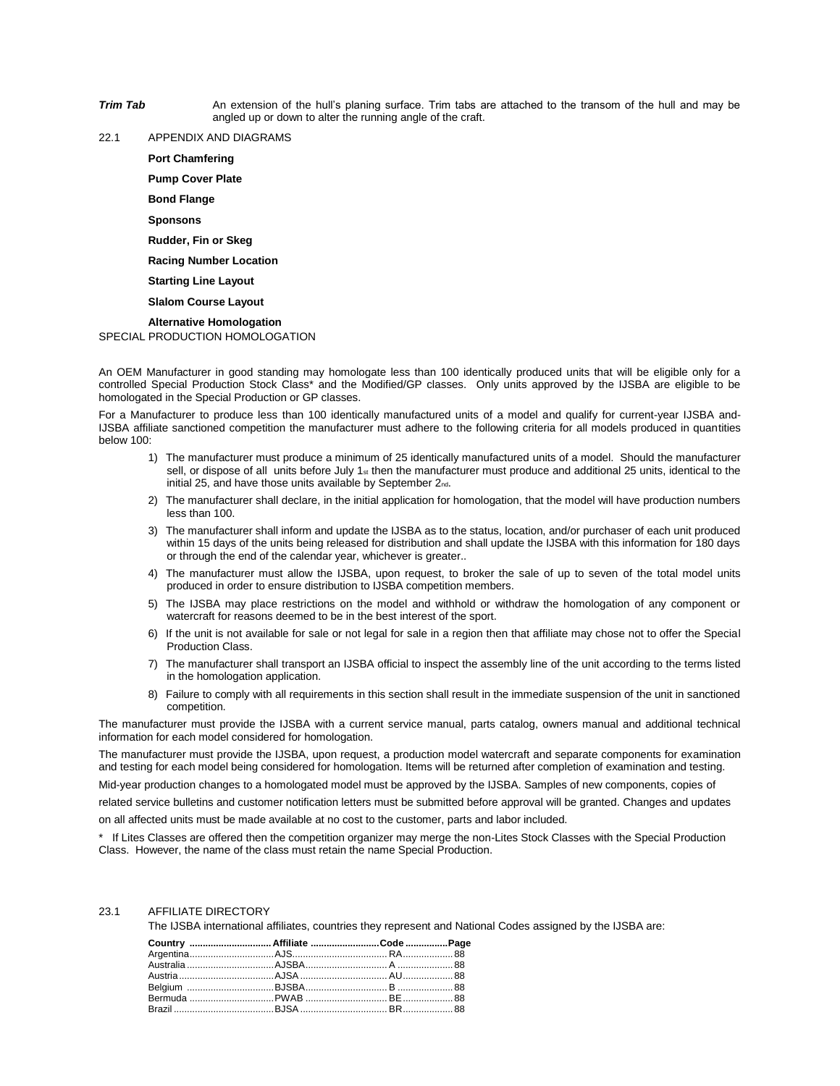- **Trim Tab** An extension of the hull's planing surface. Trim tabs are attached to the transom of the hull and may be angled up or down to alter the running angle of the craft.
- 22.1 APPENDIX AND DIAGRAMS

**Port Chamfering**

**Pump Cover Plate**

**Bond Flange**

**Sponsons**

**Rudder, Fin or Skeg**

**Racing Number Location**

**Starting Line Layout**

**Slalom Course Layout**

**Alternative Homologation**

SPECIAL PRODUCTION HOMOLOGATION

An OEM Manufacturer in good standing may homologate less than 100 identically produced units that will be eligible only for a controlled Special Production Stock Class\* and the Modified/GP classes. Only units approved by the IJSBA are eligible to be homologated in the Special Production or GP classes.

For a Manufacturer to produce less than 100 identically manufactured units of a model and qualify for current-year IJSBA and-IJSBA affiliate sanctioned competition the manufacturer must adhere to the following criteria for all models produced in quantities below 100:

- 1) The manufacturer must produce a minimum of 25 identically manufactured units of a model. Should the manufacturer sell, or dispose of all units before July 1 $_{st}$  then the manufacturer must produce and additional 25 units, identical to the initial 25, and have those units available by September 2nd.
- 2) The manufacturer shall declare, in the initial application for homologation, that the model will have production numbers less than 100.
- 3) The manufacturer shall inform and update the IJSBA as to the status, location, and/or purchaser of each unit produced within 15 days of the units being released for distribution and shall update the IJSBA with this information for 180 days or through the end of the calendar year, whichever is greater..
- 4) The manufacturer must allow the IJSBA, upon request, to broker the sale of up to seven of the total model units produced in order to ensure distribution to IJSBA competition members.
- 5) The IJSBA may place restrictions on the model and withhold or withdraw the homologation of any component or watercraft for reasons deemed to be in the best interest of the sport.
- 6) If the unit is not available for sale or not legal for sale in a region then that affiliate may chose not to offer the Special Production Class.
- 7) The manufacturer shall transport an IJSBA official to inspect the assembly line of the unit according to the terms listed in the homologation application.
- 8) Failure to comply with all requirements in this section shall result in the immediate suspension of the unit in sanctioned competition.

The manufacturer must provide the IJSBA with a current service manual, parts catalog, owners manual and additional technical information for each model considered for homologation.

The manufacturer must provide the IJSBA, upon request, a production model watercraft and separate components for examination and testing for each model being considered for homologation. Items will be returned after completion of examination and testing.

Mid-year production changes to a homologated model must be approved by the IJSBA. Samples of new components, copies of

related service bulletins and customer notification letters must be submitted before approval will be granted. Changes and updates

on all affected units must be made available at no cost to the customer, parts and labor included.

\* If Lites Classes are offered then the competition organizer may merge the non-Lites Stock Classes with the Special Production Class. However, the name of the class must retain the name Special Production.

### 23.1 AFFILIATE DIRECTORY

The IJSBA international affiliates, countries they represent and National Codes assigned by the IJSBA are:

| Country  Affiliate Code Page |  |
|------------------------------|--|
|                              |  |
|                              |  |
|                              |  |
|                              |  |
|                              |  |
|                              |  |
|                              |  |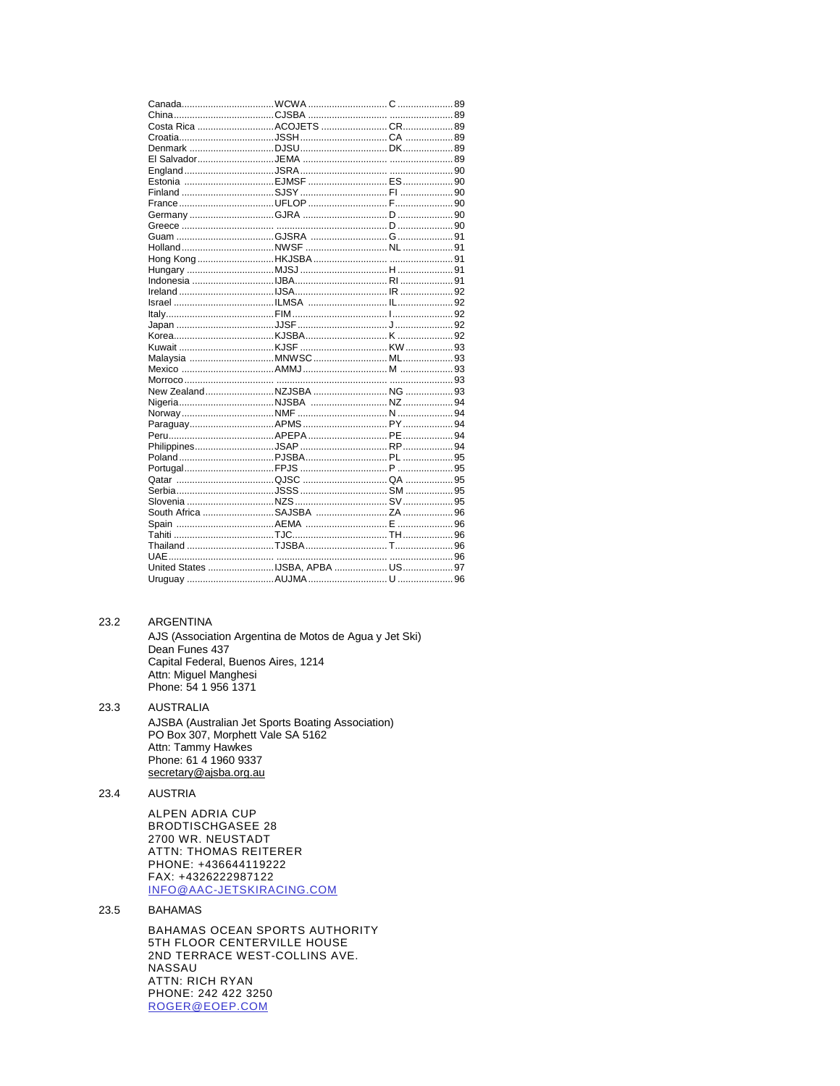#### 23.2 ARGENTINA

AJS (Association Argentina de Motos de Agua y Jet Ski) Dean Funes 437 Capital Federal, Buenos Aires, 1214 Attn: Miguel Manghesi Phone: 54 1 956 1371

**AUSTRALIA** AJSBA (Australian Jet Sports Boating Association) PO Box 307, Morphett Vale SA 5162 Attn: Tammy Hawkes Phone: 61 4 1960 9337 secretary@ajsba.org.au

23.4 **AUSTRIA** 

23.3

ALPEN ADRIA CUP **BRODTISCHGASEE 28** 2700 WR. NEUSTADT **ATTN: THOMAS REITERER** PHONE: +436644119222 FAX: +4326222987122 INFO@AAC-JETSKIRACING.COM

23.5 **BAHAMAS** 

> BAHAMAS OCEAN SPORTS AUTHORITY 5TH FLOOR CENTERVILLE HOUSE 2ND TERRACE WEST-COLLINS AVE. NASSAU ATTN: RICH RYAN PHONE: 242 422 3250 ROGER@EOEP.COM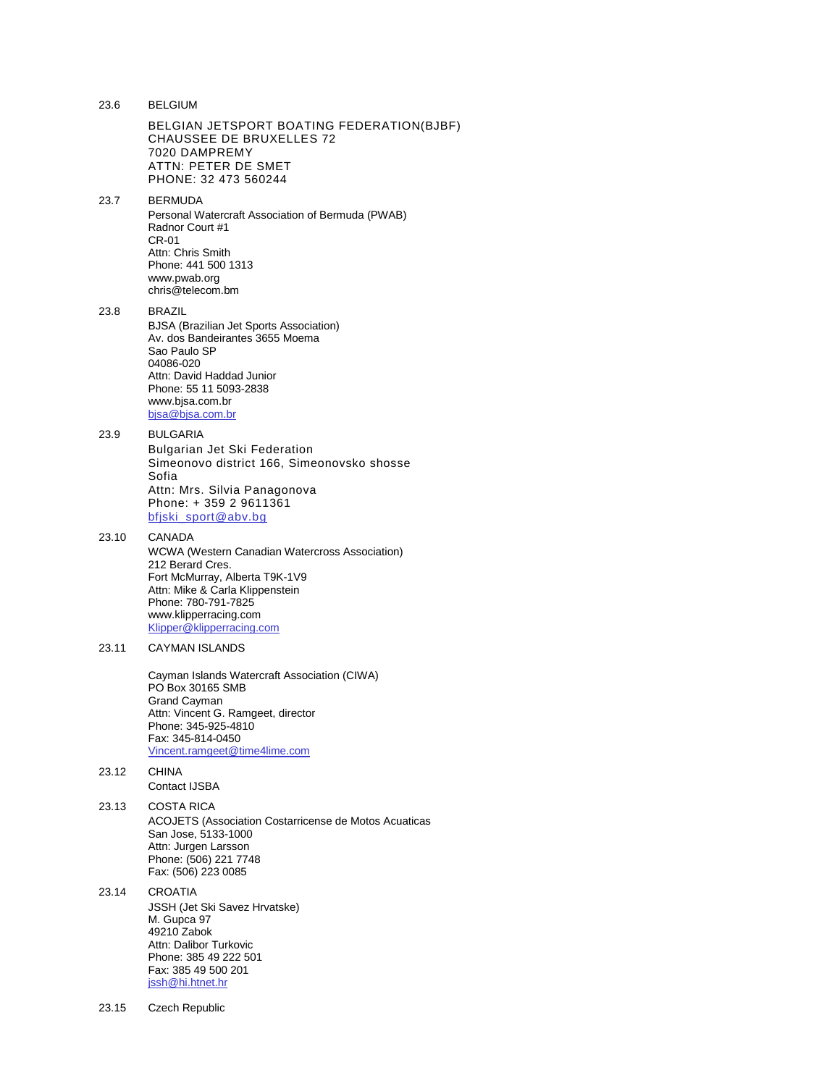| 23.6  | <b>BELGIUM</b>                                                                                                                                                                                                                      |
|-------|-------------------------------------------------------------------------------------------------------------------------------------------------------------------------------------------------------------------------------------|
|       | BELGIAN JETSPORT BOATING FEDERATION(BJBF)<br><b>CHAUSSEE DE BRUXELLES 72</b><br>7020 DAMPREMY<br>ATTN: PETER DE SMET<br>PHONE: 32 473 560244                                                                                        |
| 23.7  | <b>BERMUDA</b><br>Personal Watercraft Association of Bermuda (PWAB)<br>Radnor Court #1<br>CR-01<br>Attn: Chris Smith<br>Phone: 441 500 1313<br>www.pwab.org<br>chris@telecom.bm                                                     |
| 23.8  | <b>BRAZIL</b><br><b>BJSA</b> (Brazilian Jet Sports Association)<br>Av. dos Bandeirantes 3655 Moema<br>Sao Paulo SP<br>04086-020<br>Attn: David Haddad Junior<br>Phone: 55 11 5093-2838<br>www.bjsa.com.br<br>bjsa@bjsa.com.br       |
| 23.9  | <b>BULGARIA</b><br><b>Bulgarian Jet Ski Federation</b><br>Simeonovo district 166, Simeonovsko shosse<br>Sofia<br>Attn: Mrs. Silvia Panagonova<br>Phone: +359 2 9611361<br>bfjski_sport@abv.bg                                       |
| 23.10 | CANADA<br>WCWA (Western Canadian Watercross Association)<br>212 Berard Cres.<br>Fort McMurray, Alberta T9K-1V9<br>Attn: Mike & Carla Klippenstein<br>Phone: 780-791-7825<br>www.klipperracing.com<br>Klipper@klipperracing.com      |
| 23.11 | <b>CAYMAN ISLANDS</b><br>Cayman Islands Watercraft Association (CIWA)<br>PO Box 30165 SMB<br><b>Grand Cayman</b><br>Attn: Vincent G. Ramgeet, director<br>Phone: 345-925-4810<br>Fax: 345-814-0450<br>Vincent.ramgeet@time4lime.com |
| 23.12 | <b>CHINA</b><br><b>Contact IJSBA</b>                                                                                                                                                                                                |
| 23.13 | COSTA RICA<br>ACOJETS (Association Costarricense de Motos Acuaticas<br>San Jose, 5133-1000<br>Attn: Jurgen Larsson<br>Phone: (506) 221 7748<br>Fax: (506) 223 0085                                                                  |
| 23.14 | <b>CROATIA</b><br><b>JSSH (Jet Ski Savez Hrvatske)</b><br>M. Gupca 97<br>49210 Zabok<br>Attn: Dalibor Turkovic<br>Phone: 385 49 222 501<br>Fax: 385 49 500 201<br>jssh@hi.htnet.hr                                                  |
|       |                                                                                                                                                                                                                                     |

23.15 Czech Republic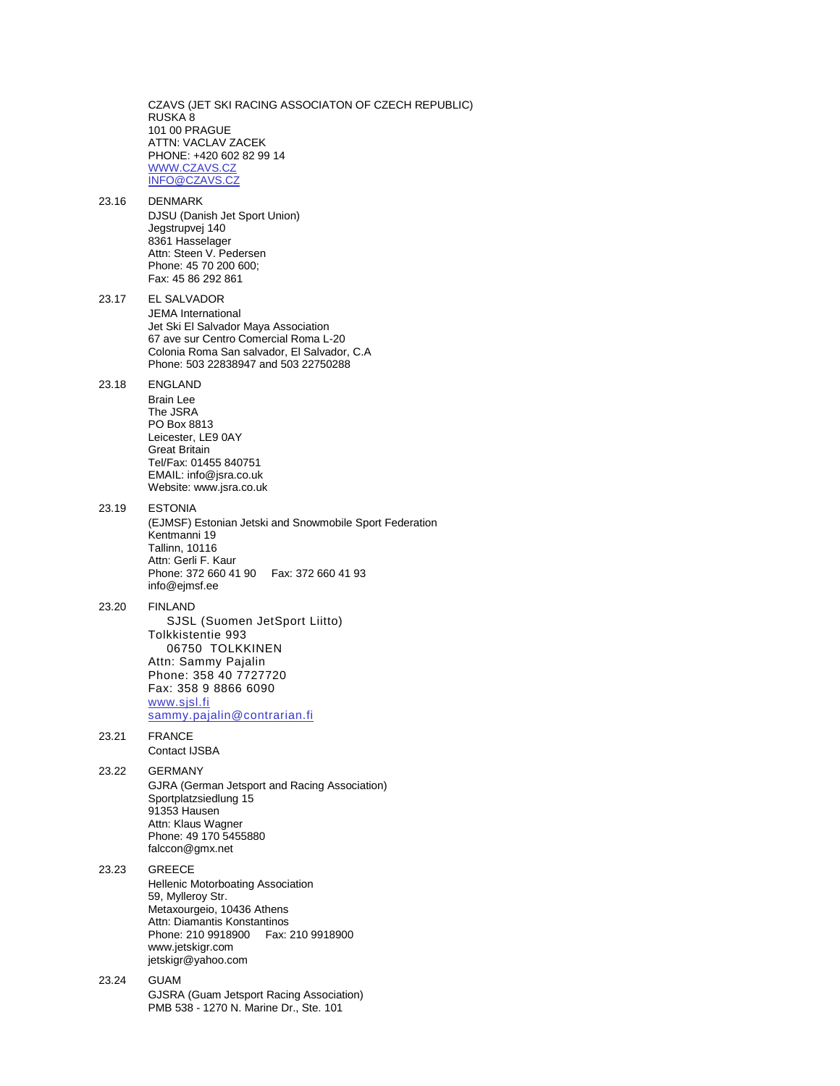CZAVS (JET SKI RACING ASSOCIATON OF CZECH REPUBLIC) RUSKA 8 101 00 PRAGUE ATTN: VACLAV ZACEK PHONE: +420 602 82 99 14 [WWW.CZAVS.CZ](http://www.czavs.cz/) [INFO@CZAVS.CZ](mailto:info@czavs.cz) 23.16 DENMARK DJSU (Danish Jet Sport Union) Jegstrupvej 140 8361 Hasselager Attn: Steen V. Pedersen Phone: 45 70 200 600; Fax: 45 86 292 861 23.17 EL SALVADOR JEMA International Jet Ski El Salvador Maya Association 67 ave sur Centro Comercial Roma L-20 Colonia Roma San salvador, El Salvador, C.A Phone: 503 22838947 and 503 22750288 23.18 ENGLAND Brain Lee The JSRA PO Box 8813 Leicester, LE9 0AY Great Britain Tel/Fax: 01455 840751 EMAIL: info@jsra.co.uk Website: www.jsra.co.uk 23.19 ESTONIA (EJMSF) Estonian Jetski and Snowmobile Sport Federation Kentmanni 19 Tallinn, 10116 Attn: Gerli F. Kaur Phone: 372 660 41 90 Fax: 372 660 41 93 info@ejmsf.ee 23.20 FINLAND SJSL (Suomen JetSport Liitto) Tolkkistentie 993 06750 TOLKKINEN Attn: Sammy Pajalin Phone: 358 40 7727720 Fax: 358 9 8866 6090 [www.sjsl.fi](http://www.sjsl.fi/) [sammy.pajalin@contrarian.fi](mailto:sammy.pajalin@contrarian.fi) 23.21 FRANCE Contact IJSBA 23.22 GERMANY GJRA (German Jetsport and Racing Association) Sportplatzsiedlung 15 91353 Hausen Attn: Klaus Wagner Phone: 49 170 5455880 falccon@gmx.net 23.23 GREECE Hellenic Motorboating Association 59, Mylleroy Str. Metaxourgeio, 10436 Athens Attn: Diamantis Konstantinos Phone: 210 9918900 Fax: 210 9918900 www.jetskigr.com jetskigr@yahoo.com 23.24 GUAM GJSRA (Guam Jetsport Racing Association) PMB 538 - 1270 N. Marine Dr., Ste. 101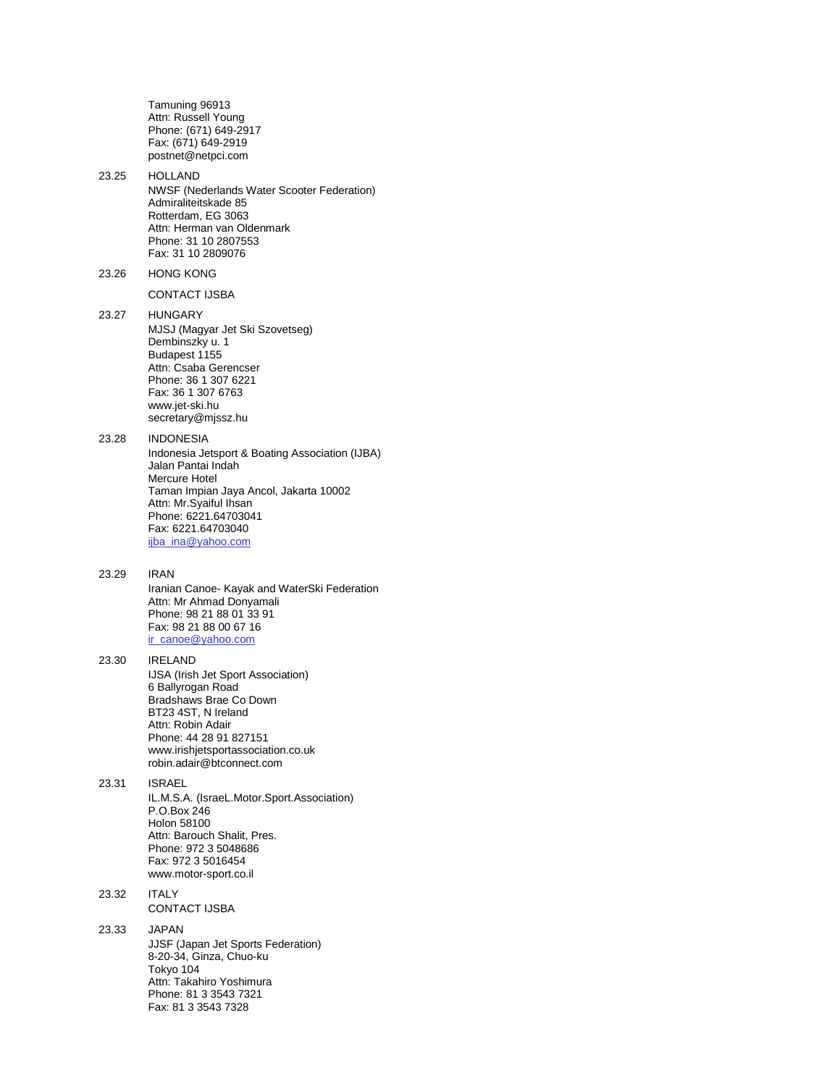Tamuning 96913 Attn: Russell Young Phone: (671) 649-2917 Fax: (671) 649-2919 postnet@netpci.com

23.25 HOLLAND NWSF (Nederlands Water Scooter Federation) Admiraliteitskade 85 Rotterdam, EG 3063 Attn: Herman van Oldenmark Phone: 31 10 2807553 Fax: 31 10 2809076

23.26 HONG KONG

CONTACT IJSBA

23.27 HUNGARY MJSJ (Magyar Jet Ski Szovetseg) Dembinszky u. 1 Budapest 1155 Attn: Csaba Gerencser Phone: 36 1 307 6221 Fax: 36 1 307 6763 www.jet-ski.hu secretary@mjssz.hu

23.28 INDONESIA Indonesia Jetsport & Boating Association (IJBA) Jalan Pantai Indah Mercure Hotel Taman Impian Jaya Ancol, Jakarta 10002 Attn: Mr.Syaiful Ihsan Phone: 6221.64703041 Fax: 6221.64703040 [ijba\\_ina@yahoo.com](mailto:ijba_ina@yahoo.com)

### 23.29 IRAN

Iranian Canoe- Kayak and WaterSki Federation Attn: Mr Ahmad Donyamali Phone: 98 21 88 01 33 91 Fax: 98 21 88 00 67 16 [ir\\_canoe@yahoo.com](mailto:ir_canoe@yahoo.com)

#### 23.30 IRELAND IJSA (Irish Jet Sport Association) 6 Ballyrogan Road Bradshaws Brae Co Down BT23 4ST, N Ireland

Attn: Robin Adair Phone: 44 28 91 827151 www.irishjetsportassociation.co.uk robin.adair@btconnect.com

### 23.31 ISRAEL IL.M.S.A. (IsraeL.Motor.Sport.Association) P.O.Box 246 Holon 58100 Attn: Barouch Shalit, Pres.

Phone: 972 3 5048686 Fax: 972 3 5016454 www.motor-sport.co.il

#### 23.32 ITALY CONTACT IJSBA

23.33 JAPAN JJSF (Japan Jet Sports Federation) 8-20-34, Ginza, Chuo-ku Tokyo 104 Attn: Takahiro Yoshimura Phone: 81 3 3543 7321 Fax: 81 3 3543 7328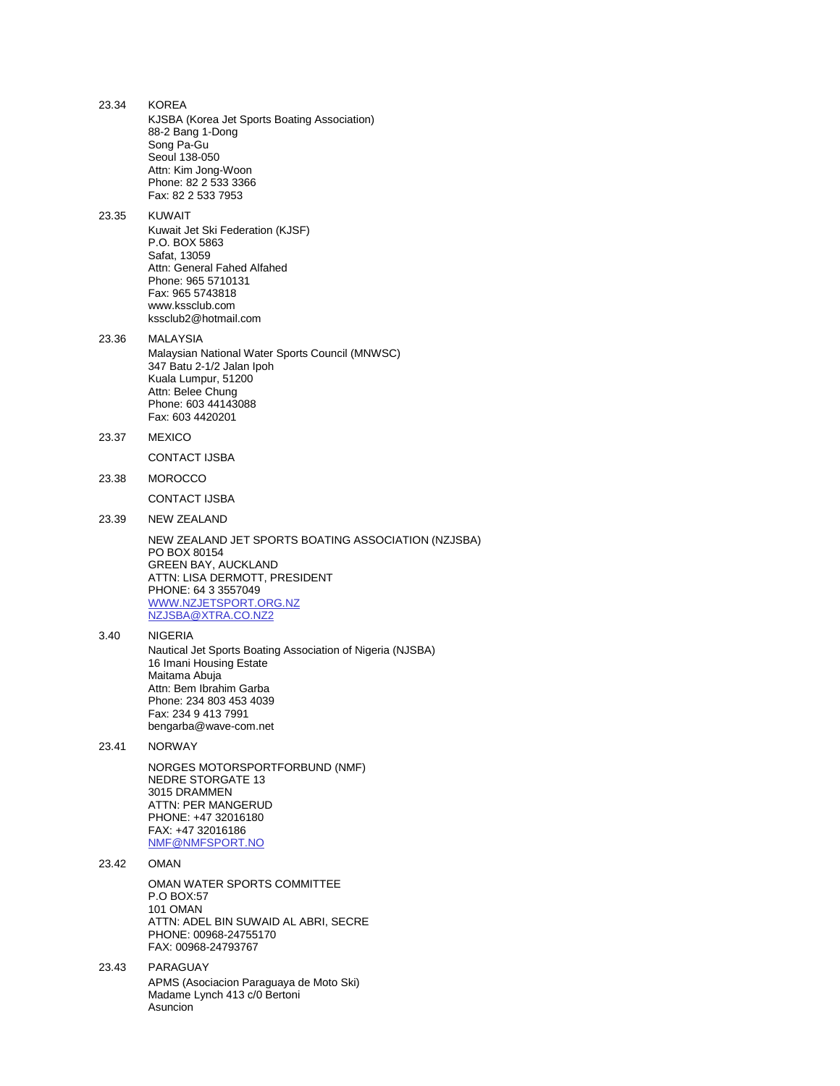| 23.34 | <b>KOREA</b><br>KJSBA (Korea Jet Sports Boating Association)<br>88-2 Bang 1-Dong<br>Song Pa-Gu<br>Seoul 138-050<br>Attn: Kim Jong-Woon<br>Phone: 82 2 533 3366<br>Fax: 82 2 533 7953                                           |
|-------|--------------------------------------------------------------------------------------------------------------------------------------------------------------------------------------------------------------------------------|
| 23.35 | <b>KUWAIT</b><br>Kuwait Jet Ski Federation (KJSF)<br>P.O. BOX 5863<br>Safat, 13059<br>Attn: General Fahed Alfahed<br>Phone: 965 5710131<br>Fax: 965 5743818<br>www.kssclub.com<br>kssclub2@hotmail.com                         |
| 23.36 | MALAYSIA<br>Malaysian National Water Sports Council (MNWSC)<br>347 Batu 2-1/2 Jalan Ipoh<br>Kuala Lumpur, 51200<br>Attn: Belee Chung<br>Phone: 603 44143088<br>Fax: 603 4420201                                                |
| 23.37 | <b>MEXICO</b>                                                                                                                                                                                                                  |
|       | <b>CONTACT IJSBA</b>                                                                                                                                                                                                           |
| 23.38 | <b>MOROCCO</b>                                                                                                                                                                                                                 |
|       | <b>CONTACT IJSBA</b>                                                                                                                                                                                                           |
| 23.39 | <b>NEW ZEALAND</b>                                                                                                                                                                                                             |
|       | NEW ZEALAND JET SPORTS BOATING ASSOCIATION (NZJSBA)<br>PO BOX 80154<br>GREEN BAY, AUCKLAND<br>ATTN: LISA DERMOTT, PRESIDENT<br>PHONE: 64 3 3557049<br>WWW.NZJETSPORT.ORG.NZ<br>NZJSBA@XTRA.CO.NZ2                              |
| 3.40  | <b>NIGERIA</b><br>Nautical Jet Sports Boating Association of Nigeria (NJSBA)<br>16 Imani Housing Estate<br>Maitama Abuja<br>Attn: Bem Ibrahim Garba<br>Phone: 234 803 453 4039<br>Fax: 234 9 413 7991<br>bengarba@wave-com.net |
| 23.41 | <b>NORWAY</b>                                                                                                                                                                                                                  |
|       | NORGES MOTORSPORTFORBUND (NMF)<br><b>NEDRE STORGATE 13</b><br>3015 DRAMMEN<br>ATTN: PER MANGERUD<br>PHONE: +47 32016180<br>FAX: +47 32016186<br>NMF@NMFSPORT.NO                                                                |
| 23.42 | OMAN                                                                                                                                                                                                                           |
|       | OMAN WATER SPORTS COMMITTEE<br>P.O BOX:57<br>101 OMAN<br>ATTN: ADEL BIN SUWAID AL ABRI, SECRE<br>PHONE: 00968-24755170<br>FAX: 00968-24793767                                                                                  |
| 23.43 | PARAGUAY<br>APMS (Asociacion Paraguaya de Moto Ski)<br>Madame Lynch 413 c/0 Bertoni                                                                                                                                            |

Asuncion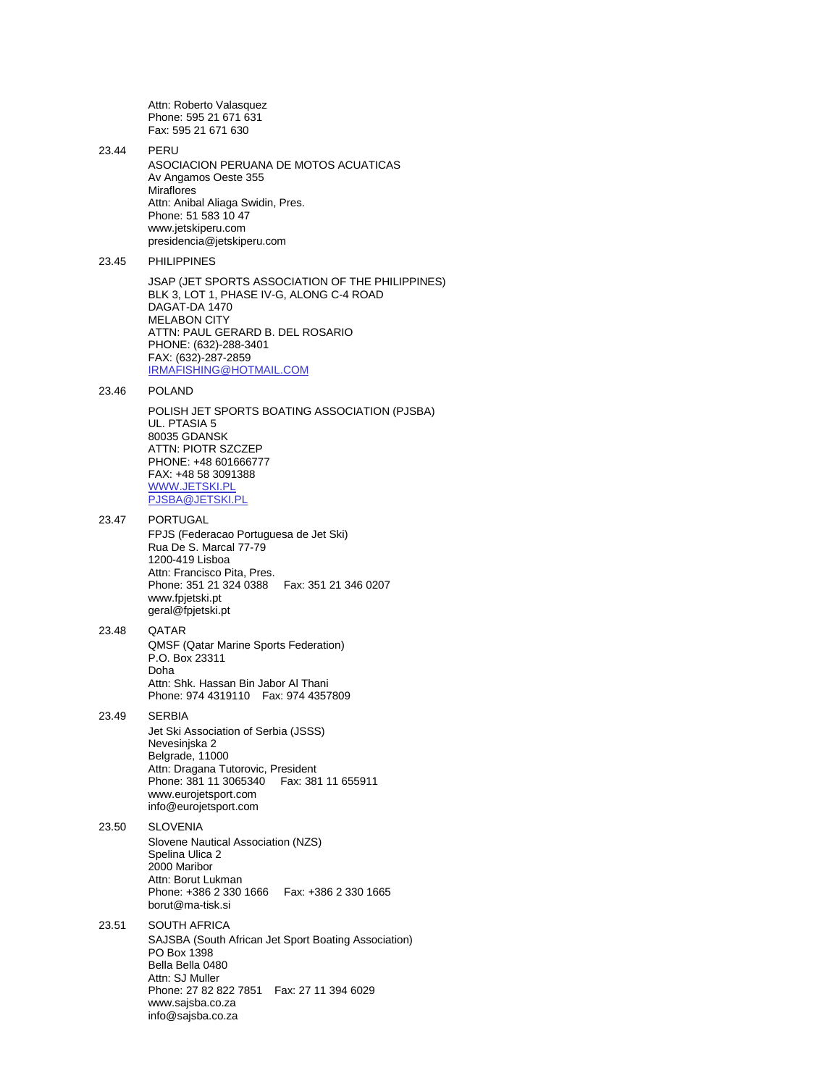Attn: Roberto Valasquez Phone: 595 21 671 631 Fax: 595 21 671 630

23.44 PERU ASOCIACION PERUANA DE MOTOS ACUATICAS Av Angamos Oeste 355 **Miraflores** Attn: Anibal Aliaga Swidin, Pres. Phone: 51 583 10 47 www.jetskiperu.com presidencia@jetskiperu.com 23.45 PHILIPPINES

> JSAP (JET SPORTS ASSOCIATION OF THE PHILIPPINES) BLK 3, LOT 1, PHASE IV-G, ALONG C-4 ROAD DAGAT-DA 1470 MELABON CITY ATTN: PAUL GERARD B. DEL ROSARIO PHONE: (632)-288-3401 FAX: (632)-287-2859 [IRMAFISHING@HOTMAIL.COM](mailto:irmafishing@hotmail.com)

23.46 POLAND

POLISH JET SPORTS BOATING ASSOCIATION (PJSBA) UL. PTASIA 5 80035 GDANSK ATTN: PIOTR SZCZEP PHONE: +48 601666777 FAX: +48 58 3091388 [WWW.JETSKI.PL](http://www.jetski.pl/) [PJSBA@JETSKI.PL](mailto:pjsba@jetski.pl)

#### 23.47 PORTUGAL FPJS (Federacao Portuguesa de Jet Ski) Rua De S. Marcal 77-79 1200-419 Lisboa Attn: Francisco Pita, Pres. Phone: 351 21 324 0388 Fax: 351 21 346 0207 www.fpjetski.pt geral@fpjetski.pt

### 23.48 QATAR QMSF (Qatar Marine Sports Federation) P.O. Box 23311 Doha Attn: Shk. Hassan Bin Jabor Al Thani Phone: 974 4319110 Fax: 974 4357809

### 23.49 SERBIA

Jet Ski Association of Serbia (JSSS) Nevesinjska 2 Belgrade, 11000 Attn: Dragana Tutorovic, President Phone: 381 11 3065340 Fax: 381 11 655911 www.eurojetsport.com info@eurojetsport.com

### 23.50 SLOVENIA Slovene Nautical Association (NZS) Spelina Ulica 2 2000 Maribor Attn: Borut Lukman Phone: +386 2 330 1666 Fax: +386 2 330 1665 borut@ma-tisk.si

#### 23.51 SOUTH AFRICA SAJSBA (South African Jet Sport Boating Association) PO Box 1398 Bella Bella 0480 Attn: SJ Muller Phone: 27 82 822 7851 Fax: 27 11 394 6029 www.sajsba.co.za info@sajsba.co.za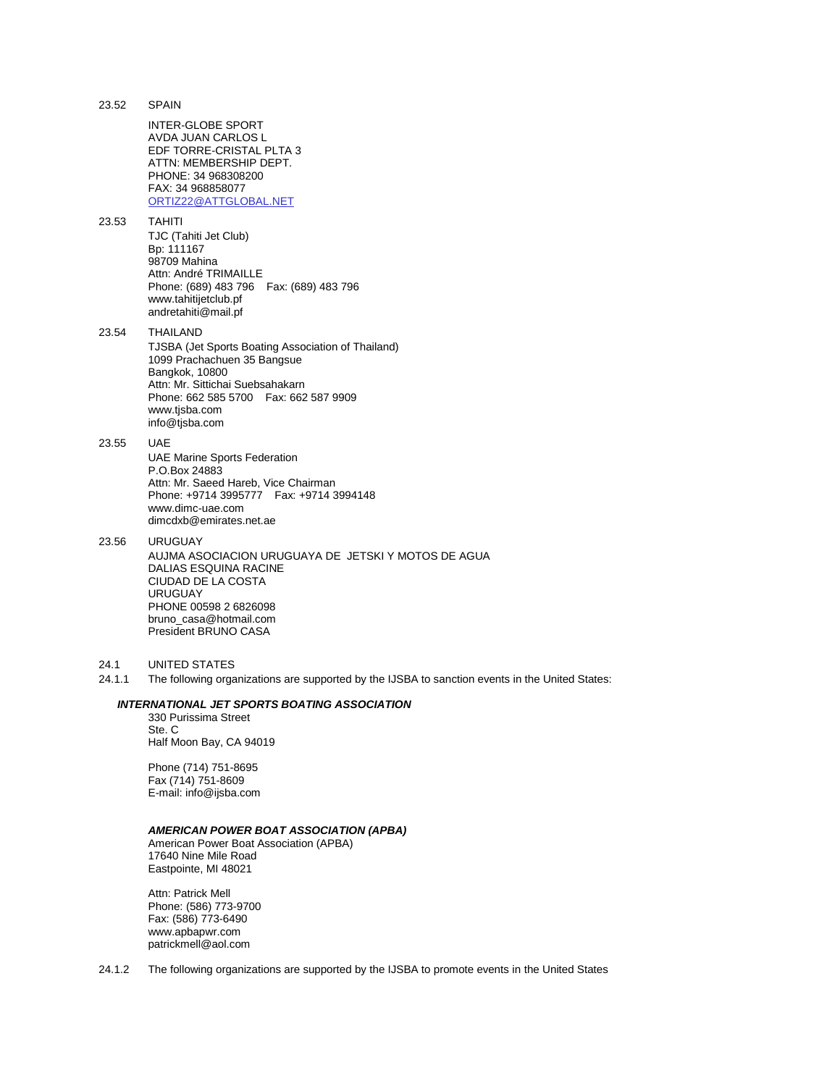| 23.52          | <b>SPAIN</b>                                                                                                                                                                                                                     |
|----------------|----------------------------------------------------------------------------------------------------------------------------------------------------------------------------------------------------------------------------------|
|                | INTER-GLOBE SPORT<br>AVDA JUAN CARLOS L<br>EDF TORRE-CRISTAL PLTA 3<br>ATTN: MEMBERSHIP DEPT.<br>PHONE: 34 968308200<br>FAX: 34 968858077<br>ORTIZ22@ATTGLOBAL.NET                                                               |
| 23.53          | <b>TAHITI</b><br>TJC (Tahiti Jet Club)<br>Bp: 111167<br>98709 Mahina<br>Attn: André TRIMAILLE<br>Phone: (689) 483 796  Fax: (689) 483 796<br>www.tahitijetclub.pf<br>andretahiti@mail.pf                                         |
| 23.54          | THAILAND<br>TJSBA (Jet Sports Boating Association of Thailand)<br>1099 Prachachuen 35 Bangsue<br>Bangkok, 10800<br>Attn: Mr. Sittichai Suebsahakarn<br>Phone: 662 585 5700  Fax: 662 587 9909<br>www.tjsba.com<br>info@tjsba.com |
| 23.55          | <b>UAE</b><br><b>UAE Marine Sports Federation</b><br>P.O.Box 24883<br>Attn: Mr. Saeed Hareb, Vice Chairman<br>Phone: +9714 3995777    Fax: +9714 3994148<br>www.dimc-uae.com<br>dimcdxb@emirates.net.ae                          |
| 23.56          | <b>URUGUAY</b><br>AUJMA ASOCIACION URUGUAYA DE JETSKI Y MOTOS DE AGUA<br>DALIAS ESQUINA RACINE<br>CIUDAD DE LA COSTA<br><b>URUGUAY</b><br>PHONE 00598 2 6826098<br>bruno casa@hotmail.com<br>President BRUNO CASA                |
| 24.1<br>24.1.1 | <b>UNITED STATES</b><br>The following organizations are supported by the IJSBA to sanction events in the United States:                                                                                                          |
|                | INTERNATIONAL JET SPORTS BOATING ASSOCIATION                                                                                                                                                                                     |
|                | 330 Purissima Street<br>Ste. C                                                                                                                                                                                                   |
|                | Half Moon Bay, CA 94019                                                                                                                                                                                                          |
|                | Phone (714) 751-8695<br>Fax (714) 751-8609<br>E-mail: info@ijsba.com                                                                                                                                                             |
|                | <b>AMERICAN POWER BOAT ASSOCIATION (APBA)</b><br>American Power Boat Association (APBA)<br>17640 Nine Mile Road<br>Eastpointe, MI 48021                                                                                          |

Attn: Patrick Mell Phone: (586) 773-9700 Fax: (586) 773-6490 www.apbapwr.com patrickmell@aol.com

24.1.2 The following organizations are supported by the IJSBA to promote events in the United States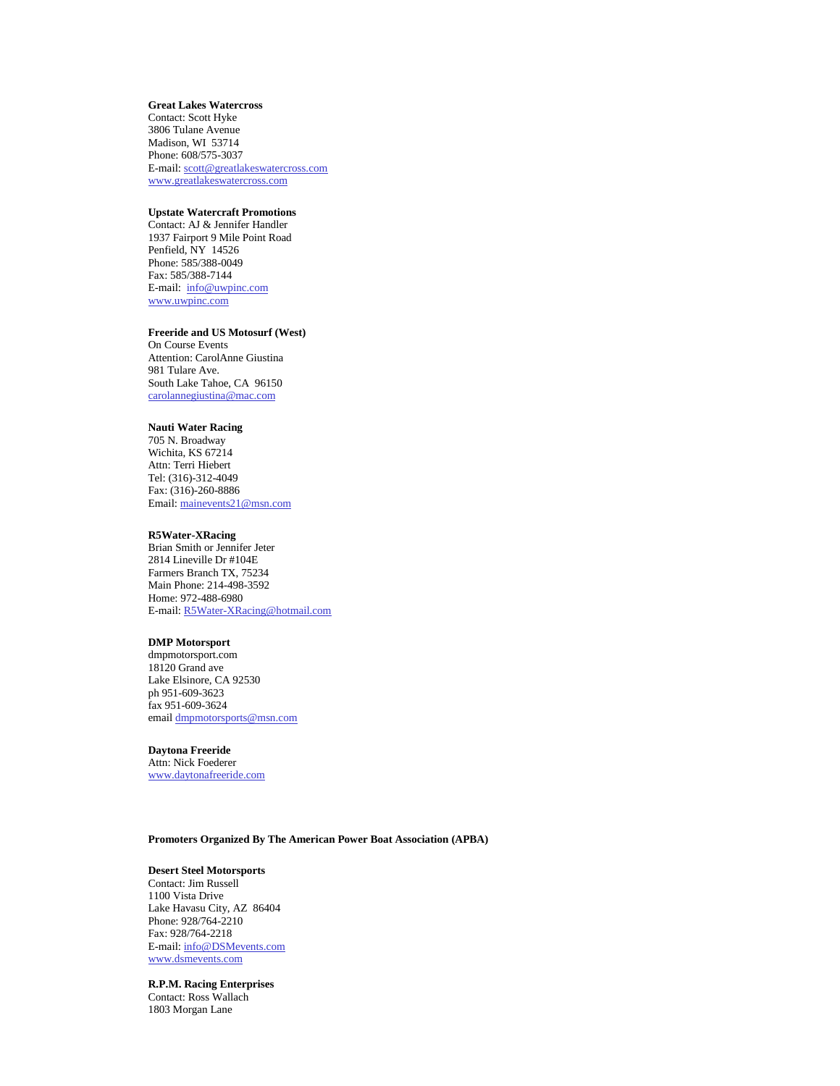#### **Great Lakes Watercross**

Contact: Scott Hyke 3806 Tulane Avenue Madison, WI 53714 Phone: 608/575-3037 E-mail[: scott@greatlakeswatercross.com](mailto:scott@greatlakeswatercross.com) [www.greatlakeswatercross.com](http://www.greatlakeswatercross.com/)

#### **Upstate Watercraft Promotions**

Contact: AJ & Jennifer Handler 1937 Fairport 9 Mile Point Road Penfield, NY 14526 Phone: 585/388-0049 Fax: 585/388-7144 E-mail: [info@uwpinc.com](mailto:info@uwpinc.com) [www.uwpinc.com](http://www.uwpinc.com/)

#### **Freeride and US Motosurf (West)**

On Course Events Attention: CarolAnne Giustina 981 Tulare Ave. South Lake Tahoe, CA 96150 [carolannegiustina@mac.com](mailto:carolannegiustina@mac.com)

#### **Nauti Water Racing**

705 N. Broadway Wichita, KS 67214 Attn: Terri Hiebert Tel: (316)-312-4049 Fax: (316)-260-8886 Email[: mainevents21@msn.com](mailto:mainevents21@msn.com)

#### **R5Water-XRacing**

Brian Smith or Jennifer Jeter 2814 Lineville Dr #104E Farmers Branch TX, 75234 Main Phone: 214-498-3592 Home: 972-488-6980 E-mail[: R5Water-XRacing@hotmail.com](mailto:R5Water-XRacing@hotmail.com)

## **DMP Motorsport**

dmpmotorsport.com 18120 Grand ave Lake Elsinore, CA 92530 ph 951-609-3623 fax 951-609-3624 email [dmpmotorsports@msn.com](mailto:dmpmotorsports@msn.com)

#### **Daytona Freeride**

Attn: Nick Foederer [www.daytonafreeride.com](http://www.daytonafreeride.com/)

#### **Promoters Organized By The American Power Boat Association (APBA)**

### **Desert Steel Motorsports**

Contact: Jim Russell 1100 Vista Drive Lake Havasu City, AZ 86404 Phone: 928/764-2210 Fax: 928/764-2218 E-mail[: info@DSMevents.com](mailto:info@DSMevents.com) [www.dsmevents.com](http://www.dsmevents.com/)

**R.P.M. Racing Enterprises**  Contact: Ross Wallach

1803 Morgan Lane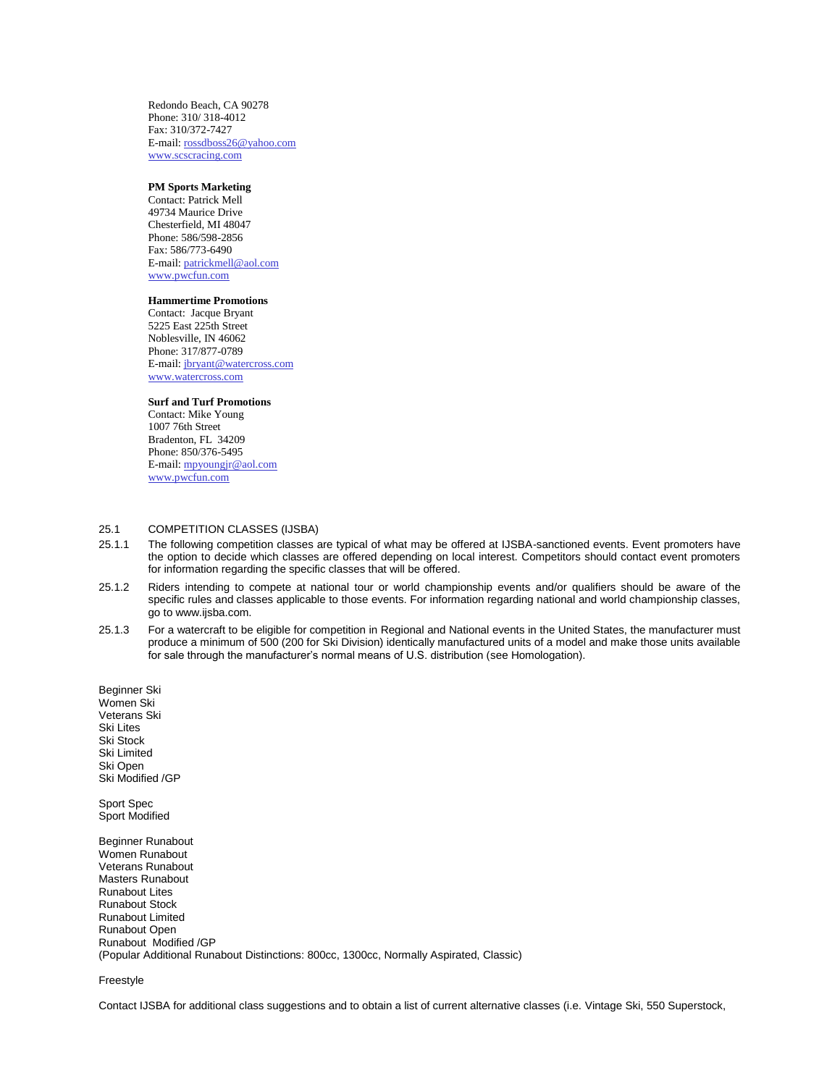Redondo Beach, CA 90278 Phone: 310/ 318-4012 Fax: 310/372-7427 E-mail[: rossdboss26@yahoo.com](mailto:rossdboss26@yahoo.com) [www.scscracing.com](http://www.scscracing.com/)

### **PM Sports Marketing**

Contact: Patrick Mell 49734 Maurice Drive Chesterfield, MI 48047 Phone: 586/598-2856 Fax: 586/773-6490 E-mail[: patrickmell@aol.com](mailto:patrickmell@aol.com) [www.pwcfun.com](http://www.pwcfun.com/)

#### **Hammertime Promotions**

Contact: Jacque Bryant 5225 East 225th Street Noblesville, IN 46062 Phone: 317/877-0789 E-mail[: jbryant@watercross.com](mailto:jbryant@watercross.com) [www.watercross.com](http://www.watercross.com/)

### **Surf and Turf Promotions**

Contact: Mike Young 1007 76th Street Bradenton, FL 34209 Phone: 850/376-5495 E-mail[: mpyoungjr@aol.com](mailto:mpyoungjr@aol.com) [www.pwcfun.com](http://www.pwcfun.com/)

### 25.1 COMPETITION CLASSES (IJSBA)

- 25.1.1 The following competition classes are typical of what may be offered at IJSBA-sanctioned events. Event promoters have the option to decide which classes are offered depending on local interest. Competitors should contact event promoters for information regarding the specific classes that will be offered.
- 25.1.2 Riders intending to compete at national tour or world championship events and/or qualifiers should be aware of the specific rules and classes applicable to those events. For information regarding national and world championship classes, go to www.ijsba.com.
- 25.1.3 For a watercraft to be eligible for competition in Regional and National events in the United States, the manufacturer must produce a minimum of 500 (200 for Ski Division) identically manufactured units of a model and make those units available for sale through the manufacturer's normal means of U.S. distribution (see Homologation).

Beginner Ski Women Ski Veterans Ski Ski Lites Ski Stock Ski Limited Ski Open Ski Modified /GP

Sport Spec Sport Modified

Beginner Runabout Women Runabout Veterans Runabout Masters Runabout Runabout Lites Runabout Stock Runabout Limited Runabout Open Runabout Modified /GP (Popular Additional Runabout Distinctions: 800cc, 1300cc, Normally Aspirated, Classic)

#### Freestyle

Contact IJSBA for additional class suggestions and to obtain a list of current alternative classes (i.e. Vintage Ski, 550 Superstock,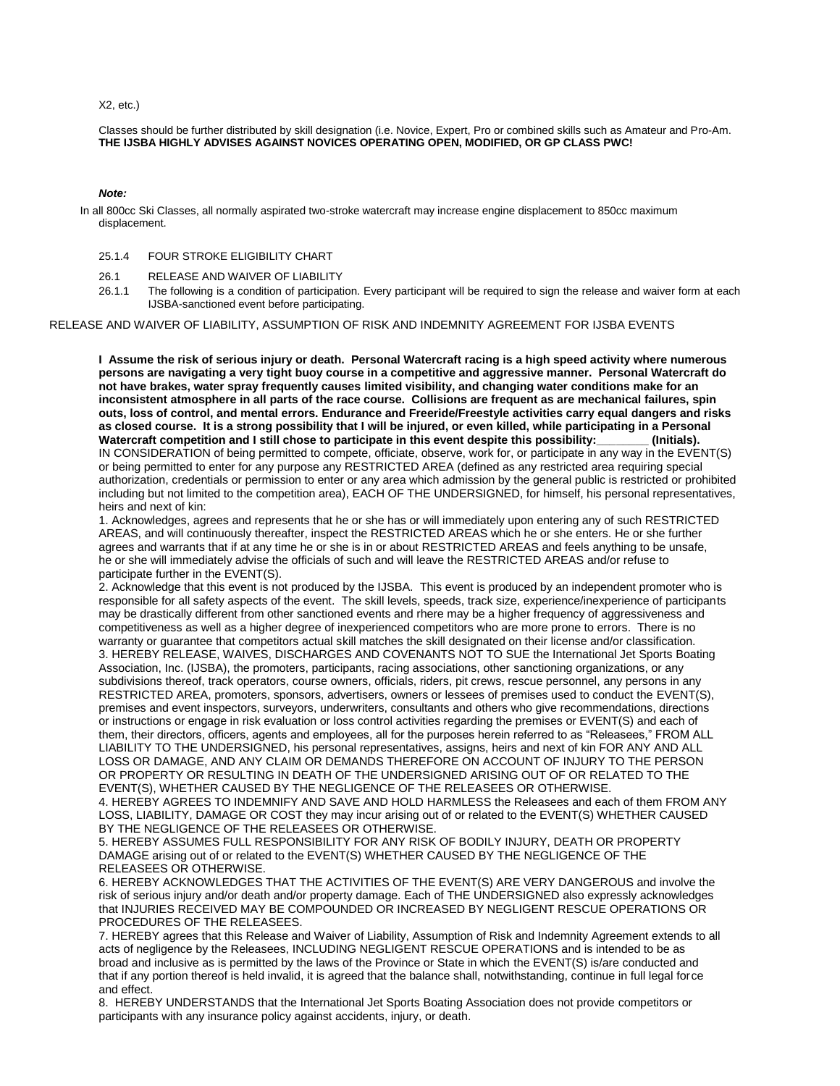X2, etc.)

Classes should be further distributed by skill designation (i.e. Novice, Expert, Pro or combined skills such as Amateur and Pro-Am. **THE IJSBA HIGHLY ADVISES AGAINST NOVICES OPERATING OPEN, MODIFIED, OR GP CLASS PWC!**

### *Note:*

In all 800cc Ski Classes, all normally aspirated two-stroke watercraft may increase engine displacement to 850cc maximum displacement.

- 25.1.4 FOUR STROKE ELIGIBILITY CHART
- 26.1 RELEASE AND WAIVER OF LIABILITY
- 26.1.1 The following is a condition of participation. Every participant will be required to sign the release and waiver form at each IJSBA-sanctioned event before participating.

### RELEASE AND WAIVER OF LIABILITY, ASSUMPTION OF RISK AND INDEMNITY AGREEMENT FOR IJSBA EVENTS

**I Assume the risk of serious injury or death. Personal Watercraft racing is a high speed activity where numerous persons are navigating a very tight buoy course in a competitive and aggressive manner. Personal Watercraft do not have brakes, water spray frequently causes limited visibility, and changing water conditions make for an inconsistent atmosphere in all parts of the race course. Collisions are frequent as are mechanical failures, spin outs, loss of control, and mental errors. Endurance and Freeride/Freestyle activities carry equal dangers and risks as closed course. It is a strong possibility that I will be injured, or even killed, while participating in a Personal Watercraft competition and I still chose to participate in this event despite this possibility:\_\_\_\_\_\_\_\_ (Initials).** IN CONSIDERATION of being permitted to compete, officiate, observe, work for, or participate in any way in the EVENT(S) or being permitted to enter for any purpose any RESTRICTED AREA (defined as any restricted area requiring special authorization, credentials or permission to enter or any area which admission by the general public is restricted or prohibited including but not limited to the competition area), EACH OF THE UNDERSIGNED, for himself, his personal representatives, heirs and next of kin:

1. Acknowledges, agrees and represents that he or she has or will immediately upon entering any of such RESTRICTED AREAS, and will continuously thereafter, inspect the RESTRICTED AREAS which he or she enters. He or she further agrees and warrants that if at any time he or she is in or about RESTRICTED AREAS and feels anything to be unsafe, he or she will immediately advise the officials of such and will leave the RESTRICTED AREAS and/or refuse to participate further in the EVENT(S).

2. Acknowledge that this event is not produced by the IJSBA. This event is produced by an independent promoter who is responsible for all safety aspects of the event. The skill levels, speeds, track size, experience/inexperience of participants may be drastically different from other sanctioned events and rhere may be a higher frequency of aggressiveness and competitiveness as well as a higher degree of inexperienced competitors who are more prone to errors. There is no warranty or guarantee that competitors actual skill matches the skill designated on their license and/or classification. 3. HEREBY RELEASE, WAIVES, DISCHARGES AND COVENANTS NOT TO SUE the International Jet Sports Boating Association, Inc. (IJSBA), the promoters, participants, racing associations, other sanctioning organizations, or any subdivisions thereof, track operators, course owners, officials, riders, pit crews, rescue personnel, any persons in any RESTRICTED AREA, promoters, sponsors, advertisers, owners or lessees of premises used to conduct the EVENT(S), premises and event inspectors, surveyors, underwriters, consultants and others who give recommendations, directions or instructions or engage in risk evaluation or loss control activities regarding the premises or EVENT(S) and each of them, their directors, officers, agents and employees, all for the purposes herein referred to as "Releasees," FROM ALL LIABILITY TO THE UNDERSIGNED, his personal representatives, assigns, heirs and next of kin FOR ANY AND ALL LOSS OR DAMAGE, AND ANY CLAIM OR DEMANDS THEREFORE ON ACCOUNT OF INJURY TO THE PERSON OR PROPERTY OR RESULTING IN DEATH OF THE UNDERSIGNED ARISING OUT OF OR RELATED TO THE EVENT(S), WHETHER CAUSED BY THE NEGLIGENCE OF THE RELEASEES OR OTHERWISE.

4. HEREBY AGREES TO INDEMNIFY AND SAVE AND HOLD HARMLESS the Releasees and each of them FROM ANY LOSS, LIABILITY, DAMAGE OR COST they may incur arising out of or related to the EVENT(S) WHETHER CAUSED BY THE NEGLIGENCE OF THE RELEASEES OR OTHERWISE.

5. HEREBY ASSUMES FULL RESPONSIBILITY FOR ANY RISK OF BODILY INJURY, DEATH OR PROPERTY DAMAGE arising out of or related to the EVENT(S) WHETHER CAUSED BY THE NEGLIGENCE OF THE RELEASEES OR OTHERWISE.

6. HEREBY ACKNOWLEDGES THAT THE ACTIVITIES OF THE EVENT(S) ARE VERY DANGEROUS and involve the risk of serious injury and/or death and/or property damage. Each of THE UNDERSIGNED also expressly acknowledges that INJURIES RECEIVED MAY BE COMPOUNDED OR INCREASED BY NEGLIGENT RESCUE OPERATIONS OR PROCEDURES OF THE RELEASEES.

7. HEREBY agrees that this Release and Waiver of Liability, Assumption of Risk and Indemnity Agreement extends to all acts of negligence by the Releasees, INCLUDING NEGLIGENT RESCUE OPERATIONS and is intended to be as broad and inclusive as is permitted by the laws of the Province or State in which the EVENT(S) is/are conducted and that if any portion thereof is held invalid, it is agreed that the balance shall, notwithstanding, continue in full legal force and effect.

8. HEREBY UNDERSTANDS that the International Jet Sports Boating Association does not provide competitors or participants with any insurance policy against accidents, injury, or death.